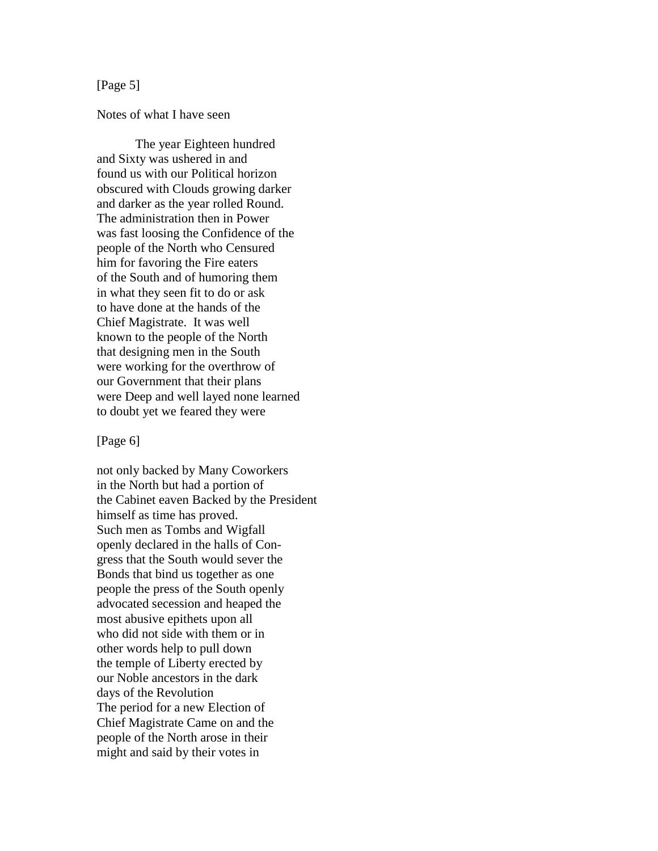# [Page 5]

### Notes of what I have seen

The year Eighteen hundred and Sixty was ushered in and found us with our Political horizon obscured with Clouds growing darker and darker as the year rolled Round. The administration then in Power was fast loosing the Confidence of the people of the North who Censured him for favoring the Fire eaters of the South and of humoring them in what they seen fit to do or ask to have done at the hands of the Chief Magistrate. It was well known to the people of the North that designing men in the South were working for the overthrow of our Government that their plans were Deep and well layed none learned to doubt yet we feared they were

#### [Page 6]

not only backed by Many Coworkers in the North but had a portion of the Cabinet eaven Backed by the President himself as time has proved. Such men as Tombs and Wigfall openly declared in the halls of Congress that the South would sever the Bonds that bind us together as one people the press of the South openly advocated secession and heaped the most abusive epithets upon all who did not side with them or in other words help to pull down the temple of Liberty erected by our Noble ancestors in the dark days of the Revolution The period for a new Election of Chief Magistrate Came on and the people of the North arose in their might and said by their votes in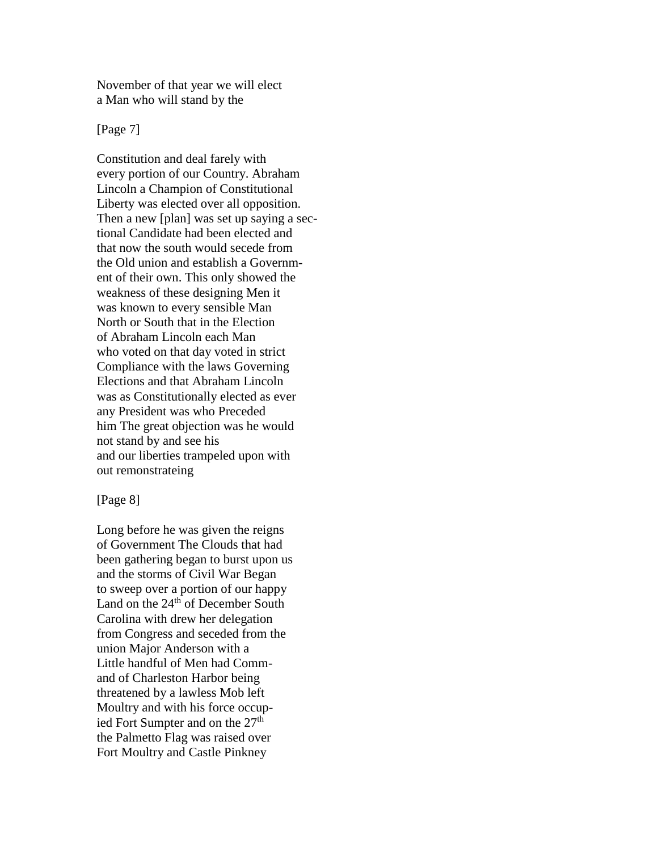November of that year we will elect a Man who will stand by the

[Page 7]

Constitution and deal farely with every portion of our Country. Abraham Lincoln a Champion of Constitutional Liberty was elected over all opposition. Then a new [plan] was set up saying a sectional Candidate had been elected and that now the south would secede from the Old union and establish a Government of their own. This only showed the weakness of these designing Men it was known to every sensible Man North or South that in the Election of Abraham Lincoln each Man who voted on that day voted in strict Compliance with the laws Governing Elections and that Abraham Lincoln was as Constitutionally elected as ever any President was who Preceded him The great objection was he would not stand by and see his and our liberties trampeled upon with out remonstrateing

## [Page 8]

Long before he was given the reigns of Government The Clouds that had been gathering began to burst upon us and the storms of Civil War Began to sweep over a portion of our happy Land on the  $24<sup>th</sup>$  of December South Carolina with drew her delegation from Congress and seceded from the union Major Anderson with a Little handful of Men had Command of Charleston Harbor being threatened by a lawless Mob left Moultry and with his force occupied Fort Sumpter and on the  $27<sup>th</sup>$ the Palmetto Flag was raised over Fort Moultry and Castle Pinkney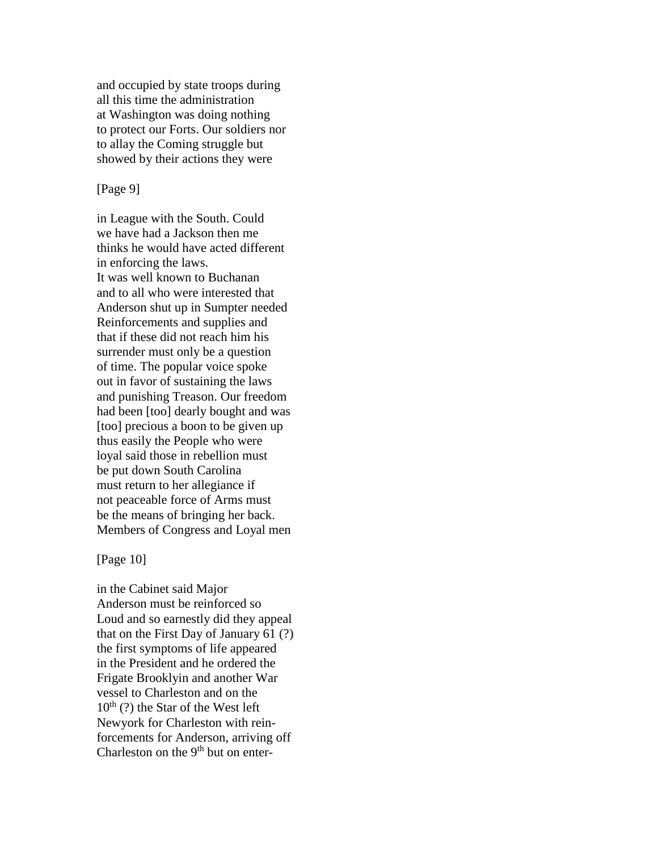and occupied by state troops during all this time the administration at Washington was doing nothing to protect our Forts. Our soldiers nor to allay the Coming struggle but showed by their actions they were

## [Page 9]

in League with the South. Could we have had a Jackson then me thinks he would have acted different in enforcing the laws. It was well known to Buchanan and to all who were interested that Anderson shut up in Sumpter needed Reinforcements and supplies and that if these did not reach him his surrender must only be a question of time. The popular voice spoke out in favor of sustaining the laws and punishing Treason. Our freedom had been [too] dearly bought and was [too] precious a boon to be given up thus easily the People who were loyal said those in rebellion must be put down South Carolina must return to her allegiance if not peaceable force of Arms must be the means of bringing her back. Members of Congress and Loyal men

#### [Page 10]

in the Cabinet said Major Anderson must be reinforced so Loud and so earnestly did they appeal that on the First Day of January 61 (?) the first symptoms of life appeared in the President and he ordered the Frigate Brooklyin and another War vessel to Charleston and on the  $10^{th}$  (?) the Star of the West left Newyork for Charleston with reinforcements for Anderson, arriving off Charleston on the  $9<sup>th</sup>$  but on enter-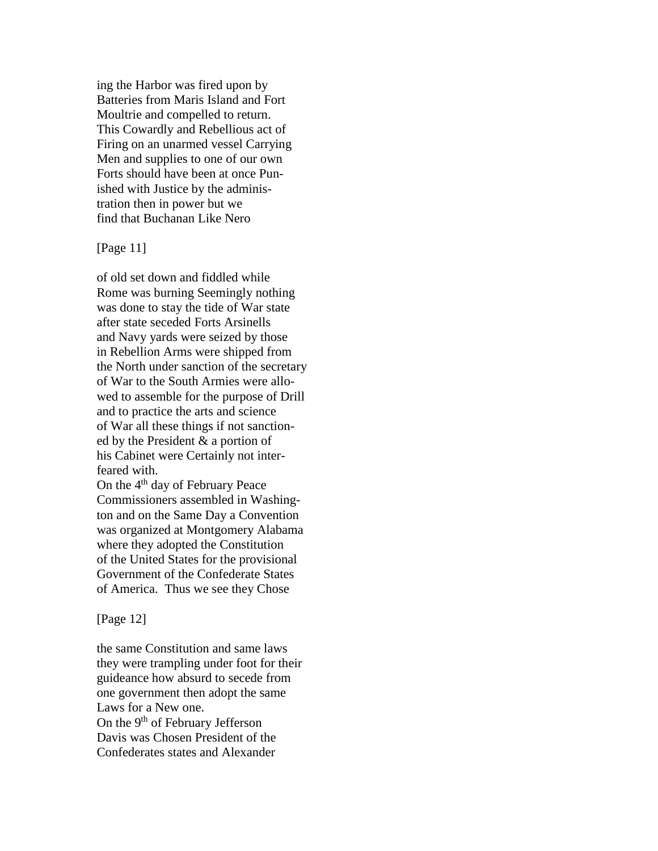ing the Harbor was fired upon by Batteries from Maris Island and Fort Moultrie and compelled to return. This Cowardly and Rebellious act of Firing on an unarmed vessel Carrying Men and supplies to one of our own Forts should have been at once Punished with Justice by the administration then in power but we find that Buchanan Like Nero

# [Page 11]

of old set down and fiddled while Rome was burning Seemingly nothing was done to stay the tide of War state after state seceded Forts Arsinells and Navy yards were seized by those in Rebellion Arms were shipped from the North under sanction of the secretary of War to the South Armies were allowed to assemble for the purpose of Drill and to practice the arts and science of War all these things if not sanctioned by the President & a portion of his Cabinet were Certainly not interfeared with.

On the 4<sup>th</sup> day of February Peace Commissioners assembled in Washington and on the Same Day a Convention was organized at Montgomery Alabama where they adopted the Constitution of the United States for the provisional Government of the Confederate States of America. Thus we see they Chose

#### [Page 12]

the same Constitution and same laws they were trampling under foot for their guideance how absurd to secede from one government then adopt the same Laws for a New one. On the 9<sup>th</sup> of February Jefferson Davis was Chosen President of the Confederates states and Alexander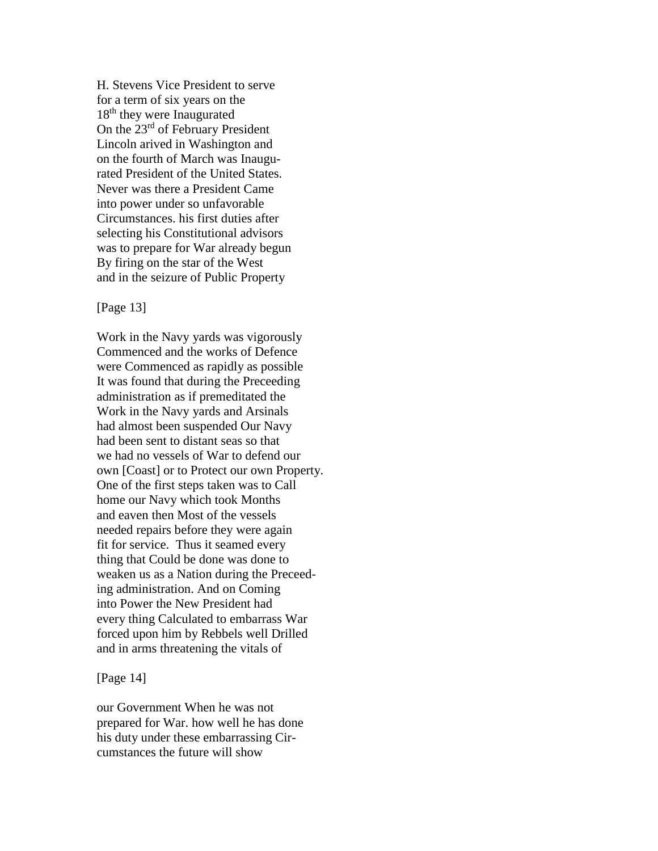H. Stevens Vice President to serve for a term of six years on the 18<sup>th</sup> they were Inaugurated On the 23<sup>rd</sup> of February President Lincoln arived in Washington and on the fourth of March was Inaugurated President of the United States. Never was there a President Came into power under so unfavorable Circumstances. his first duties after selecting his Constitutional advisors was to prepare for War already begun By firing on the star of the West and in the seizure of Public Property

## [Page 13]

Work in the Navy yards was vigorously Commenced and the works of Defence were Commenced as rapidly as possible It was found that during the Preceeding administration as if premeditated the Work in the Navy yards and Arsinals had almost been suspended Our Navy had been sent to distant seas so that we had no vessels of War to defend our own [Coast] or to Protect our own Property. One of the first steps taken was to Call home our Navy which took Months and eaven then Most of the vessels needed repairs before they were again fit for service. Thus it seamed every thing that Could be done was done to weaken us as a Nation during the Preceeding administration. And on Coming into Power the New President had every thing Calculated to embarrass War forced upon him by Rebbels well Drilled and in arms threatening the vitals of

#### [Page 14]

our Government When he was not prepared for War. how well he has done his duty under these embarrassing Circumstances the future will show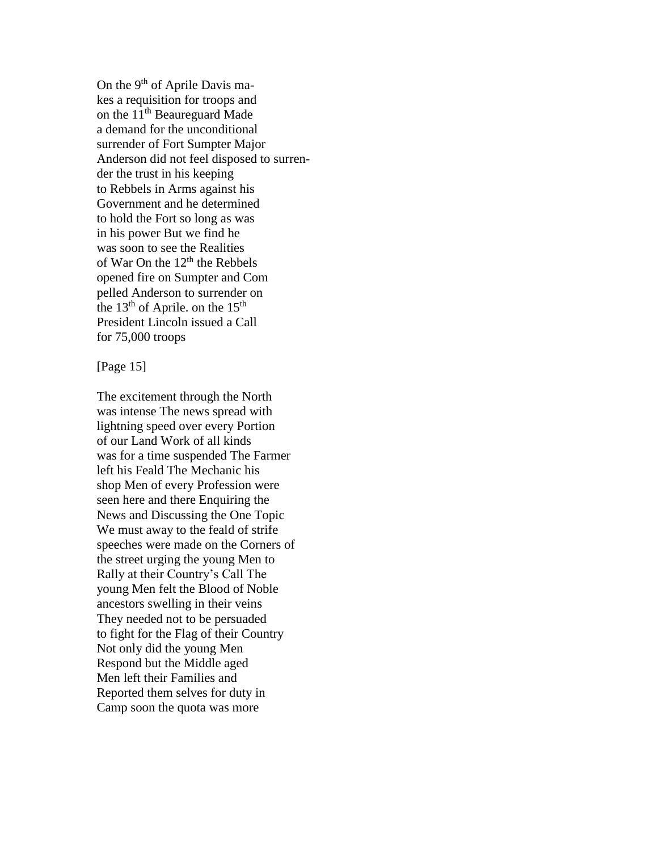On the 9<sup>th</sup> of Aprile Davis makes a requisition for troops and on the  $11<sup>th</sup>$  Beaureguard Made a demand for the unconditional surrender of Fort Sumpter Major Anderson did not feel disposed to surrender the trust in his keeping to Rebbels in Arms against his Government and he determined to hold the Fort so long as was in his power But we find he was soon to see the Realities of War On the 12<sup>th</sup> the Rebbels opened fire on Sumpter and Com pelled Anderson to surrender on the  $13<sup>th</sup>$  of Aprile. on the  $15<sup>th</sup>$ President Lincoln issued a Call for 75,000 troops

[Page 15]

The excitement through the North was intense The news spread with lightning speed over every Portion of our Land Work of all kinds was for a time suspended The Farmer left his Feald The Mechanic his shop Men of every Profession were seen here and there Enquiring the News and Discussing the One Topic We must away to the feald of strife speeches were made on the Corners of the street urging the young Men to Rally at their Country's Call The young Men felt the Blood of Noble ancestors swelling in their veins They needed not to be persuaded to fight for the Flag of their Country Not only did the young Men Respond but the Middle aged Men left their Families and Reported them selves for duty in Camp soon the quota was more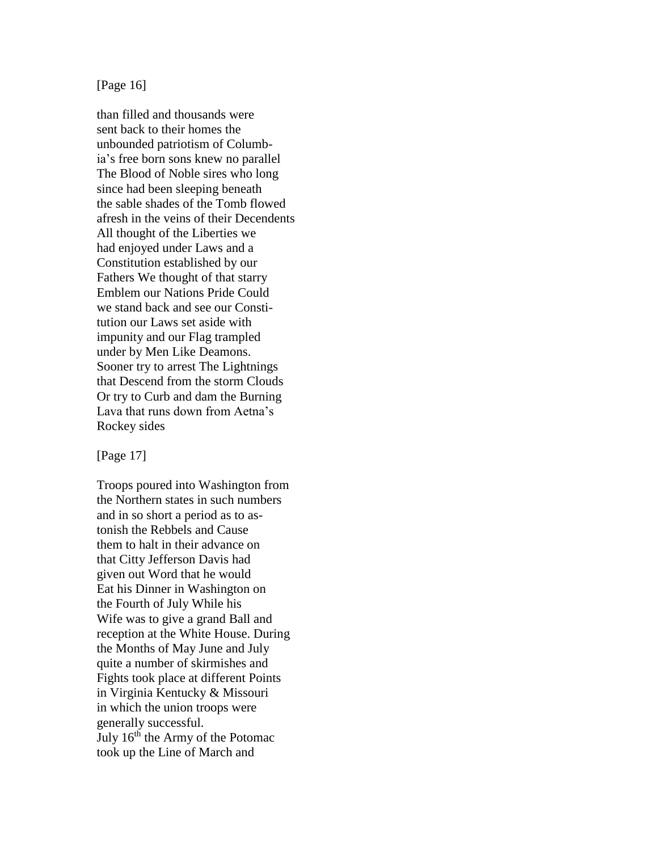[Page 16]

than filled and thousands were sent back to their homes the unbounded patriotism of Columbia's free born sons knew no parallel The Blood of Noble sires who long since had been sleeping beneath the sable shades of the Tomb flowed afresh in the veins of their Decendents All thought of the Liberties we had enjoyed under Laws and a Constitution established by our Fathers We thought of that starry Emblem our Nations Pride Could we stand back and see our Constitution our Laws set aside with impunity and our Flag trampled under by Men Like Deamons. Sooner try to arrest The Lightnings that Descend from the storm Clouds Or try to Curb and dam the Burning Lava that runs down from Aetna's Rockey sides

[Page 17]

Troops poured into Washington from the Northern states in such numbers and in so short a period as to astonish the Rebbels and Cause them to halt in their advance on that Citty Jefferson Davis had given out Word that he would Eat his Dinner in Washington on the Fourth of July While his Wife was to give a grand Ball and reception at the White House. During the Months of May June and July quite a number of skirmishes and Fights took place at different Points in Virginia Kentucky & Missouri in which the union troops were generally successful. July  $16<sup>th</sup>$  the Army of the Potomac took up the Line of March and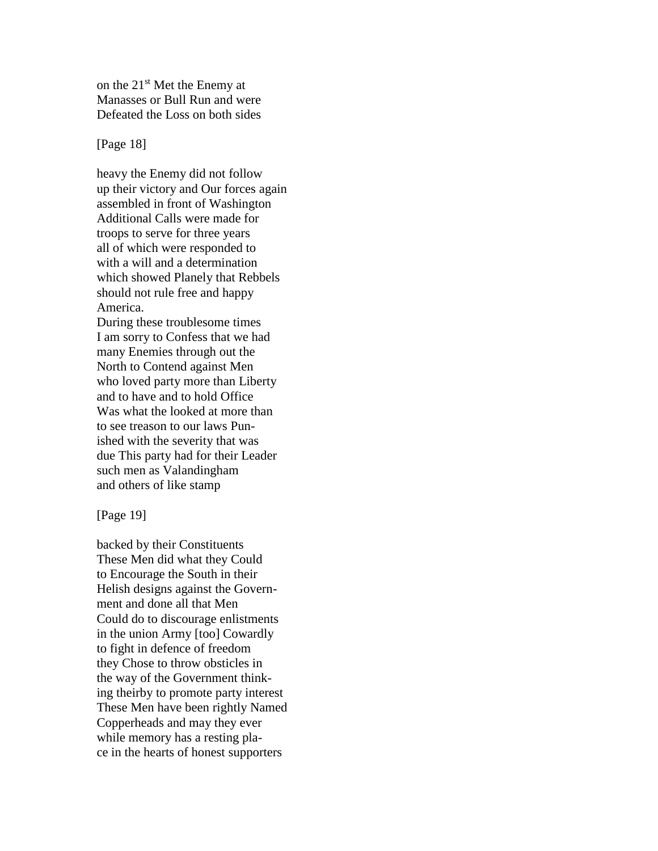on the 21st Met the Enemy at Manasses or Bull Run and were Defeated the Loss on both sides

[Page 18]

heavy the Enemy did not follow up their victory and Our forces again assembled in front of Washington Additional Calls were made for troops to serve for three years all of which were responded to with a will and a determination which showed Planely that Rebbels should not rule free and happy America.

During these troublesome times I am sorry to Confess that we had many Enemies through out the North to Contend against Men who loved party more than Liberty and to have and to hold Office Was what the looked at more than to see treason to our laws Punished with the severity that was due This party had for their Leader such men as Valandingham and others of like stamp

[Page 19]

backed by their Constituents These Men did what they Could to Encourage the South in their Helish designs against the Government and done all that Men Could do to discourage enlistments in the union Army [too] Cowardly to fight in defence of freedom they Chose to throw obsticles in the way of the Government thinking theirby to promote party interest These Men have been rightly Named Copperheads and may they ever while memory has a resting place in the hearts of honest supporters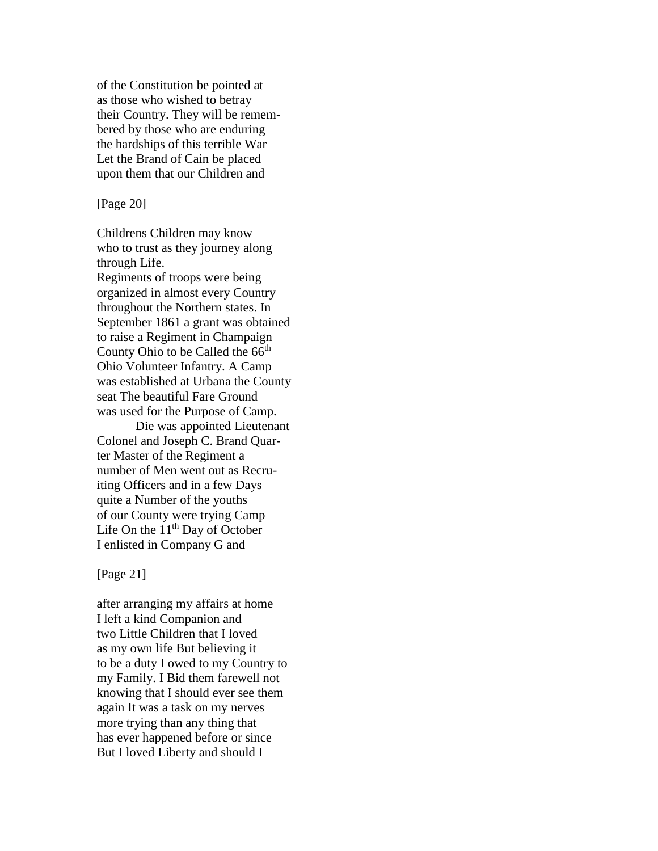of the Constitution be pointed at as those who wished to betray their Country. They will be remembered by those who are enduring the hardships of this terrible War Let the Brand of Cain be placed upon them that our Children and

[Page 20]

Childrens Children may know who to trust as they journey along through Life. Regiments of troops were being

organized in almost every Country throughout the Northern states. In September 1861 a grant was obtained to raise a Regiment in Champaign County Ohio to be Called the 66<sup>th</sup> Ohio Volunteer Infantry. A Camp was established at Urbana the County seat The beautiful Fare Ground was used for the Purpose of Camp.

Die was appointed Lieutenant Colonel and Joseph C. Brand Quarter Master of the Regiment a number of Men went out as Recruiting Officers and in a few Days quite a Number of the youths of our County were trying Camp Life On the  $11<sup>th</sup>$  Day of October I enlisted in Company G and

[Page 21]

after arranging my affairs at home I left a kind Companion and two Little Children that I loved as my own life But believing it to be a duty I owed to my Country to my Family. I Bid them farewell not knowing that I should ever see them again It was a task on my nerves more trying than any thing that has ever happened before or since But I loved Liberty and should I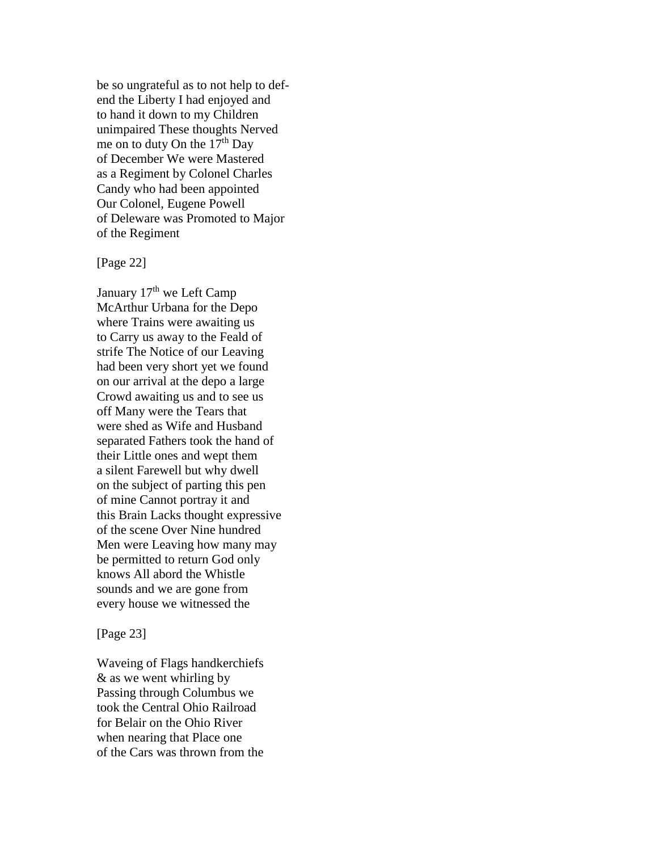be so ungrateful as to not help to defend the Liberty I had enjoyed and to hand it down to my Children unimpaired These thoughts Nerved me on to duty On the  $17<sup>th</sup>$  Day of December We were Mastered as a Regiment by Colonel Charles Candy who had been appointed Our Colonel, Eugene Powell of Deleware was Promoted to Major of the Regiment

### [Page 22]

January 17<sup>th</sup> we Left Camp McArthur Urbana for the Depo where Trains were awaiting us to Carry us away to the Feald of strife The Notice of our Leaving had been very short yet we found on our arrival at the depo a large Crowd awaiting us and to see us off Many were the Tears that were shed as Wife and Husband separated Fathers took the hand of their Little ones and wept them a silent Farewell but why dwell on the subject of parting this pen of mine Cannot portray it and this Brain Lacks thought expressive of the scene Over Nine hundred Men were Leaving how many may be permitted to return God only knows All abord the Whistle sounds and we are gone from every house we witnessed the

[Page 23]

Waveing of Flags handkerchiefs & as we went whirling by Passing through Columbus we took the Central Ohio Railroad for Belair on the Ohio River when nearing that Place one of the Cars was thrown from the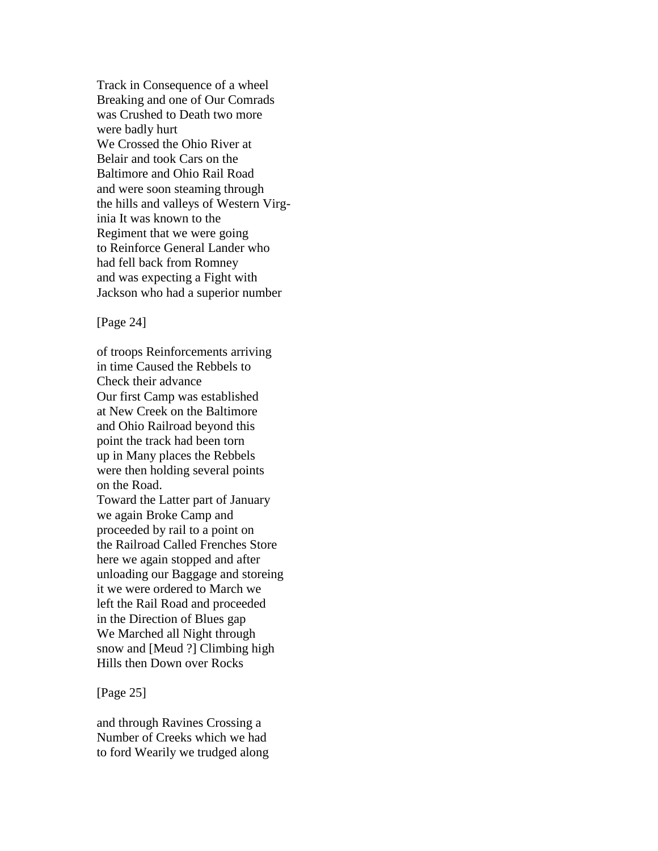Track in Consequence of a wheel Breaking and one of Our Comrads was Crushed to Death two more were badly hurt We Crossed the Ohio River at Belair and took Cars on the Baltimore and Ohio Rail Road and were soon steaming through the hills and valleys of Western Virginia It was known to the Regiment that we were going to Reinforce General Lander who had fell back from Romney and was expecting a Fight with Jackson who had a superior number

[Page 24]

of troops Reinforcements arriving in time Caused the Rebbels to Check their advance Our first Camp was established at New Creek on the Baltimore and Ohio Railroad beyond this point the track had been torn up in Many places the Rebbels were then holding several points on the Road. Toward the Latter part of January we again Broke Camp and proceeded by rail to a point on the Railroad Called Frenches Store here we again stopped and after unloading our Baggage and storeing it we were ordered to March we left the Rail Road and proceeded in the Direction of Blues gap We Marched all Night through snow and [Meud ?] Climbing high Hills then Down over Rocks

[Page 25]

and through Ravines Crossing a Number of Creeks which we had to ford Wearily we trudged along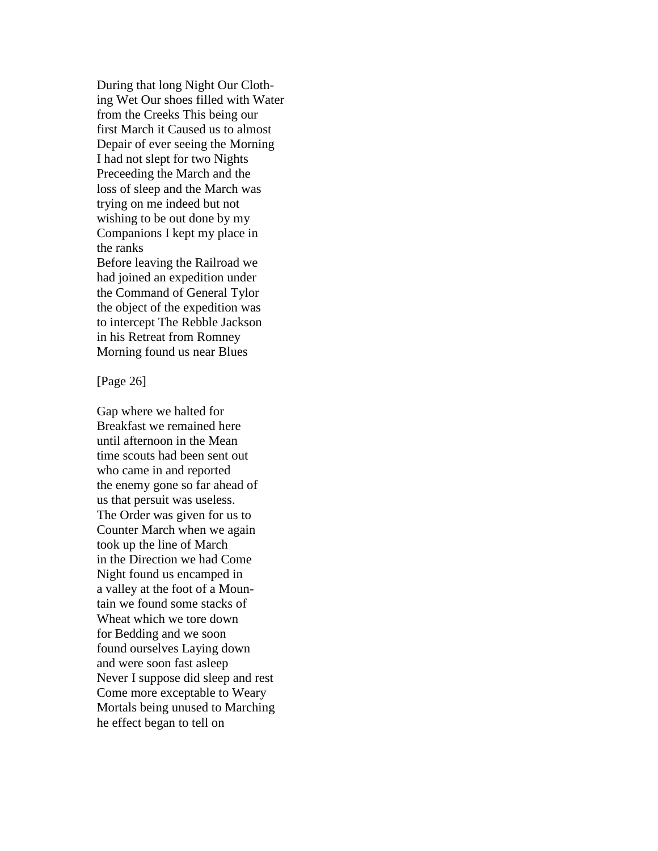During that long Night Our Clothing Wet Our shoes filled with Water from the Creeks This being our first March it Caused us to almost Depair of ever seeing the Morning I had not slept for two Nights Preceeding the March and the loss of sleep and the March was trying on me indeed but not wishing to be out done by my Companions I kept my place in the ranks Before leaving the Railroad we had joined an expedition under the Command of General Tylor the object of the expedition was

to intercept The Rebble Jackson in his Retreat from Romney Morning found us near Blues

[Page 26]

Gap where we halted for Breakfast we remained here until afternoon in the Mean time scouts had been sent out who came in and reported the enemy gone so far ahead of us that persuit was useless. The Order was given for us to Counter March when we again took up the line of March in the Direction we had Come Night found us encamped in a valley at the foot of a Mountain we found some stacks of Wheat which we tore down for Bedding and we soon found ourselves Laying down and were soon fast asleep Never I suppose did sleep and rest Come more exceptable to Weary Mortals being unused to Marching he effect began to tell on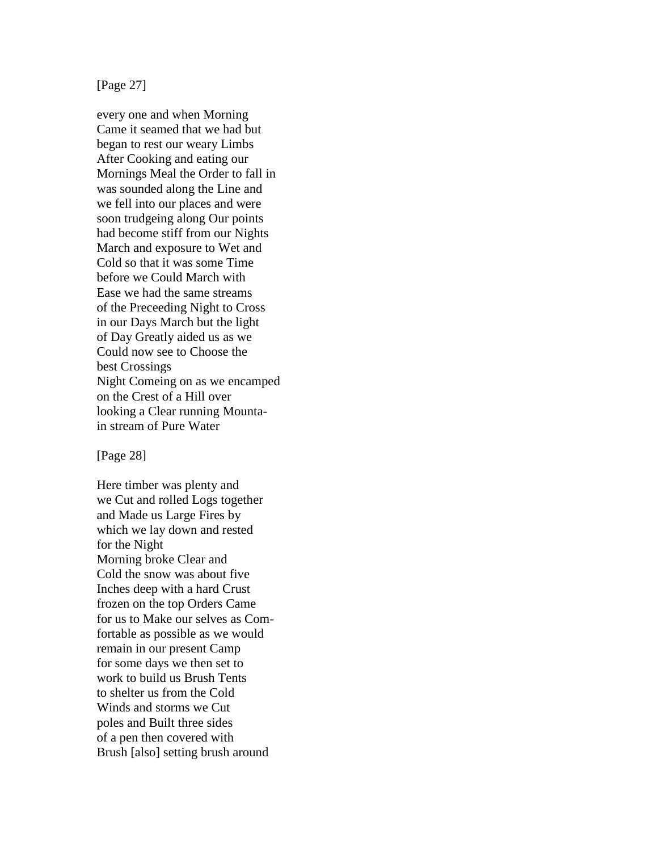[Page 27]

every one and when Morning Came it seamed that we had but began to rest our weary Limbs After Cooking and eating our Mornings Meal the Order to fall in was sounded along the Line and we fell into our places and were soon trudgeing along Our points had become stiff from our Nights March and exposure to Wet and Cold so that it was some Time before we Could March with Ease we had the same streams of the Preceeding Night to Cross in our Days March but the light of Day Greatly aided us as we Could now see to Choose the best Crossings Night Comeing on as we encamped on the Crest of a Hill over looking a Clear running Mountain stream of Pure Water

[Page 28]

Here timber was plenty and we Cut and rolled Logs together and Made us Large Fires by which we lay down and rested for the Night Morning broke Clear and Cold the snow was about five Inches deep with a hard Crust frozen on the top Orders Came for us to Make our selves as Comfortable as possible as we would remain in our present Camp for some days we then set to work to build us Brush Tents to shelter us from the Cold Winds and storms we Cut poles and Built three sides of a pen then covered with Brush [also] setting brush around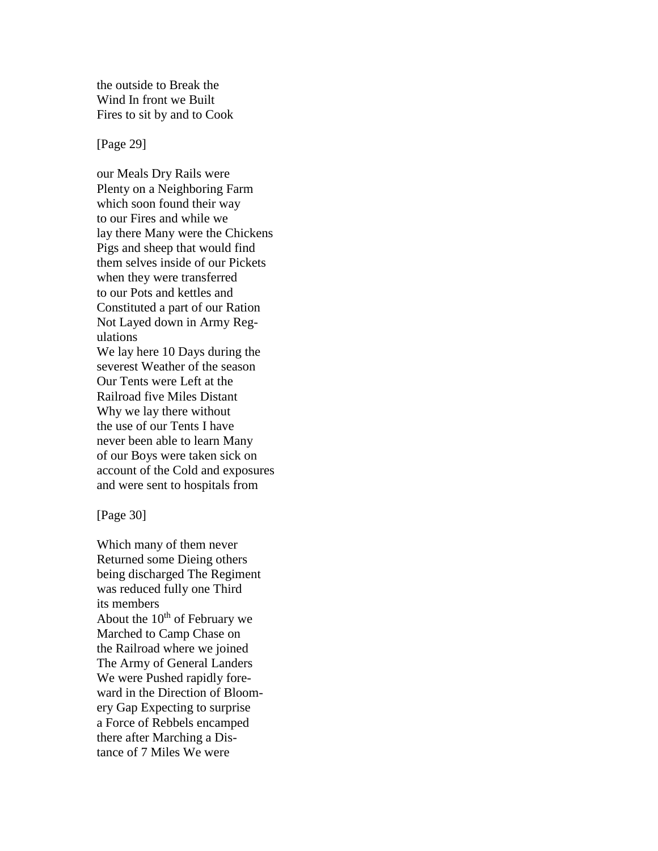the outside to Break the Wind In front we Built Fires to sit by and to Cook

[Page 29]

our Meals Dry Rails were Plenty on a Neighboring Farm which soon found their way to our Fires and while we lay there Many were the Chickens Pigs and sheep that would find them selves inside of our Pickets when they were transferred to our Pots and kettles and Constituted a part of our Ration Not Layed down in Army Regulations We lay here 10 Days during the severest Weather of the season Our Tents were Left at the Railroad five Miles Distant Why we lay there without the use of our Tents I have never been able to learn Many of our Boys were taken sick on account of the Cold and exposures and were sent to hospitals from

[Page 30]

Which many of them never Returned some Dieing others being discharged The Regiment was reduced fully one Third its members About the  $10^{th}$  of February we Marched to Camp Chase on the Railroad where we joined The Army of General Landers We were Pushed rapidly foreward in the Direction of Bloomery Gap Expecting to surprise a Force of Rebbels encamped there after Marching a Distance of 7 Miles We were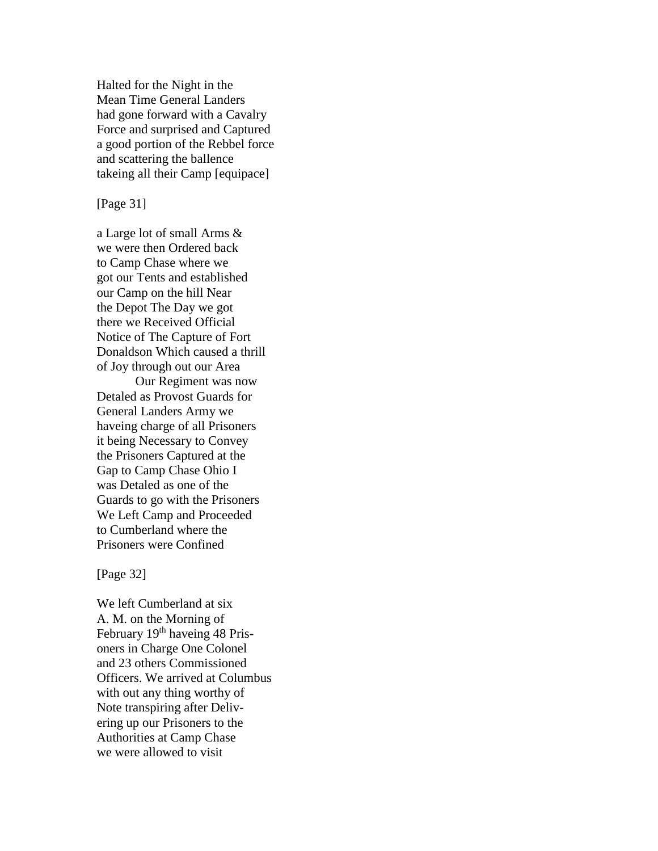Halted for the Night in the Mean Time General Landers had gone forward with a Cavalry Force and surprised and Captured a good portion of the Rebbel force and scattering the ballence takeing all their Camp [equipace]

[Page 31]

a Large lot of small Arms & we were then Ordered back to Camp Chase where we got our Tents and established our Camp on the hill Near the Depot The Day we got there we Received Official Notice of The Capture of Fort Donaldson Which caused a thrill of Joy through out our Area

Our Regiment was now Detaled as Provost Guards for General Landers Army we haveing charge of all Prisoners it being Necessary to Convey the Prisoners Captured at the Gap to Camp Chase Ohio I was Detaled as one of the Guards to go with the Prisoners We Left Camp and Proceeded to Cumberland where the Prisoners were Confined

[Page 32]

We left Cumberland at six A. M. on the Morning of February 19<sup>th</sup> haveing 48 Prisoners in Charge One Colonel and 23 others Commissioned Officers. We arrived at Columbus with out any thing worthy of Note transpiring after Delivering up our Prisoners to the Authorities at Camp Chase we were allowed to visit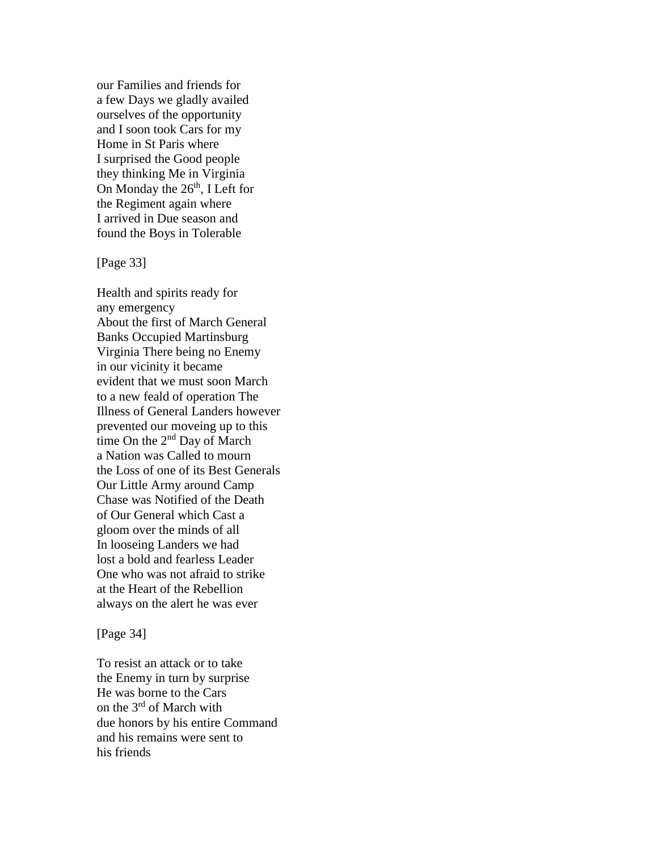our Families and friends for a few Days we gladly availed ourselves of the opportunity and I soon took Cars for my Home in St Paris where I surprised the Good people they thinking Me in Virginia On Monday the 26<sup>th</sup>, I Left for the Regiment again where I arrived in Due season and found the Boys in Tolerable

[Page 33]

Health and spirits ready for any emergency About the first of March General Banks Occupied Martinsburg Virginia There being no Enemy in our vicinity it became evident that we must soon March to a new feald of operation The Illness of General Landers however prevented our moveing up to this time On the 2<sup>nd</sup> Day of March a Nation was Called to mourn the Loss of one of its Best Generals Our Little Army around Camp Chase was Notified of the Death of Our General which Cast a gloom over the minds of all In looseing Landers we had lost a bold and fearless Leader One who was not afraid to strike at the Heart of the Rebellion always on the alert he was ever

[Page 34]

To resist an attack or to take the Enemy in turn by surprise He was borne to the Cars on the 3rd of March with due honors by his entire Command and his remains were sent to his friends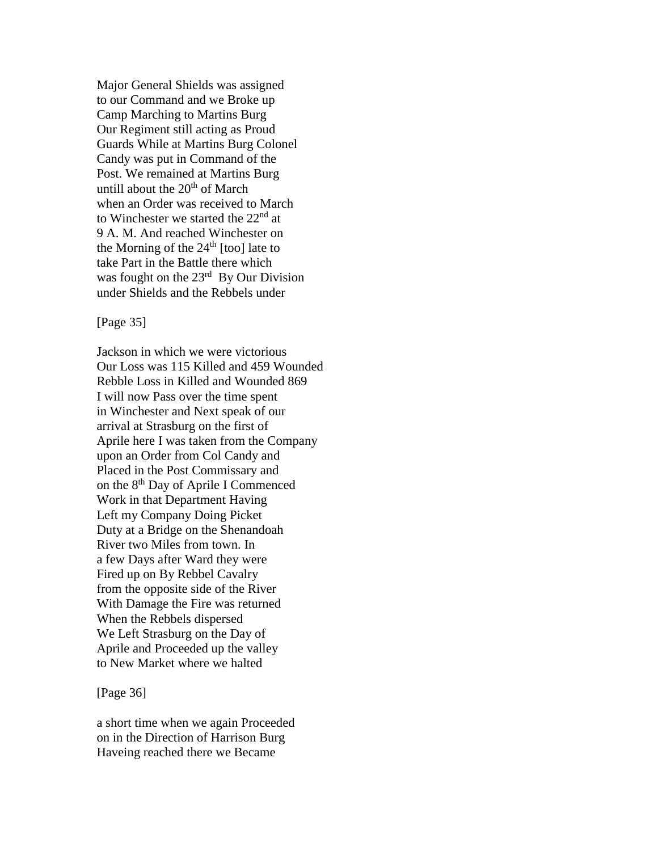Major General Shields was assigned to our Command and we Broke up Camp Marching to Martins Burg Our Regiment still acting as Proud Guards While at Martins Burg Colonel Candy was put in Command of the Post. We remained at Martins Burg untill about the  $20<sup>th</sup>$  of March when an Order was received to March to Winchester we started the  $22<sup>nd</sup>$  at 9 A. M. And reached Winchester on the Morning of the  $24<sup>th</sup>$  [too] late to take Part in the Battle there which was fought on the  $23<sup>rd</sup>$  By Our Division under Shields and the Rebbels under

[Page 35]

Jackson in which we were victorious Our Loss was 115 Killed and 459 Wounded Rebble Loss in Killed and Wounded 869 I will now Pass over the time spent in Winchester and Next speak of our arrival at Strasburg on the first of Aprile here I was taken from the Company upon an Order from Col Candy and Placed in the Post Commissary and on the 8th Day of Aprile I Commenced Work in that Department Having Left my Company Doing Picket Duty at a Bridge on the Shenandoah River two Miles from town. In a few Days after Ward they were Fired up on By Rebbel Cavalry from the opposite side of the River With Damage the Fire was returned When the Rebbels dispersed We Left Strasburg on the Day of Aprile and Proceeded up the valley to New Market where we halted

[Page 36]

a short time when we again Proceeded on in the Direction of Harrison Burg Haveing reached there we Became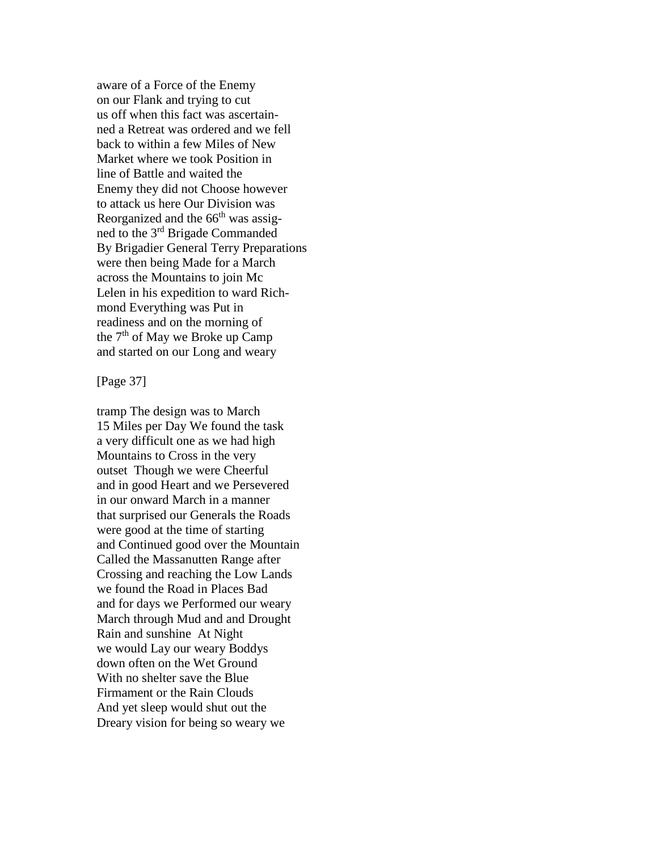aware of a Force of the Enemy on our Flank and trying to cut us off when this fact was ascertainned a Retreat was ordered and we fell back to within a few Miles of New Market where we took Position in line of Battle and waited the Enemy they did not Choose however to attack us here Our Division was Reorganized and the  $66<sup>th</sup>$  was assigned to the 3rd Brigade Commanded By Brigadier General Terry Preparations were then being Made for a March across the Mountains to join Mc Lelen in his expedition to ward Richmond Everything was Put in readiness and on the morning of the  $7<sup>th</sup>$  of May we Broke up Camp and started on our Long and weary

#### [Page 37]

tramp The design was to March 15 Miles per Day We found the task a very difficult one as we had high Mountains to Cross in the very outset Though we were Cheerful and in good Heart and we Persevered in our onward March in a manner that surprised our Generals the Roads were good at the time of starting and Continued good over the Mountain Called the Massanutten Range after Crossing and reaching the Low Lands we found the Road in Places Bad and for days we Performed our weary March through Mud and and Drought Rain and sunshine At Night we would Lay our weary Boddys down often on the Wet Ground With no shelter save the Blue Firmament or the Rain Clouds And yet sleep would shut out the Dreary vision for being so weary we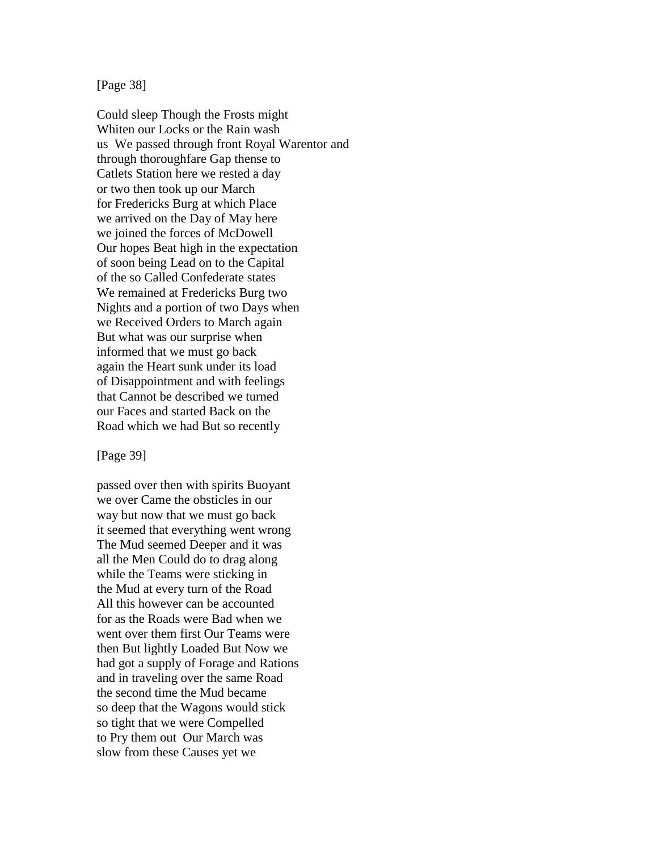[Page 38]

Could sleep Though the Frosts might Whiten our Locks or the Rain wash us We passed through front Royal Warentor and through thoroughfare Gap thense to Catlets Station here we rested a day or two then took up our March for Fredericks Burg at which Place we arrived on the Day of May here we joined the forces of McDowell Our hopes Beat high in the expectation of soon being Lead on to the Capital of the so Called Confederate states We remained at Fredericks Burg two Nights and a portion of two Days when we Received Orders to March again But what was our surprise when informed that we must go back again the Heart sunk under its load of Disappointment and with feelings that Cannot be described we turned our Faces and started Back on the Road which we had But so recently

[Page 39]

passed over then with spirits Buoyant we over Came the obsticles in our way but now that we must go back it seemed that everything went wrong The Mud seemed Deeper and it was all the Men Could do to drag along while the Teams were sticking in the Mud at every turn of the Road All this however can be accounted for as the Roads were Bad when we went over them first Our Teams were then But lightly Loaded But Now we had got a supply of Forage and Rations and in traveling over the same Road the second time the Mud became so deep that the Wagons would stick so tight that we were Compelled to Pry them out Our March was slow from these Causes yet we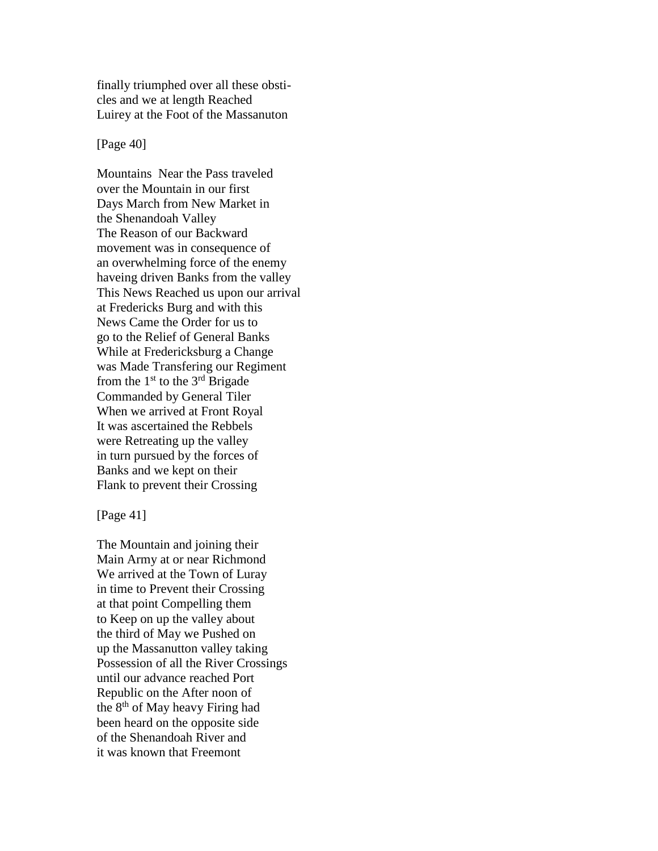finally triumphed over all these obsticles and we at length Reached Luirey at the Foot of the Massanuton

[Page 40]

Mountains Near the Pass traveled over the Mountain in our first Days March from New Market in the Shenandoah Valley The Reason of our Backward movement was in consequence of an overwhelming force of the enemy haveing driven Banks from the valley This News Reached us upon our arrival at Fredericks Burg and with this News Came the Order for us to go to the Relief of General Banks While at Fredericksburg a Change was Made Transfering our Regiment from the  $1<sup>st</sup>$  to the  $3<sup>rd</sup>$  Brigade Commanded by General Tiler When we arrived at Front Royal It was ascertained the Rebbels were Retreating up the valley in turn pursued by the forces of Banks and we kept on their Flank to prevent their Crossing

[Page 41]

The Mountain and joining their Main Army at or near Richmond We arrived at the Town of Luray in time to Prevent their Crossing at that point Compelling them to Keep on up the valley about the third of May we Pushed on up the Massanutton valley taking Possession of all the River Crossings until our advance reached Port Republic on the After noon of the  $8<sup>th</sup>$  of May heavy Firing had been heard on the opposite side of the Shenandoah River and it was known that Freemont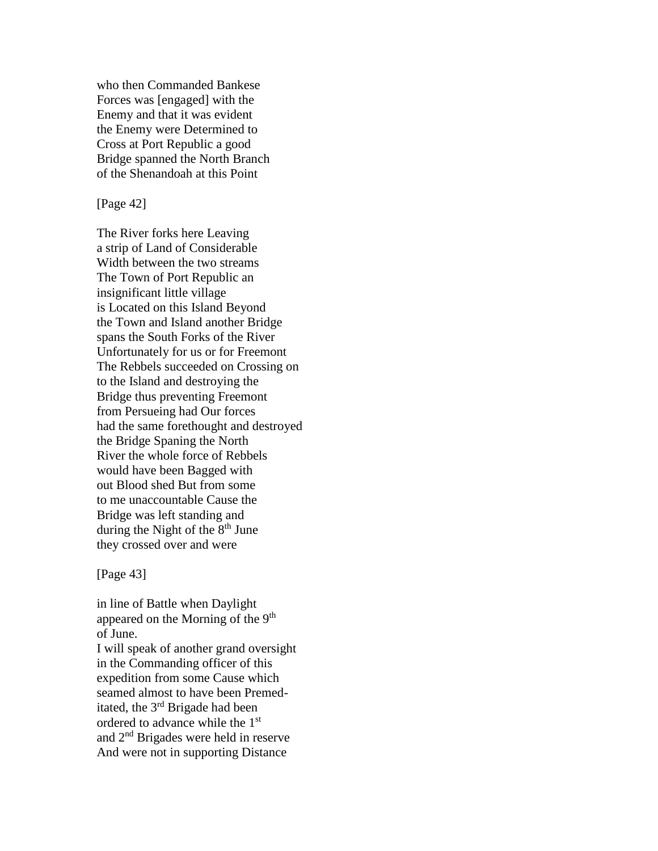who then Commanded Bankese Forces was [engaged] with the Enemy and that it was evident the Enemy were Determined to Cross at Port Republic a good Bridge spanned the North Branch of the Shenandoah at this Point

[Page 42]

The River forks here Leaving a strip of Land of Considerable Width between the two streams The Town of Port Republic an insignificant little village is Located on this Island Beyond the Town and Island another Bridge spans the South Forks of the River Unfortunately for us or for Freemont The Rebbels succeeded on Crossing on to the Island and destroying the Bridge thus preventing Freemont from Persueing had Our forces had the same forethought and destroyed the Bridge Spaning the North River the whole force of Rebbels would have been Bagged with out Blood shed But from some to me unaccountable Cause the Bridge was left standing and during the Night of the  $8<sup>th</sup>$  June they crossed over and were

[Page 43]

in line of Battle when Daylight appeared on the Morning of the 9<sup>th</sup> of June.

I will speak of another grand oversight in the Commanding officer of this expedition from some Cause which seamed almost to have been Premeditated, the 3rd Brigade had been ordered to advance while the 1st and  $2<sup>nd</sup>$  Brigades were held in reserve And were not in supporting Distance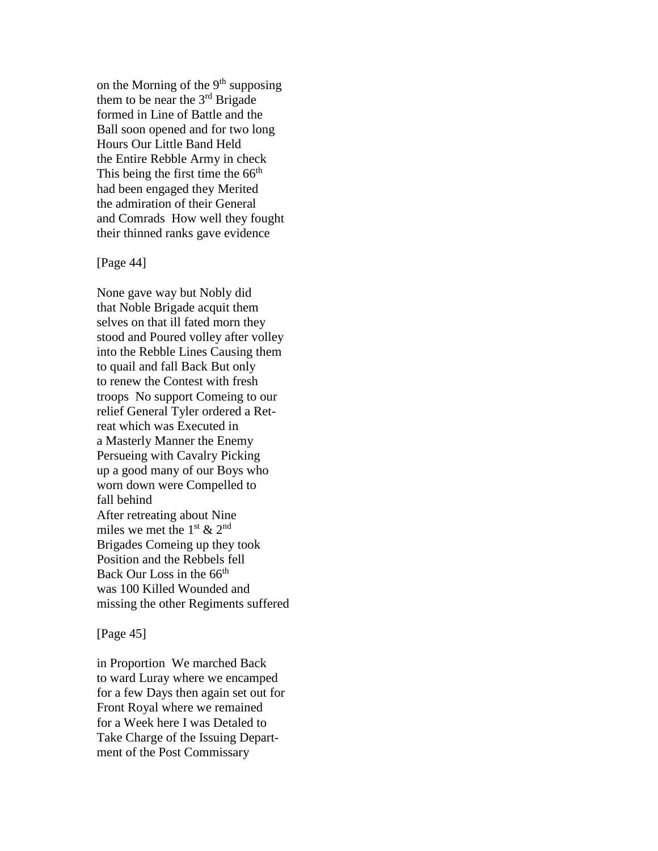on the Morning of the  $9<sup>th</sup>$  supposing them to be near the  $3<sup>rd</sup>$  Brigade formed in Line of Battle and the Ball soon opened and for two long Hours Our Little Band Held the Entire Rebble Army in check This being the first time the  $66<sup>th</sup>$ had been engaged they Merited the admiration of their General and Comrads How well they fought their thinned ranks gave evidence

### [Page 44]

None gave way but Nobly did that Noble Brigade acquit them selves on that ill fated morn they stood and Poured volley after volley into the Rebble Lines Causing them to quail and fall Back But only to renew the Contest with fresh troops No support Comeing to our relief General Tyler ordered a Retreat which was Executed in a Masterly Manner the Enemy Persueing with Cavalry Picking up a good many of our Boys who worn down were Compelled to fall behind After retreating about Nine miles we met the  $1<sup>st</sup>$  &  $2<sup>nd</sup>$ Brigades Comeing up they took Position and the Rebbels fell Back Our Loss in the 66<sup>th</sup> was 100 Killed Wounded and missing the other Regiments suffered

## [Page 45]

in Proportion We marched Back to ward Luray where we encamped for a few Days then again set out for Front Royal where we remained for a Week here I was Detaled to Take Charge of the Issuing Department of the Post Commissary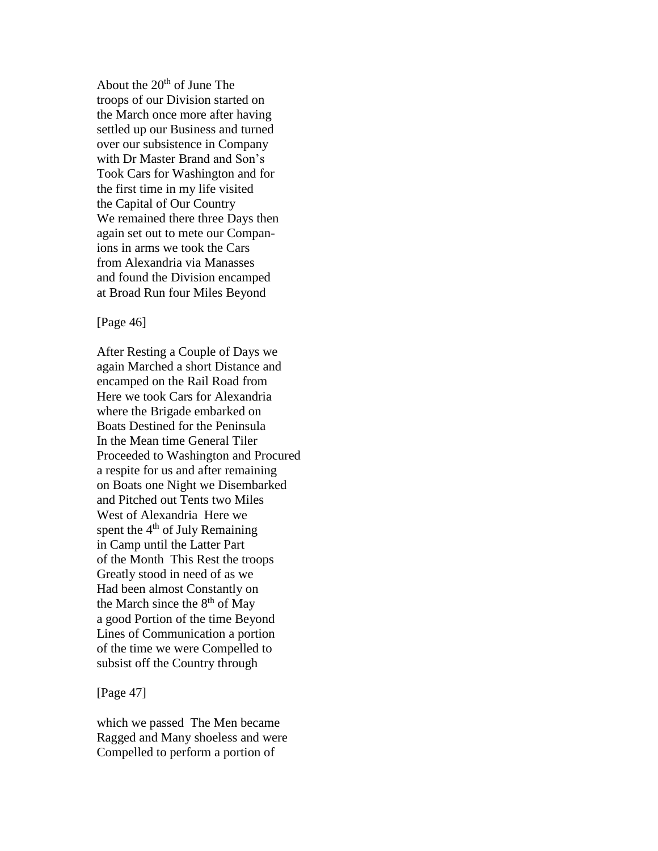About the  $20<sup>th</sup>$  of June The troops of our Division started on the March once more after having settled up our Business and turned over our subsistence in Company with Dr Master Brand and Son's Took Cars for Washington and for the first time in my life visited the Capital of Our Country We remained there three Days then again set out to mete our Companions in arms we took the Cars from Alexandria via Manasses and found the Division encamped at Broad Run four Miles Beyond

[Page 46]

After Resting a Couple of Days we again Marched a short Distance and encamped on the Rail Road from Here we took Cars for Alexandria where the Brigade embarked on Boats Destined for the Peninsula In the Mean time General Tiler Proceeded to Washington and Procured a respite for us and after remaining on Boats one Night we Disembarked and Pitched out Tents two Miles West of Alexandria Here we spent the  $4<sup>th</sup>$  of July Remaining in Camp until the Latter Part of the Month This Rest the troops Greatly stood in need of as we Had been almost Constantly on the March since the  $8<sup>th</sup>$  of May a good Portion of the time Beyond Lines of Communication a portion of the time we were Compelled to subsist off the Country through

[Page 47]

which we passed The Men became Ragged and Many shoeless and were Compelled to perform a portion of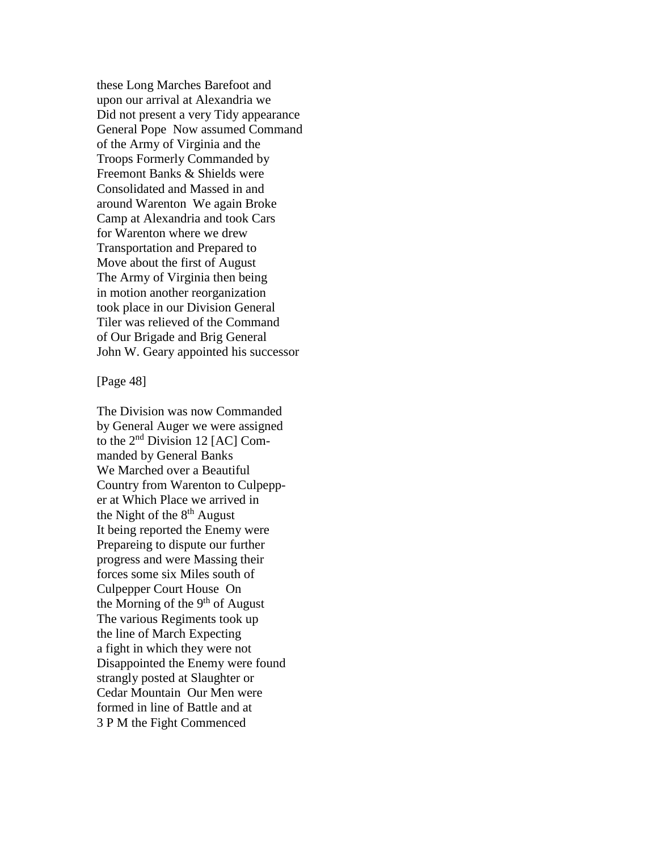these Long Marches Barefoot and upon our arrival at Alexandria we Did not present a very Tidy appearance General Pope Now assumed Command of the Army of Virginia and the Troops Formerly Commanded by Freemont Banks & Shields were Consolidated and Massed in and around Warenton We again Broke Camp at Alexandria and took Cars for Warenton where we drew Transportation and Prepared to Move about the first of August The Army of Virginia then being in motion another reorganization took place in our Division General Tiler was relieved of the Command of Our Brigade and Brig General John W. Geary appointed his successor

[Page 48]

The Division was now Commanded by General Auger we were assigned to the 2nd Division 12 [AC] Commanded by General Banks We Marched over a Beautiful Country from Warenton to Culpepper at Which Place we arrived in the Night of the  $8<sup>th</sup>$  August It being reported the Enemy were Prepareing to dispute our further progress and were Massing their forces some six Miles south of Culpepper Court House On the Morning of the 9<sup>th</sup> of August The various Regiments took up the line of March Expecting a fight in which they were not Disappointed the Enemy were found strangly posted at Slaughter or Cedar Mountain Our Men were formed in line of Battle and at 3 P M the Fight Commenced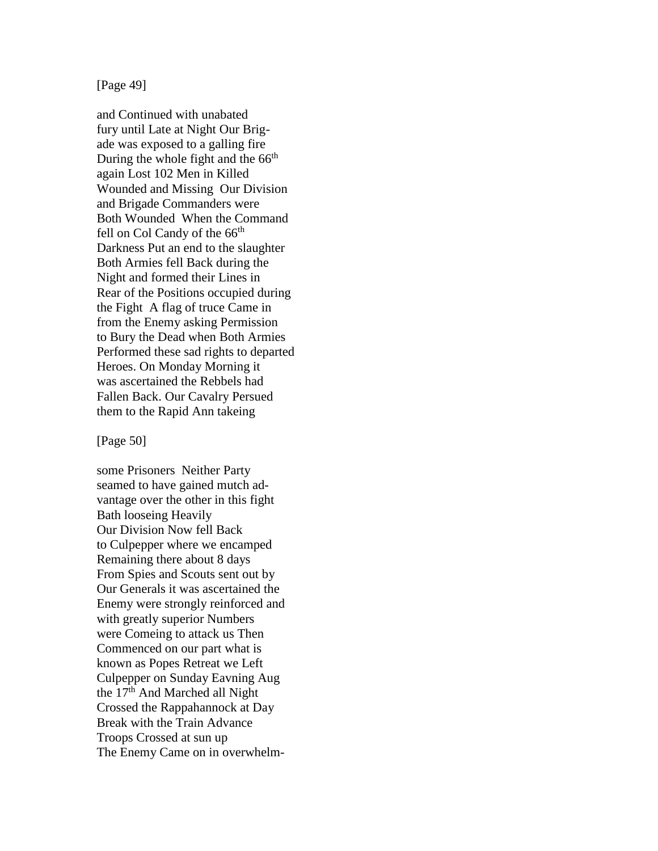[Page 49]

and Continued with unabated fury until Late at Night Our Brigade was exposed to a galling fire During the whole fight and the  $66<sup>th</sup>$ again Lost 102 Men in Killed Wounded and Missing Our Division and Brigade Commanders were Both Wounded When the Command fell on Col Candy of the 66<sup>th</sup> Darkness Put an end to the slaughter Both Armies fell Back during the Night and formed their Lines in Rear of the Positions occupied during the Fight A flag of truce Came in from the Enemy asking Permission to Bury the Dead when Both Armies Performed these sad rights to departed Heroes. On Monday Morning it was ascertained the Rebbels had Fallen Back. Our Cavalry Persued them to the Rapid Ann takeing

[Page 50]

some Prisoners Neither Party seamed to have gained mutch advantage over the other in this fight Bath looseing Heavily Our Division Now fell Back to Culpepper where we encamped Remaining there about 8 days From Spies and Scouts sent out by Our Generals it was ascertained the Enemy were strongly reinforced and with greatly superior Numbers were Comeing to attack us Then Commenced on our part what is known as Popes Retreat we Left Culpepper on Sunday Eavning Aug the 17<sup>th</sup> And Marched all Night Crossed the Rappahannock at Day Break with the Train Advance Troops Crossed at sun up The Enemy Came on in overwhelm-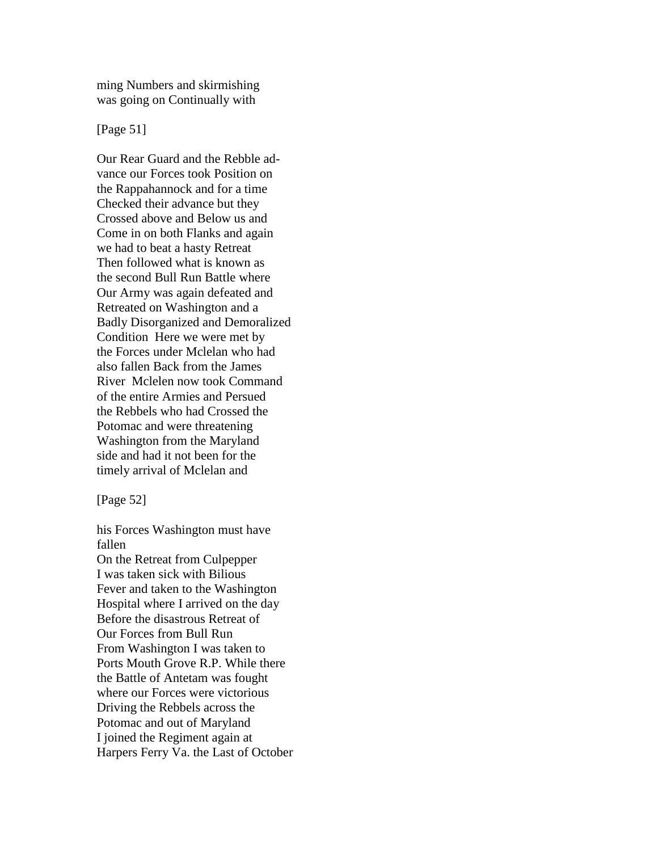ming Numbers and skirmishing was going on Continually with

[Page 51]

Our Rear Guard and the Rebble advance our Forces took Position on the Rappahannock and for a time Checked their advance but they Crossed above and Below us and Come in on both Flanks and again we had to beat a hasty Retreat Then followed what is known as the second Bull Run Battle where Our Army was again defeated and Retreated on Washington and a Badly Disorganized and Demoralized Condition Here we were met by the Forces under Mclelan who had also fallen Back from the James River Mclelen now took Command of the entire Armies and Persued the Rebbels who had Crossed the Potomac and were threatening Washington from the Maryland side and had it not been for the timely arrival of Mclelan and

[Page 52]

his Forces Washington must have fallen On the Retreat from Culpepper I was taken sick with Bilious Fever and taken to the Washington Hospital where I arrived on the day Before the disastrous Retreat of Our Forces from Bull Run From Washington I was taken to Ports Mouth Grove R.P. While there the Battle of Antetam was fought where our Forces were victorious Driving the Rebbels across the Potomac and out of Maryland I joined the Regiment again at Harpers Ferry Va. the Last of October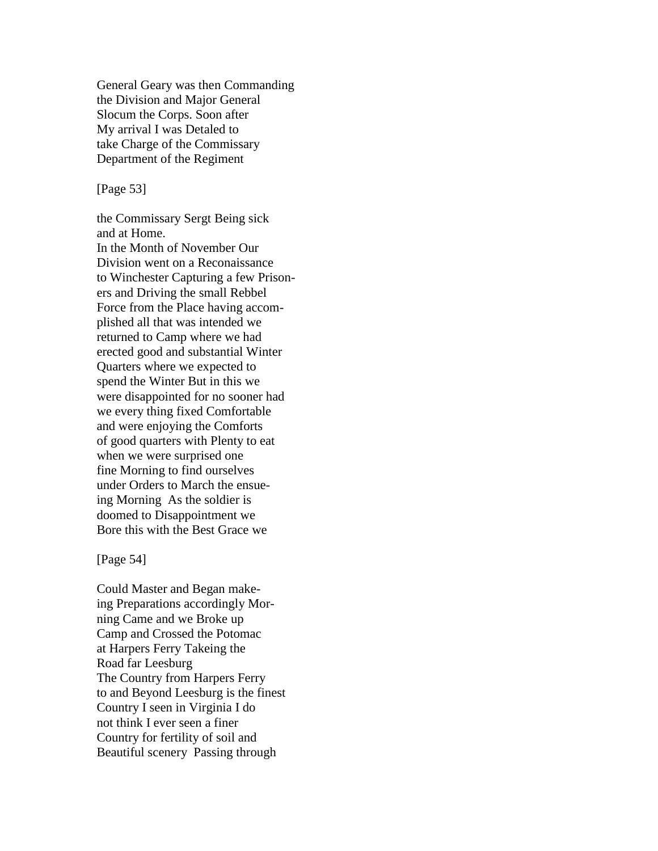General Geary was then Commanding the Division and Major General Slocum the Corps. Soon after My arrival I was Detaled to take Charge of the Commissary Department of the Regiment

## [Page 53]

the Commissary Sergt Being sick and at Home. In the Month of November Our Division went on a Reconaissance to Winchester Capturing a few Prisoners and Driving the small Rebbel Force from the Place having accomplished all that was intended we returned to Camp where we had erected good and substantial Winter Quarters where we expected to spend the Winter But in this we were disappointed for no sooner had we every thing fixed Comfortable and were enjoying the Comforts of good quarters with Plenty to eat when we were surprised one fine Morning to find ourselves under Orders to March the ensueing Morning As the soldier is doomed to Disappointment we Bore this with the Best Grace we

#### [Page 54]

Could Master and Began makeing Preparations accordingly Morning Came and we Broke up Camp and Crossed the Potomac at Harpers Ferry Takeing the Road far Leesburg The Country from Harpers Ferry to and Beyond Leesburg is the finest Country I seen in Virginia I do not think I ever seen a finer Country for fertility of soil and Beautiful scenery Passing through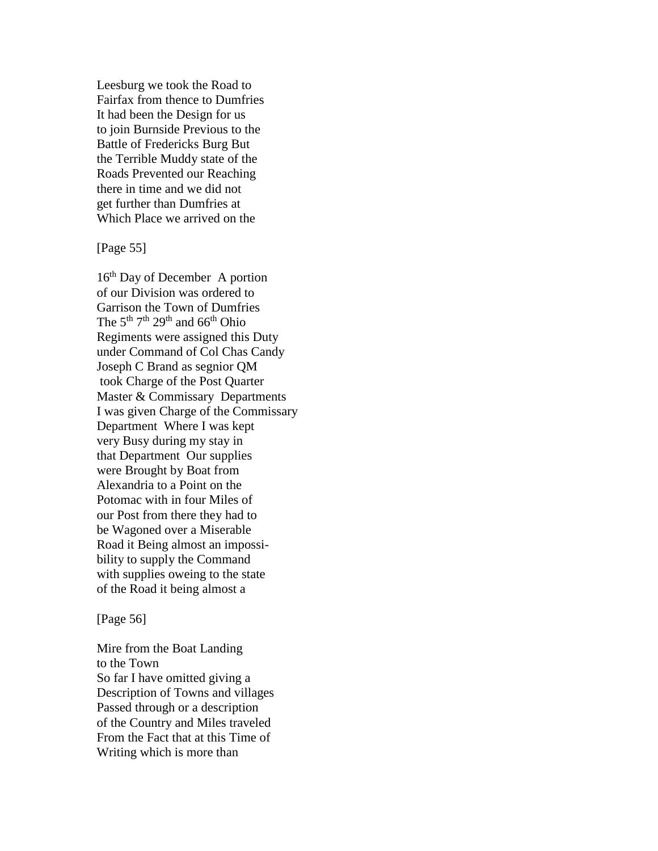Leesburg we took the Road to Fairfax from thence to Dumfries It had been the Design for us to join Burnside Previous to the Battle of Fredericks Burg But the Terrible Muddy state of the Roads Prevented our Reaching there in time and we did not get further than Dumfries at Which Place we arrived on the

[Page 55]

16<sup>th</sup> Day of December A portion of our Division was ordered to Garrison the Town of Dumfries The  $5<sup>th</sup> 7<sup>th</sup> 29<sup>th</sup>$  and  $66<sup>th</sup>$  Ohio Regiments were assigned this Duty under Command of Col Chas Candy Joseph C Brand as segnior QM took Charge of the Post Quarter Master & Commissary Departments I was given Charge of the Commissary Department Where I was kept very Busy during my stay in that Department Our supplies were Brought by Boat from Alexandria to a Point on the Potomac with in four Miles of our Post from there they had to be Wagoned over a Miserable Road it Being almost an impossibility to supply the Command with supplies oweing to the state of the Road it being almost a

[Page 56]

Mire from the Boat Landing to the Town So far I have omitted giving a Description of Towns and villages Passed through or a description of the Country and Miles traveled From the Fact that at this Time of Writing which is more than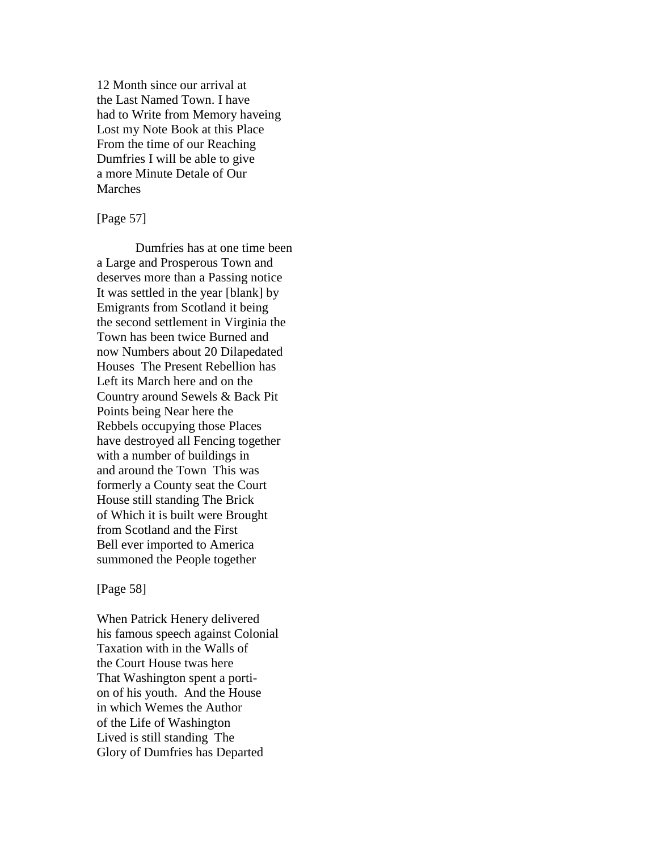12 Month since our arrival at the Last Named Town. I have had to Write from Memory haveing Lost my Note Book at this Place From the time of our Reaching Dumfries I will be able to give a more Minute Detale of Our Marches

## [Page 57]

Dumfries has at one time been a Large and Prosperous Town and deserves more than a Passing notice It was settled in the year [blank] by Emigrants from Scotland it being the second settlement in Virginia the Town has been twice Burned and now Numbers about 20 Dilapedated Houses The Present Rebellion has Left its March here and on the Country around Sewels & Back Pit Points being Near here the Rebbels occupying those Places have destroyed all Fencing together with a number of buildings in and around the Town This was formerly a County seat the Court House still standing The Brick of Which it is built were Brought from Scotland and the First Bell ever imported to America summoned the People together

#### [Page 58]

When Patrick Henery delivered his famous speech against Colonial Taxation with in the Walls of the Court House twas here That Washington spent a portion of his youth. And the House in which Wemes the Author of the Life of Washington Lived is still standing The Glory of Dumfries has Departed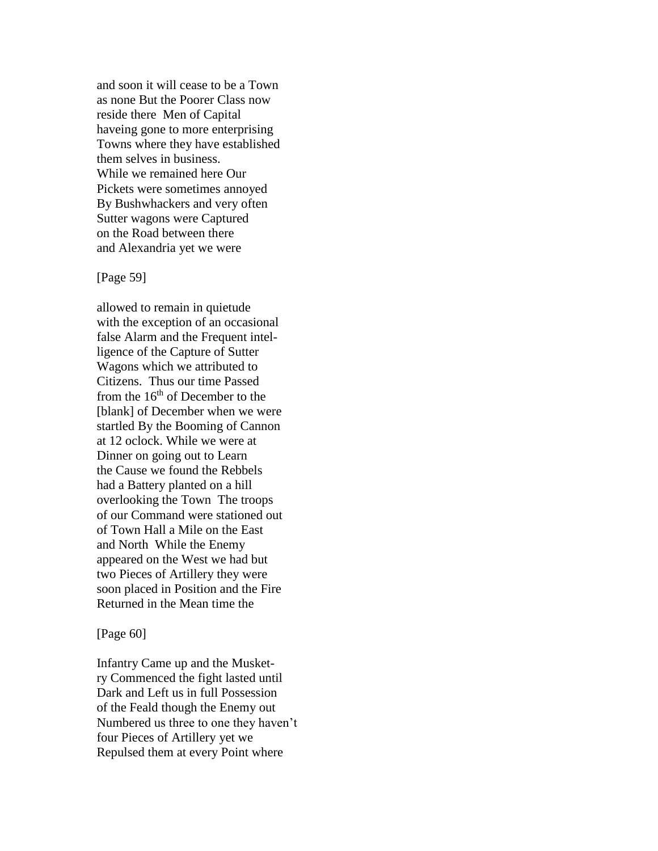and soon it will cease to be a Town as none But the Poorer Class now reside there Men of Capital haveing gone to more enterprising Towns where they have established them selves in business. While we remained here Our Pickets were sometimes annoyed By Bushwhackers and very often Sutter wagons were Captured on the Road between there and Alexandria yet we were

#### [Page 59]

allowed to remain in quietude with the exception of an occasional false Alarm and the Frequent intelligence of the Capture of Sutter Wagons which we attributed to Citizens. Thus our time Passed from the  $16<sup>th</sup>$  of December to the [blank] of December when we were startled By the Booming of Cannon at 12 oclock. While we were at Dinner on going out to Learn the Cause we found the Rebbels had a Battery planted on a hill overlooking the Town The troops of our Command were stationed out of Town Hall a Mile on the East and North While the Enemy appeared on the West we had but two Pieces of Artillery they were soon placed in Position and the Fire Returned in the Mean time the

### [Page 60]

Infantry Came up and the Musketry Commenced the fight lasted until Dark and Left us in full Possession of the Feald though the Enemy out Numbered us three to one they haven't four Pieces of Artillery yet we Repulsed them at every Point where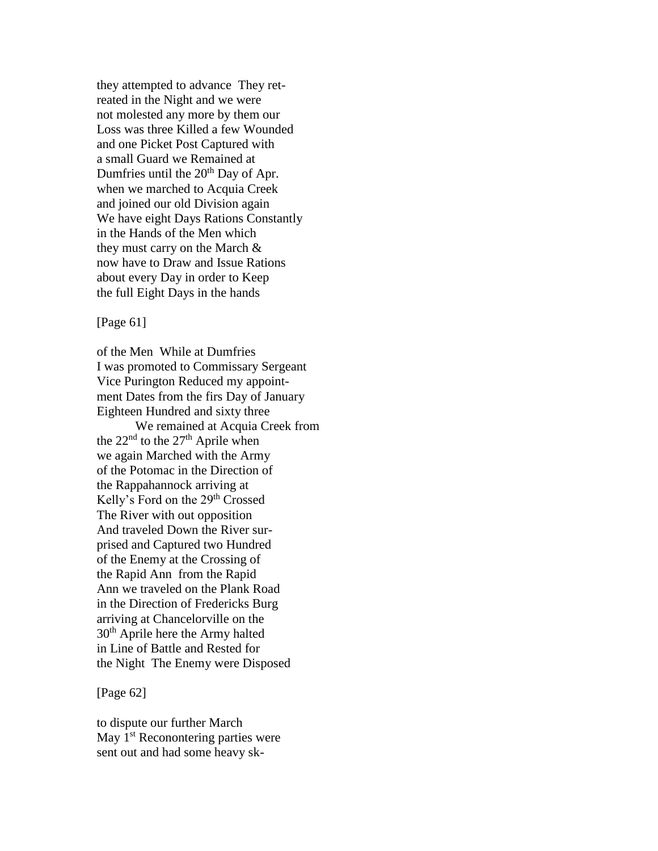they attempted to advance They retreated in the Night and we were not molested any more by them our Loss was three Killed a few Wounded and one Picket Post Captured with a small Guard we Remained at Dumfries until the  $20<sup>th</sup>$  Day of Apr. when we marched to Acquia Creek and joined our old Division again We have eight Days Rations Constantly in the Hands of the Men which they must carry on the March & now have to Draw and Issue Rations about every Day in order to Keep the full Eight Days in the hands

# [Page 61]

of the Men While at Dumfries I was promoted to Commissary Sergeant Vice Purington Reduced my appointment Dates from the firs Day of January Eighteen Hundred and sixty three We remained at Acquia Creek from the  $22<sup>nd</sup>$  to the  $27<sup>th</sup>$  Aprile when we again Marched with the Army of the Potomac in the Direction of the Rappahannock arriving at Kelly's Ford on the 29<sup>th</sup> Crossed The River with out opposition And traveled Down the River surprised and Captured two Hundred of the Enemy at the Crossing of the Rapid Ann from the Rapid Ann we traveled on the Plank Road in the Direction of Fredericks Burg arriving at Chancelorville on the 30th Aprile here the Army halted in Line of Battle and Rested for the Night The Enemy were Disposed

## [Page 62]

to dispute our further March May  $1<sup>st</sup>$  Reconontering parties were sent out and had some heavy sk-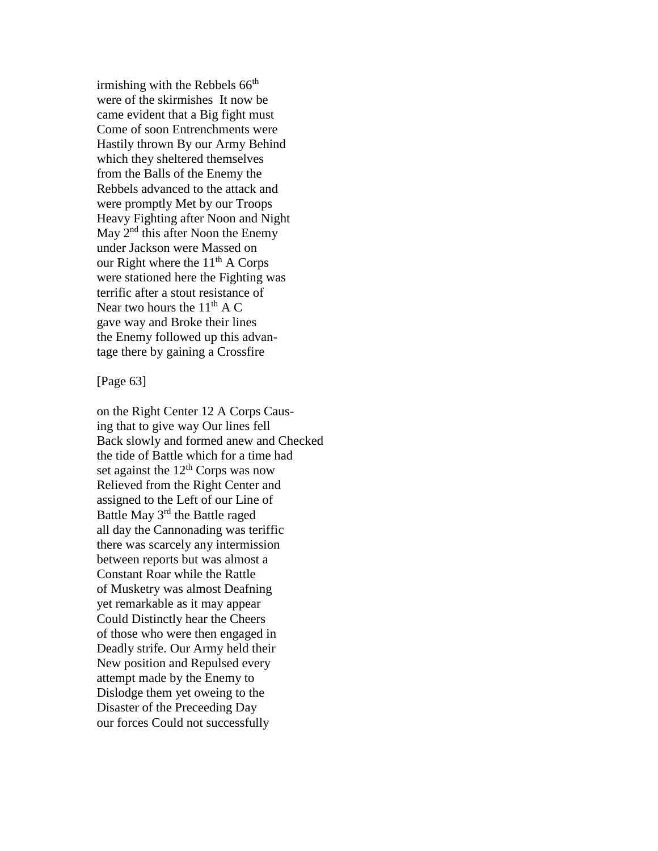irmishing with the Rebbels  $66<sup>th</sup>$ were of the skirmishes It now be came evident that a Big fight must Come of soon Entrenchments were Hastily thrown By our Army Behind which they sheltered themselves from the Balls of the Enemy the Rebbels advanced to the attack and were promptly Met by our Troops Heavy Fighting after Noon and Night May 2<sup>nd</sup> this after Noon the Enemy under Jackson were Massed on our Right where the  $11<sup>th</sup>$  A Corps were stationed here the Fighting was terrific after a stout resistance of Near two hours the  $11<sup>th</sup>$  A C gave way and Broke their lines the Enemy followed up this advantage there by gaining a Crossfire

### [Page 63]

on the Right Center 12 A Corps Causing that to give way Our lines fell Back slowly and formed anew and Checked the tide of Battle which for a time had set against the  $12<sup>th</sup>$  Corps was now Relieved from the Right Center and assigned to the Left of our Line of Battle May 3<sup>rd</sup> the Battle raged all day the Cannonading was teriffic there was scarcely any intermission between reports but was almost a Constant Roar while the Rattle of Musketry was almost Deafning yet remarkable as it may appear Could Distinctly hear the Cheers of those who were then engaged in Deadly strife. Our Army held their New position and Repulsed every attempt made by the Enemy to Dislodge them yet oweing to the Disaster of the Preceeding Day our forces Could not successfully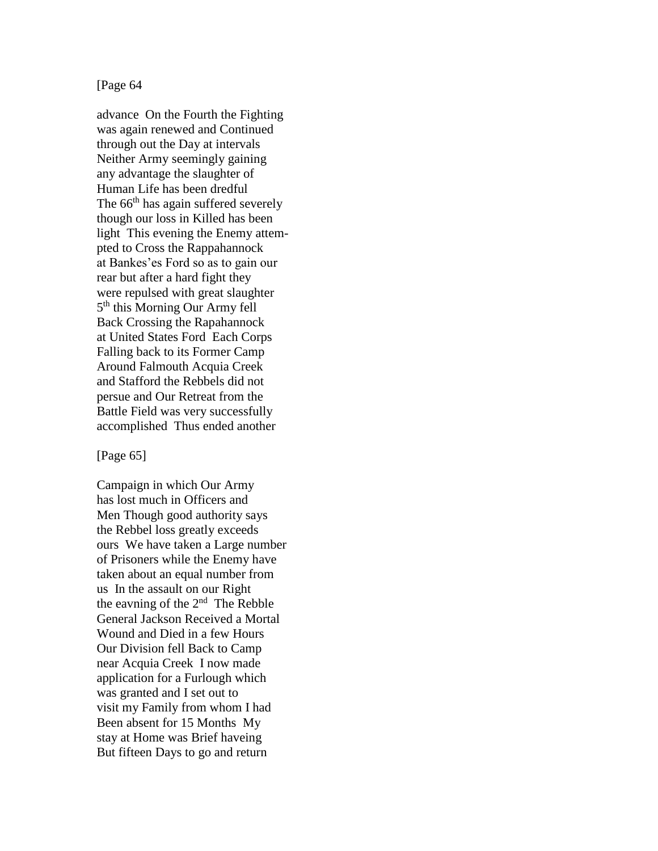## [Page 64

advance On the Fourth the Fighting was again renewed and Continued through out the Day at intervals Neither Army seemingly gaining any advantage the slaughter of Human Life has been dredful The  $66<sup>th</sup>$  has again suffered severely though our loss in Killed has been light This evening the Enemy attempted to Cross the Rappahannock at Bankes'es Ford so as to gain our rear but after a hard fight they were repulsed with great slaughter 5<sup>th</sup> this Morning Our Army fell Back Crossing the Rapahannock at United States Ford Each Corps Falling back to its Former Camp Around Falmouth Acquia Creek and Stafford the Rebbels did not persue and Our Retreat from the Battle Field was very successfully accomplished Thus ended another

### [Page 65]

Campaign in which Our Army has lost much in Officers and Men Though good authority says the Rebbel loss greatly exceeds ours We have taken a Large number of Prisoners while the Enemy have taken about an equal number from us In the assault on our Right the eavning of the 2<sup>nd</sup> The Rebble General Jackson Received a Mortal Wound and Died in a few Hours Our Division fell Back to Camp near Acquia Creek I now made application for a Furlough which was granted and I set out to visit my Family from whom I had Been absent for 15 Months My stay at Home was Brief haveing But fifteen Days to go and return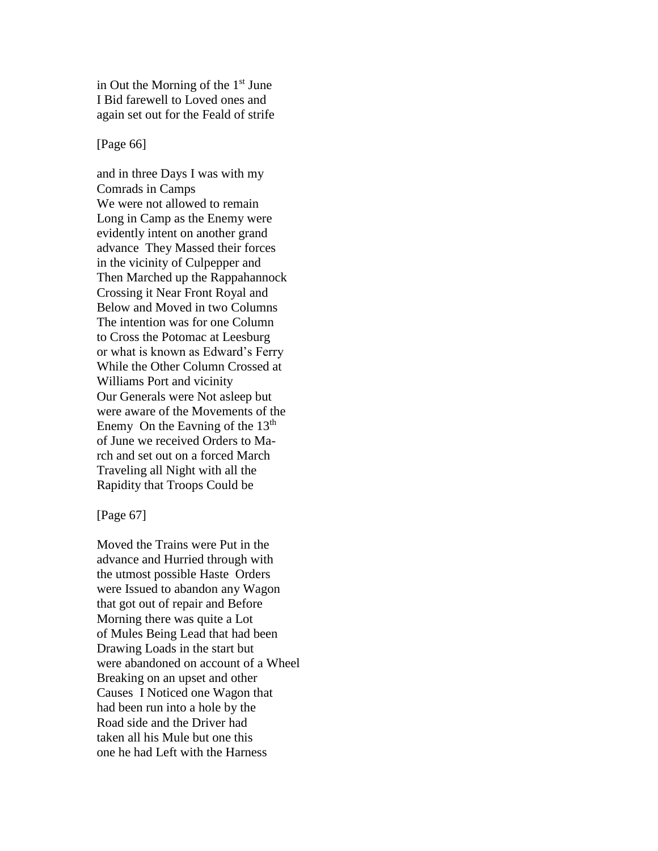in Out the Morning of the  $1<sup>st</sup>$  June I Bid farewell to Loved ones and again set out for the Feald of strife

[Page 66]

and in three Days I was with my Comrads in Camps We were not allowed to remain Long in Camp as the Enemy were evidently intent on another grand advance They Massed their forces in the vicinity of Culpepper and Then Marched up the Rappahannock Crossing it Near Front Royal and Below and Moved in two Columns The intention was for one Column to Cross the Potomac at Leesburg or what is known as Edward's Ferry While the Other Column Crossed at Williams Port and vicinity Our Generals were Not asleep but were aware of the Movements of the Enemy On the Eavning of the  $13<sup>th</sup>$ of June we received Orders to March and set out on a forced March Traveling all Night with all the Rapidity that Troops Could be

[Page 67]

Moved the Trains were Put in the advance and Hurried through with the utmost possible Haste Orders were Issued to abandon any Wagon that got out of repair and Before Morning there was quite a Lot of Mules Being Lead that had been Drawing Loads in the start but were abandoned on account of a Wheel Breaking on an upset and other Causes I Noticed one Wagon that had been run into a hole by the Road side and the Driver had taken all his Mule but one this one he had Left with the Harness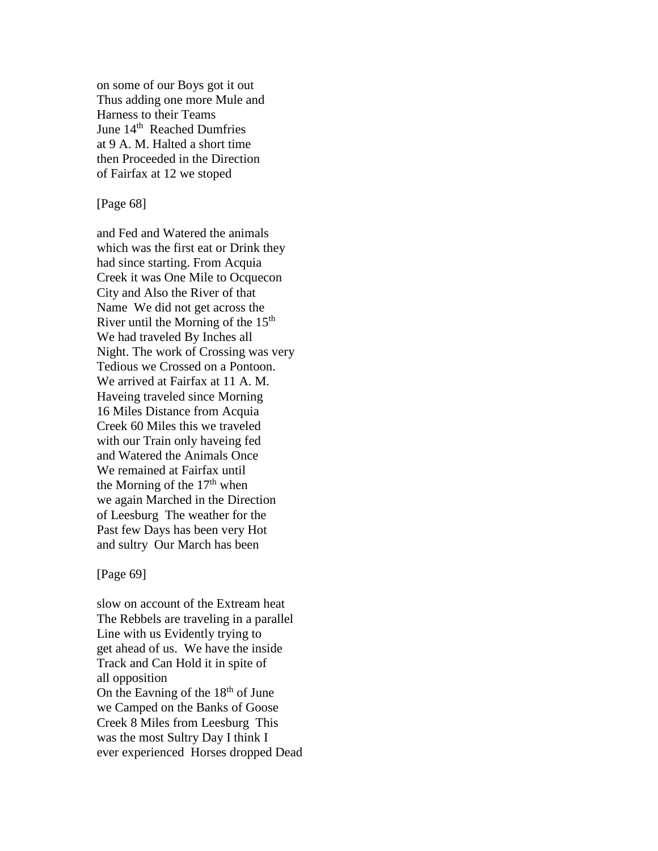on some of our Boys got it out Thus adding one more Mule and Harness to their Teams June 14<sup>th</sup> Reached Dumfries at 9 A. M. Halted a short time then Proceeded in the Direction of Fairfax at 12 we stoped

[Page 68]

and Fed and Watered the animals which was the first eat or Drink they had since starting. From Acquia Creek it was One Mile to Ocquecon City and Also the River of that Name We did not get across the River until the Morning of the  $15<sup>th</sup>$ We had traveled By Inches all Night. The work of Crossing was very Tedious we Crossed on a Pontoon. We arrived at Fairfax at 11 A. M. Haveing traveled since Morning 16 Miles Distance from Acquia Creek 60 Miles this we traveled with our Train only haveing fed and Watered the Animals Once We remained at Fairfax until the Morning of the  $17<sup>th</sup>$  when we again Marched in the Direction of Leesburg The weather for the Past few Days has been very Hot and sultry Our March has been

[Page 69]

slow on account of the Extream heat The Rebbels are traveling in a parallel Line with us Evidently trying to get ahead of us. We have the inside Track and Can Hold it in spite of all opposition On the Eavning of the  $18<sup>th</sup>$  of June we Camped on the Banks of Goose Creek 8 Miles from Leesburg This was the most Sultry Day I think I ever experienced Horses dropped Dead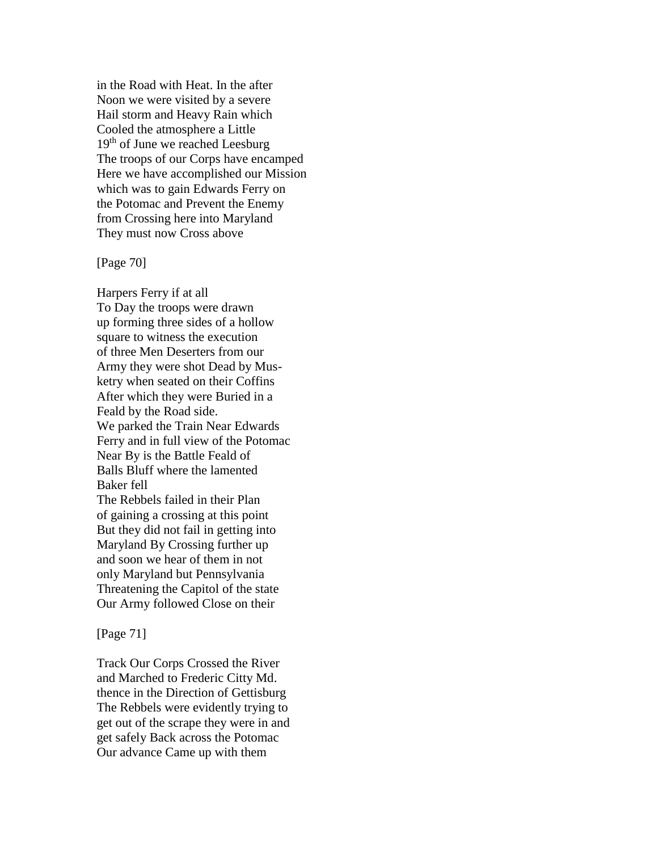in the Road with Heat. In the after Noon we were visited by a severe Hail storm and Heavy Rain which Cooled the atmosphere a Little  $19<sup>th</sup>$  of June we reached Leesburg The troops of our Corps have encamped Here we have accomplished our Mission which was to gain Edwards Ferry on the Potomac and Prevent the Enemy from Crossing here into Maryland They must now Cross above

### [Page 70]

Harpers Ferry if at all To Day the troops were drawn up forming three sides of a hollow square to witness the execution of three Men Deserters from our Army they were shot Dead by Musketry when seated on their Coffins After which they were Buried in a Feald by the Road side. We parked the Train Near Edwards Ferry and in full view of the Potomac Near By is the Battle Feald of Balls Bluff where the lamented Baker fell The Rebbels failed in their Plan of gaining a crossing at this point But they did not fail in getting into Maryland By Crossing further up and soon we hear of them in not only Maryland but Pennsylvania Threatening the Capitol of the state Our Army followed Close on their

## [Page 71]

Track Our Corps Crossed the River and Marched to Frederic Citty Md. thence in the Direction of Gettisburg The Rebbels were evidently trying to get out of the scrape they were in and get safely Back across the Potomac Our advance Came up with them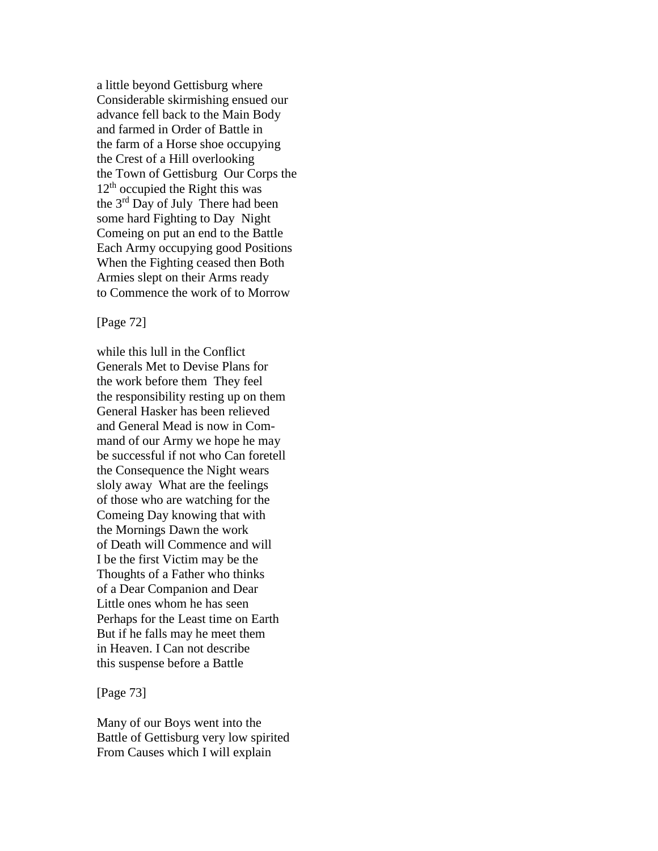a little beyond Gettisburg where Considerable skirmishing ensued our advance fell back to the Main Body and farmed in Order of Battle in the farm of a Horse shoe occupying the Crest of a Hill overlooking the Town of Gettisburg Our Corps the  $12<sup>th</sup>$  occupied the Right this was the 3<sup>rd</sup> Day of July There had been some hard Fighting to Day Night Comeing on put an end to the Battle Each Army occupying good Positions When the Fighting ceased then Both Armies slept on their Arms ready to Commence the work of to Morrow

[Page 72]

while this lull in the Conflict Generals Met to Devise Plans for the work before them They feel the responsibility resting up on them General Hasker has been relieved and General Mead is now in Command of our Army we hope he may be successful if not who Can foretell the Consequence the Night wears sloly away What are the feelings of those who are watching for the Comeing Day knowing that with the Mornings Dawn the work of Death will Commence and will I be the first Victim may be the Thoughts of a Father who thinks of a Dear Companion and Dear Little ones whom he has seen Perhaps for the Least time on Earth But if he falls may he meet them in Heaven. I Can not describe this suspense before a Battle

[Page 73]

Many of our Boys went into the Battle of Gettisburg very low spirited From Causes which I will explain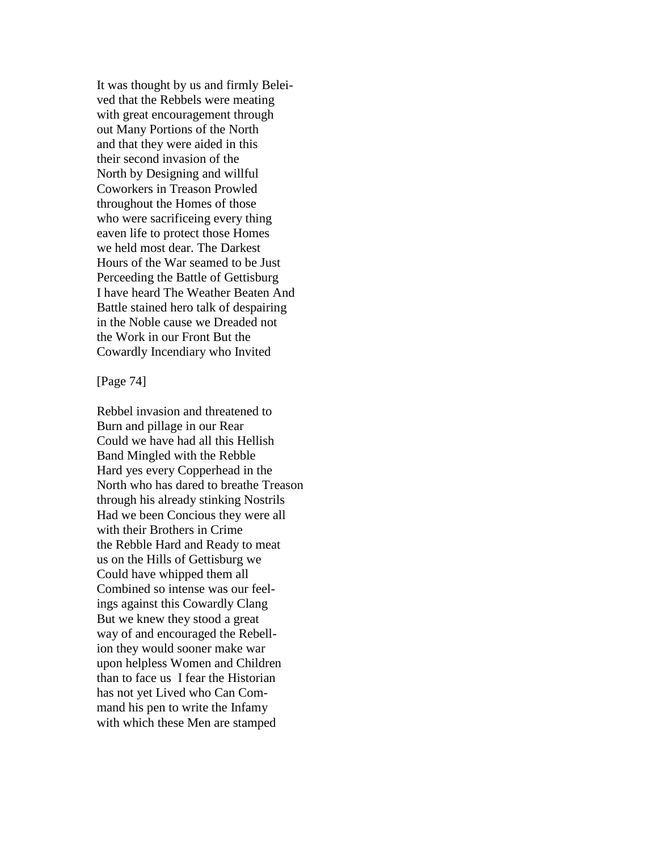It was thought by us and firmly Beleived that the Rebbels were meating with great encouragement through out Many Portions of the North and that they were aided in this their second invasion of the North by Designing and willful Coworkers in Treason Prowled throughout the Homes of those who were sacrificeing every thing eaven life to protect those Homes we held most dear. The Darkest Hours of the War seamed to be Just Perceeding the Battle of Gettisburg I have heard The Weather Beaten And Battle stained hero talk of despairing in the Noble cause we Dreaded not the Work in our Front But the Cowardly Incendiary who Invited

#### [Page 74]

Rebbel invasion and threatened to Burn and pillage in our Rear Could we have had all this Hellish Band Mingled with the Rebble Hard yes every Copperhead in the North who has dared to breathe Treason through his already stinking Nostrils Had we been Concious they were all with their Brothers in Crime the Rebble Hard and Ready to meat us on the Hills of Gettisburg we Could have whipped them all Combined so intense was our feelings against this Cowardly Clang But we knew they stood a great way of and encouraged the Rebellion they would sooner make war upon helpless Women and Children than to face us I fear the Historian has not yet Lived who Can Command his pen to write the Infamy with which these Men are stamped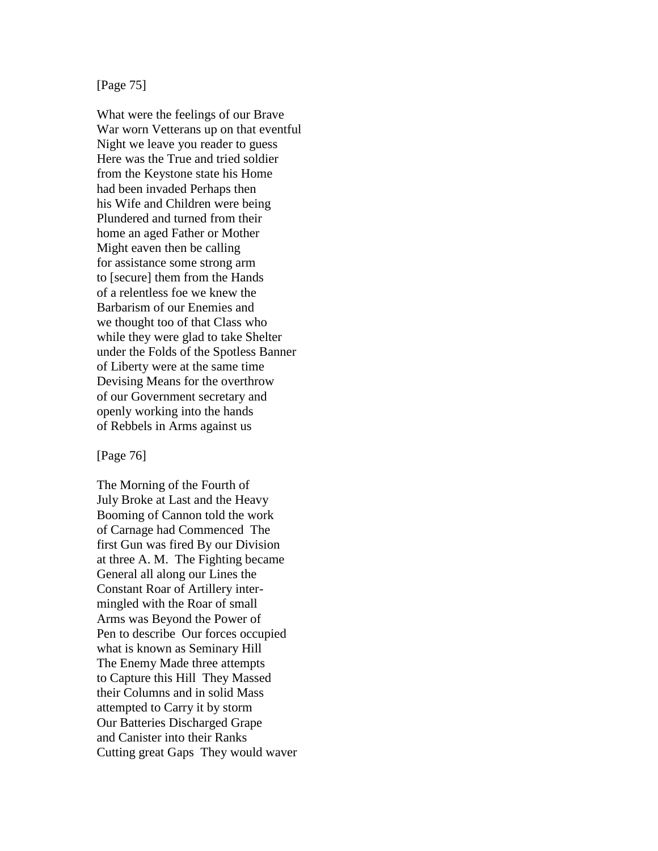# [Page 75]

What were the feelings of our Brave War worn Vetterans up on that eventful Night we leave you reader to guess Here was the True and tried soldier from the Keystone state his Home had been invaded Perhaps then his Wife and Children were being Plundered and turned from their home an aged Father or Mother Might eaven then be calling for assistance some strong arm to [secure] them from the Hands of a relentless foe we knew the Barbarism of our Enemies and we thought too of that Class who while they were glad to take Shelter under the Folds of the Spotless Banner of Liberty were at the same time Devising Means for the overthrow of our Government secretary and openly working into the hands of Rebbels in Arms against us

### [Page 76]

The Morning of the Fourth of July Broke at Last and the Heavy Booming of Cannon told the work of Carnage had Commenced The first Gun was fired By our Division at three A. M. The Fighting became General all along our Lines the Constant Roar of Artillery intermingled with the Roar of small Arms was Beyond the Power of Pen to describe Our forces occupied what is known as Seminary Hill The Enemy Made three attempts to Capture this Hill They Massed their Columns and in solid Mass attempted to Carry it by storm Our Batteries Discharged Grape and Canister into their Ranks Cutting great Gaps They would waver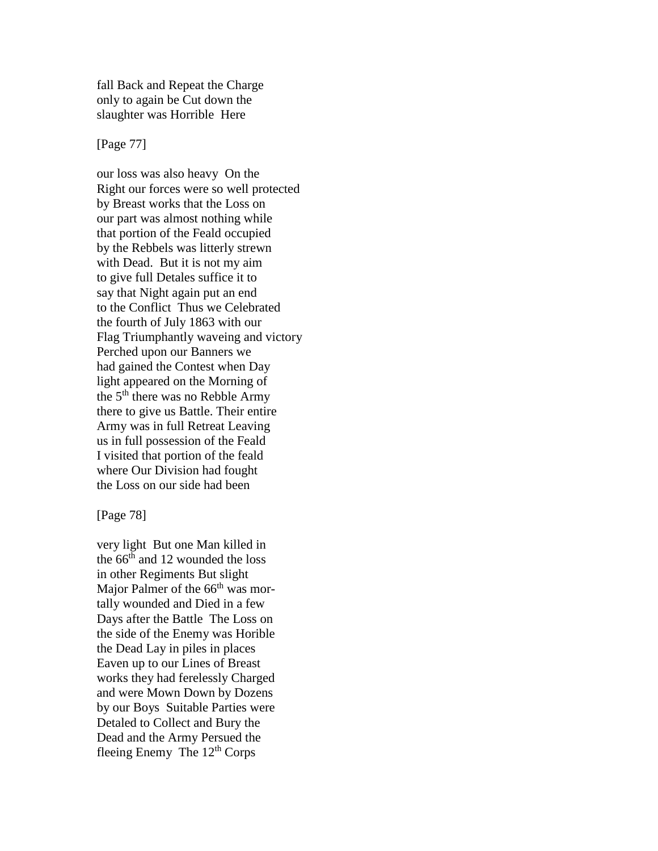fall Back and Repeat the Charge only to again be Cut down the slaughter was Horrible Here

## [Page 77]

our loss was also heavy On the Right our forces were so well protected by Breast works that the Loss on our part was almost nothing while that portion of the Feald occupied by the Rebbels was litterly strewn with Dead. But it is not my aim to give full Detales suffice it to say that Night again put an end to the Conflict Thus we Celebrated the fourth of July 1863 with our Flag Triumphantly waveing and victory Perched upon our Banners we had gained the Contest when Day light appeared on the Morning of the 5<sup>th</sup> there was no Rebble Army there to give us Battle. Their entire Army was in full Retreat Leaving us in full possession of the Feald I visited that portion of the feald where Our Division had fought the Loss on our side had been

[Page 78]

very light But one Man killed in the 66<sup>th</sup> and 12 wounded the loss in other Regiments But slight Major Palmer of the  $66<sup>th</sup>$  was mortally wounded and Died in a few Days after the Battle The Loss on the side of the Enemy was Horible the Dead Lay in piles in places Eaven up to our Lines of Breast works they had ferelessly Charged and were Mown Down by Dozens by our Boys Suitable Parties were Detaled to Collect and Bury the Dead and the Army Persued the fleeing Enemy The 12th Corps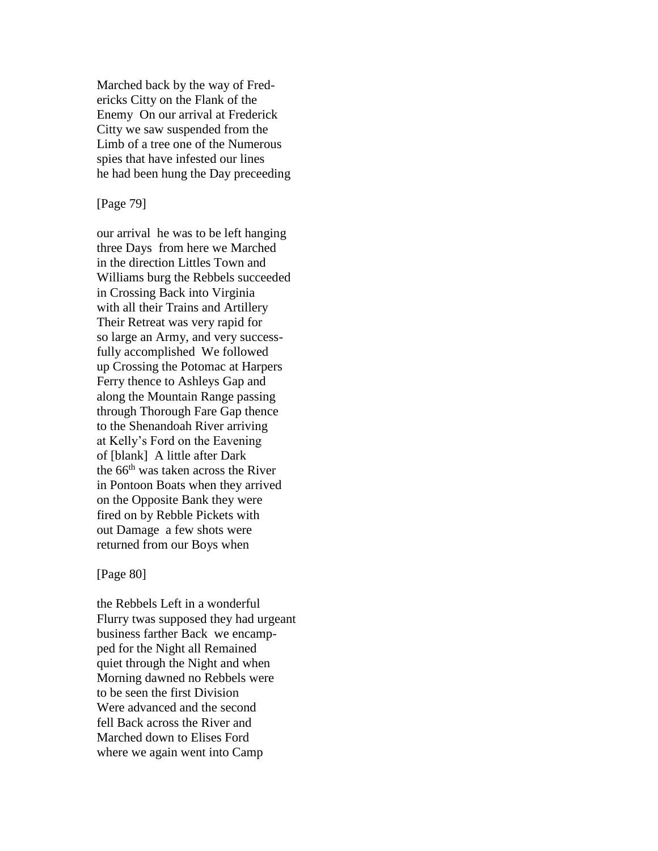Marched back by the way of Fredericks Citty on the Flank of the Enemy On our arrival at Frederick Citty we saw suspended from the Limb of a tree one of the Numerous spies that have infested our lines he had been hung the Day preceeding

[Page 79]

our arrival he was to be left hanging three Days from here we Marched in the direction Littles Town and Williams burg the Rebbels succeeded in Crossing Back into Virginia with all their Trains and Artillery Their Retreat was very rapid for so large an Army, and very successfully accomplished We followed up Crossing the Potomac at Harpers Ferry thence to Ashleys Gap and along the Mountain Range passing through Thorough Fare Gap thence to the Shenandoah River arriving at Kelly's Ford on the Eavening of [blank] A little after Dark the 66<sup>th</sup> was taken across the River in Pontoon Boats when they arrived on the Opposite Bank they were fired on by Rebble Pickets with out Damage a few shots were returned from our Boys when

[Page 80]

the Rebbels Left in a wonderful Flurry twas supposed they had urgeant business farther Back we encampped for the Night all Remained quiet through the Night and when Morning dawned no Rebbels were to be seen the first Division Were advanced and the second fell Back across the River and Marched down to Elises Ford where we again went into Camp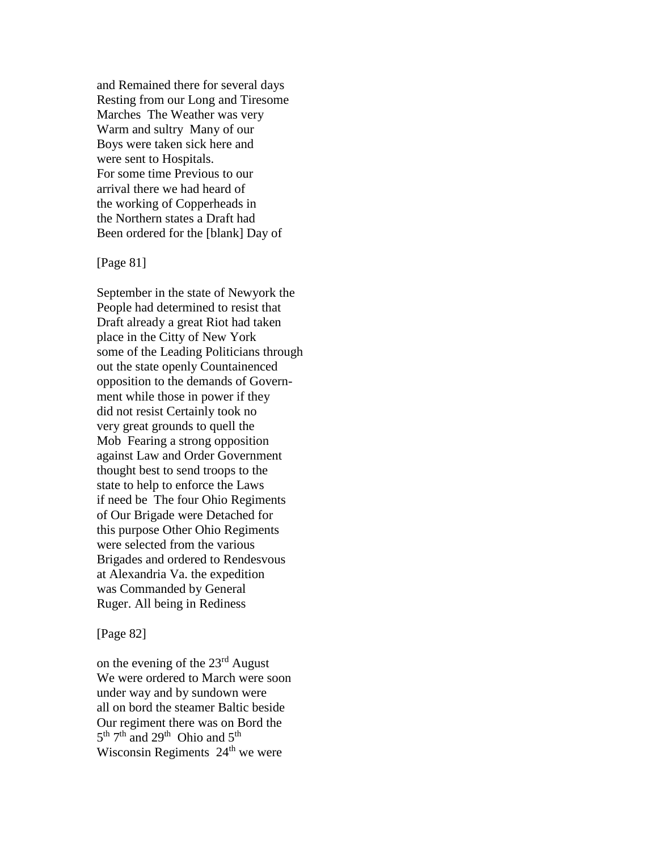and Remained there for several days Resting from our Long and Tiresome Marches The Weather was very Warm and sultry Many of our Boys were taken sick here and were sent to Hospitals. For some time Previous to our arrival there we had heard of the working of Copperheads in the Northern states a Draft had Been ordered for the [blank] Day of

## [Page 81]

September in the state of Newyork the People had determined to resist that Draft already a great Riot had taken place in the Citty of New York some of the Leading Politicians through out the state openly Countainenced opposition to the demands of Government while those in power if they did not resist Certainly took no very great grounds to quell the Mob Fearing a strong opposition against Law and Order Government thought best to send troops to the state to help to enforce the Laws if need be The four Ohio Regiments of Our Brigade were Detached for this purpose Other Ohio Regiments were selected from the various Brigades and ordered to Rendesvous at Alexandria Va. the expedition was Commanded by General Ruger. All being in Rediness

## [Page 82]

on the evening of the  $23<sup>rd</sup>$  August We were ordered to March were soon under way and by sundown were all on bord the steamer Baltic beside Our regiment there was on Bord the  $5<sup>th</sup> 7<sup>th</sup>$  and  $29<sup>th</sup>$  Ohio and  $5<sup>th</sup>$ Wisconsin Regiments 24<sup>th</sup> we were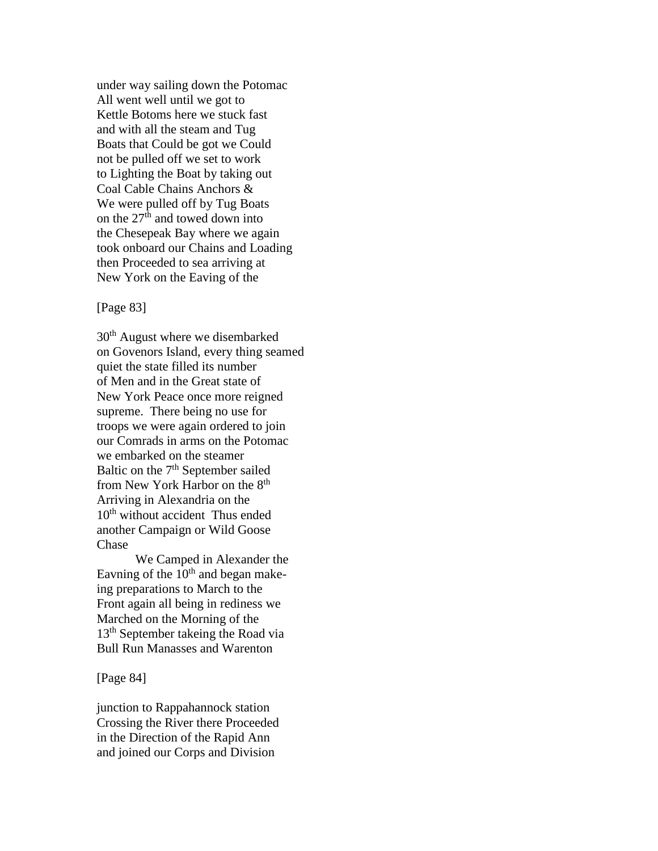under way sailing down the Potomac All went well until we got to Kettle Botoms here we stuck fast and with all the steam and Tug Boats that Could be got we Could not be pulled off we set to work to Lighting the Boat by taking out Coal Cable Chains Anchors & We were pulled off by Tug Boats on the  $27<sup>th</sup>$  and towed down into the Chesepeak Bay where we again took onboard our Chains and Loading then Proceeded to sea arriving at New York on the Eaving of the

## [Page 83]

30<sup>th</sup> August where we disembarked on Govenors Island, every thing seamed quiet the state filled its number of Men and in the Great state of New York Peace once more reigned supreme. There being no use for troops we were again ordered to join our Comrads in arms on the Potomac we embarked on the steamer Baltic on the 7<sup>th</sup> September sailed from New York Harbor on the 8<sup>th</sup> Arriving in Alexandria on the 10<sup>th</sup> without accident Thus ended another Campaign or Wild Goose Chase

We Camped in Alexander the Eavning of the  $10<sup>th</sup>$  and began makeing preparations to March to the Front again all being in rediness we Marched on the Morning of the 13<sup>th</sup> September takeing the Road via Bull Run Manasses and Warenton

[Page 84]

junction to Rappahannock station Crossing the River there Proceeded in the Direction of the Rapid Ann and joined our Corps and Division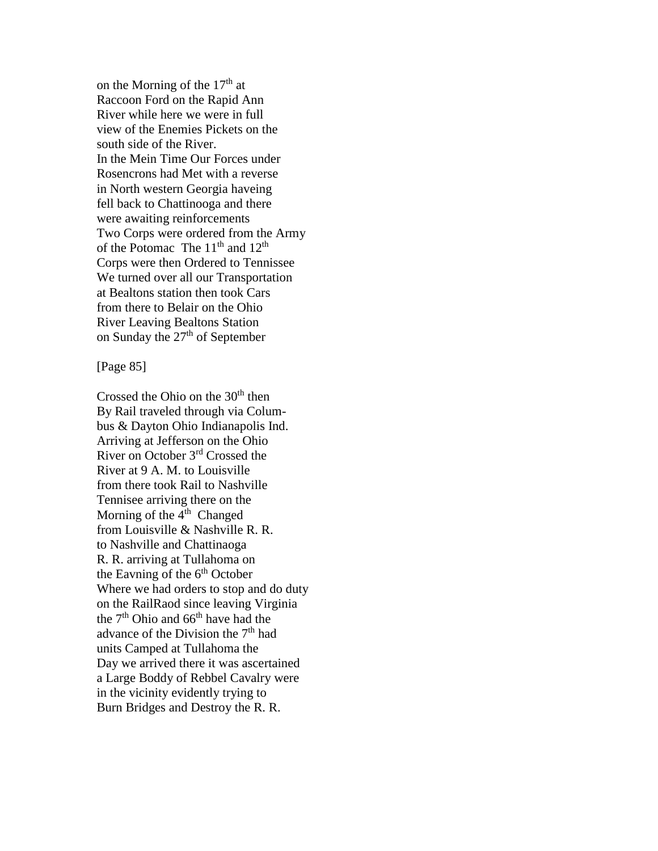on the Morning of the  $17<sup>th</sup>$  at Raccoon Ford on the Rapid Ann River while here we were in full view of the Enemies Pickets on the south side of the River. In the Mein Time Our Forces under Rosencrons had Met with a reverse in North western Georgia haveing fell back to Chattinooga and there were awaiting reinforcements Two Corps were ordered from the Army of the Potomac The  $11<sup>th</sup>$  and  $12<sup>th</sup>$ Corps were then Ordered to Tennissee We turned over all our Transportation at Bealtons station then took Cars from there to Belair on the Ohio River Leaving Bealtons Station on Sunday the  $27<sup>th</sup>$  of September

## [Page 85]

Crossed the Ohio on the 30<sup>th</sup> then By Rail traveled through via Columbus & Dayton Ohio Indianapolis Ind. Arriving at Jefferson on the Ohio River on October 3rd Crossed the River at 9 A. M. to Louisville from there took Rail to Nashville Tennisee arriving there on the Morning of the  $4<sup>th</sup>$  Changed from Louisville & Nashville R. R. to Nashville and Chattinaoga R. R. arriving at Tullahoma on the Eavning of the  $6<sup>th</sup>$  October Where we had orders to stop and do duty on the RailRaod since leaving Virginia the  $7<sup>th</sup>$  Ohio and 66<sup>th</sup> have had the advance of the Division the 7<sup>th</sup> had units Camped at Tullahoma the Day we arrived there it was ascertained a Large Boddy of Rebbel Cavalry were in the vicinity evidently trying to Burn Bridges and Destroy the R. R.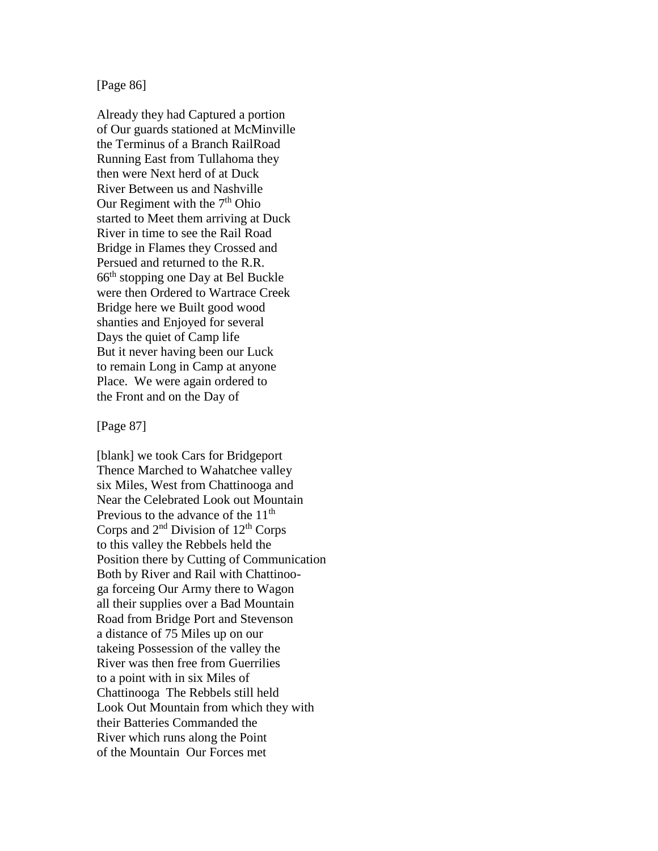# [Page 86]

Already they had Captured a portion of Our guards stationed at McMinville the Terminus of a Branch RailRoad Running East from Tullahoma they then were Next herd of at Duck River Between us and Nashville Our Regiment with the  $7<sup>th</sup>$  Ohio started to Meet them arriving at Duck River in time to see the Rail Road Bridge in Flames they Crossed and Persued and returned to the R.R. 66th stopping one Day at Bel Buckle were then Ordered to Wartrace Creek Bridge here we Built good wood shanties and Enjoyed for several Days the quiet of Camp life But it never having been our Luck to remain Long in Camp at anyone Place. We were again ordered to the Front and on the Day of

#### [Page 87]

[blank] we took Cars for Bridgeport Thence Marched to Wahatchee valley six Miles, West from Chattinooga and Near the Celebrated Look out Mountain Previous to the advance of the  $11<sup>th</sup>$ Corps and  $2<sup>nd</sup>$  Division of  $12<sup>th</sup>$  Corps to this valley the Rebbels held the Position there by Cutting of Communication Both by River and Rail with Chattinooga forceing Our Army there to Wagon all their supplies over a Bad Mountain Road from Bridge Port and Stevenson a distance of 75 Miles up on our takeing Possession of the valley the River was then free from Guerrilies to a point with in six Miles of Chattinooga The Rebbels still held Look Out Mountain from which they with their Batteries Commanded the River which runs along the Point of the Mountain Our Forces met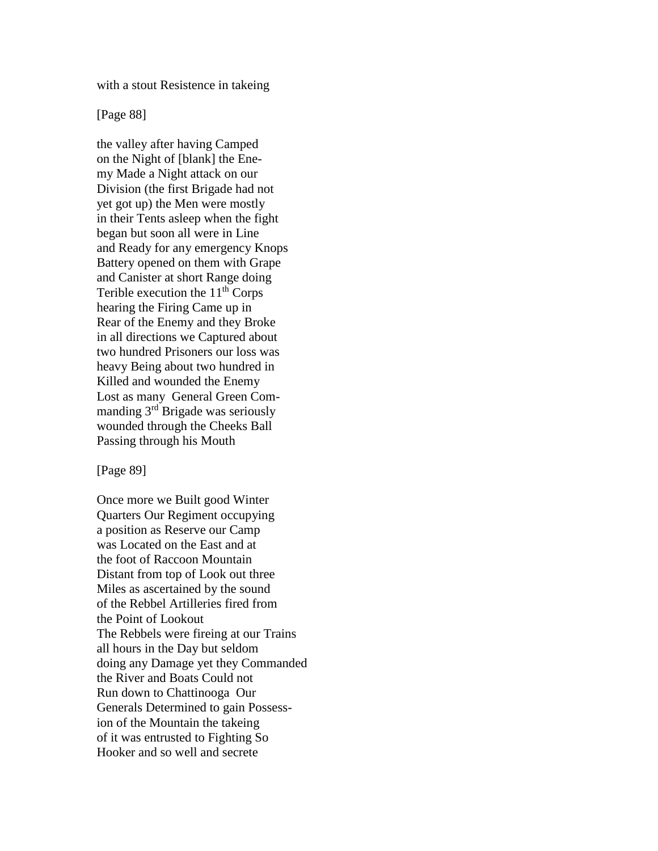with a stout Resistence in takeing

[Page 88]

the valley after having Camped on the Night of [blank] the Enemy Made a Night attack on our Division (the first Brigade had not yet got up) the Men were mostly in their Tents asleep when the fight began but soon all were in Line and Ready for any emergency Knops Battery opened on them with Grape and Canister at short Range doing Terible execution the  $11<sup>th</sup>$  Corps hearing the Firing Came up in Rear of the Enemy and they Broke in all directions we Captured about two hundred Prisoners our loss was heavy Being about two hundred in Killed and wounded the Enemy Lost as many General Green Commanding 3<sup>rd</sup> Brigade was seriously wounded through the Cheeks Ball Passing through his Mouth

[Page 89]

Once more we Built good Winter Quarters Our Regiment occupying a position as Reserve our Camp was Located on the East and at the foot of Raccoon Mountain Distant from top of Look out three Miles as ascertained by the sound of the Rebbel Artilleries fired from the Point of Lookout The Rebbels were fireing at our Trains all hours in the Day but seldom doing any Damage yet they Commanded the River and Boats Could not Run down to Chattinooga Our Generals Determined to gain Possession of the Mountain the takeing of it was entrusted to Fighting So Hooker and so well and secrete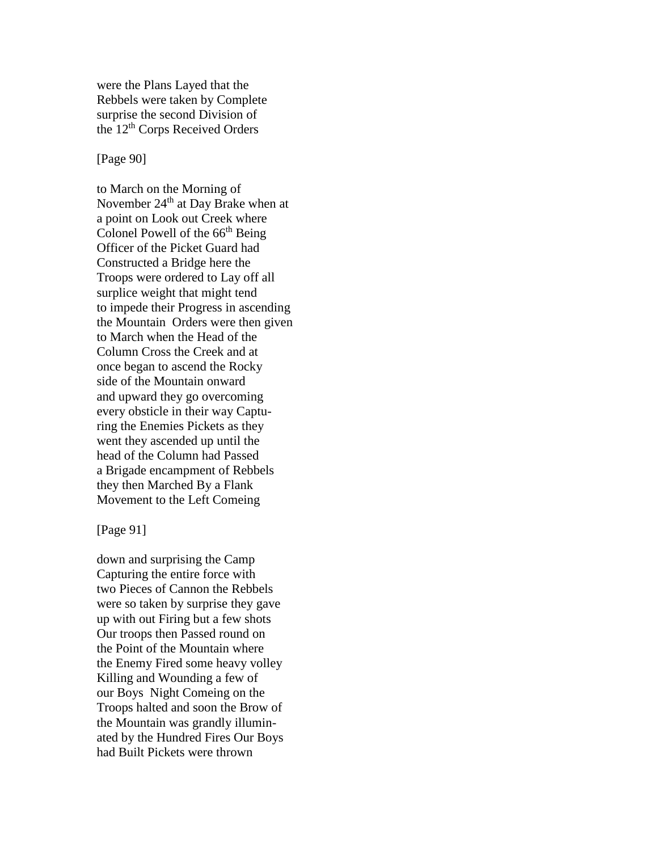were the Plans Layed that the Rebbels were taken by Complete surprise the second Division of the 12<sup>th</sup> Corps Received Orders

## [Page 90]

to March on the Morning of November  $24<sup>th</sup>$  at Day Brake when at a point on Look out Creek where Colonel Powell of the  $66<sup>th</sup>$  Being Officer of the Picket Guard had Constructed a Bridge here the Troops were ordered to Lay off all surplice weight that might tend to impede their Progress in ascending the Mountain Orders were then given to March when the Head of the Column Cross the Creek and at once began to ascend the Rocky side of the Mountain onward and upward they go overcoming every obsticle in their way Capturing the Enemies Pickets as they went they ascended up until the head of the Column had Passed a Brigade encampment of Rebbels they then Marched By a Flank Movement to the Left Comeing

#### [Page 91]

down and surprising the Camp Capturing the entire force with two Pieces of Cannon the Rebbels were so taken by surprise they gave up with out Firing but a few shots Our troops then Passed round on the Point of the Mountain where the Enemy Fired some heavy volley Killing and Wounding a few of our Boys Night Comeing on the Troops halted and soon the Brow of the Mountain was grandly illuminated by the Hundred Fires Our Boys had Built Pickets were thrown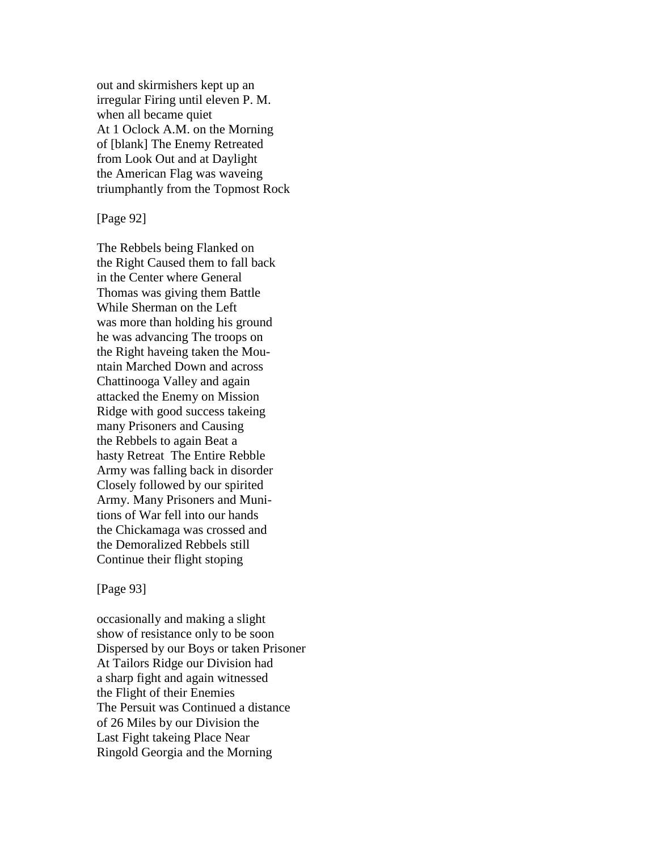out and skirmishers kept up an irregular Firing until eleven P. M. when all became quiet At 1 Oclock A.M. on the Morning of [blank] The Enemy Retreated from Look Out and at Daylight the American Flag was waveing triumphantly from the Topmost Rock

[Page 92]

The Rebbels being Flanked on the Right Caused them to fall back in the Center where General Thomas was giving them Battle While Sherman on the Left was more than holding his ground he was advancing The troops on the Right haveing taken the Mountain Marched Down and across Chattinooga Valley and again attacked the Enemy on Mission Ridge with good success takeing many Prisoners and Causing the Rebbels to again Beat a hasty Retreat The Entire Rebble Army was falling back in disorder Closely followed by our spirited Army. Many Prisoners and Munitions of War fell into our hands the Chickamaga was crossed and the Demoralized Rebbels still Continue their flight stoping

[Page 93]

occasionally and making a slight show of resistance only to be soon Dispersed by our Boys or taken Prisoner At Tailors Ridge our Division had a sharp fight and again witnessed the Flight of their Enemies The Persuit was Continued a distance of 26 Miles by our Division the Last Fight takeing Place Near Ringold Georgia and the Morning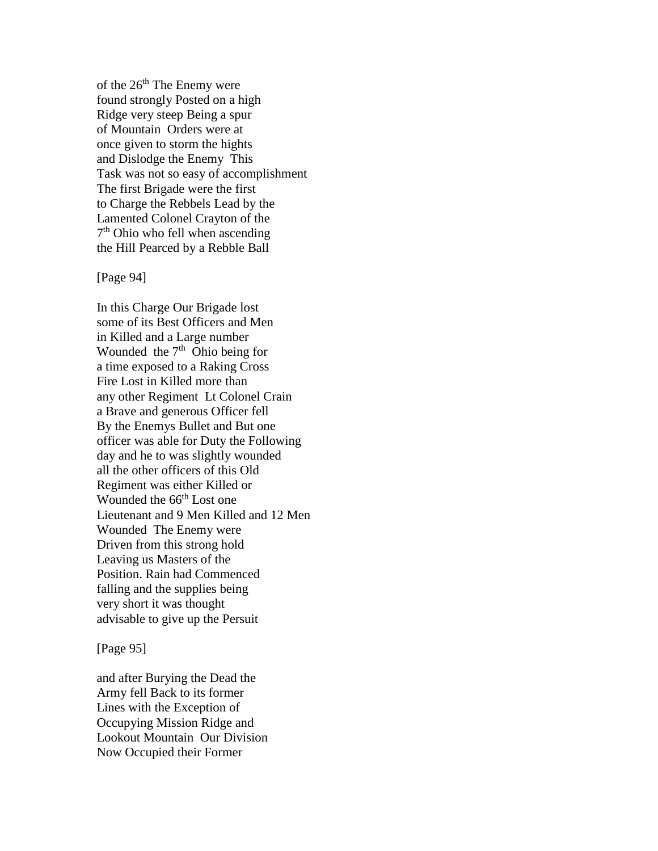of the  $26<sup>th</sup>$  The Enemy were found strongly Posted on a high Ridge very steep Being a spur of Mountain Orders were at once given to storm the hights and Dislodge the Enemy This Task was not so easy of accomplishment The first Brigade were the first to Charge the Rebbels Lead by the Lamented Colonel Crayton of the 7<sup>th</sup> Ohio who fell when ascending the Hill Pearced by a Rebble Ball

[Page 94]

In this Charge Our Brigade lost some of its Best Officers and Men in Killed and a Large number Wounded the  $7<sup>th</sup>$  Ohio being for a time exposed to a Raking Cross Fire Lost in Killed more than any other Regiment Lt Colonel Crain a Brave and generous Officer fell By the Enemys Bullet and But one officer was able for Duty the Following day and he to was slightly wounded all the other officers of this Old Regiment was either Killed or Wounded the 66<sup>th</sup> Lost one Lieutenant and 9 Men Killed and 12 Men Wounded The Enemy were Driven from this strong hold Leaving us Masters of the Position. Rain had Commenced falling and the supplies being very short it was thought advisable to give up the Persuit

[Page 95]

and after Burying the Dead the Army fell Back to its former Lines with the Exception of Occupying Mission Ridge and Lookout Mountain Our Division Now Occupied their Former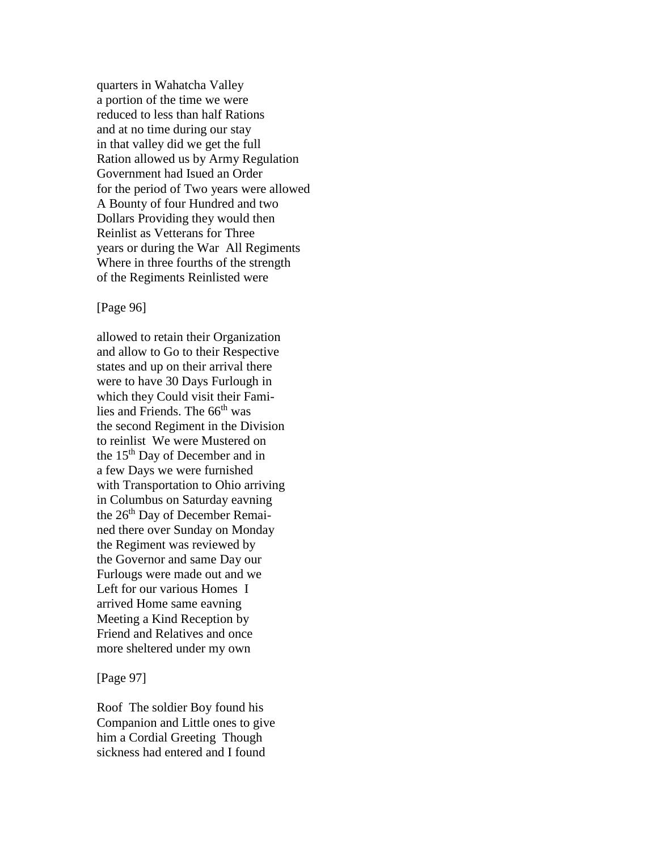quarters in Wahatcha Valley a portion of the time we were reduced to less than half Rations and at no time during our stay in that valley did we get the full Ration allowed us by Army Regulation Government had Isued an Order for the period of Two years were allowed A Bounty of four Hundred and two Dollars Providing they would then Reinlist as Vetterans for Three years or during the War All Regiments Where in three fourths of the strength of the Regiments Reinlisted were

## [Page 96]

allowed to retain their Organization and allow to Go to their Respective states and up on their arrival there were to have 30 Days Furlough in which they Could visit their Families and Friends. The  $66<sup>th</sup>$  was the second Regiment in the Division to reinlist We were Mustered on the 15th Day of December and in a few Days we were furnished with Transportation to Ohio arriving in Columbus on Saturday eavning the 26<sup>th</sup> Day of December Remained there over Sunday on Monday the Regiment was reviewed by the Governor and same Day our Furlougs were made out and we Left for our various Homes I arrived Home same eavning Meeting a Kind Reception by Friend and Relatives and once more sheltered under my own

[Page 97]

Roof The soldier Boy found his Companion and Little ones to give him a Cordial Greeting Though sickness had entered and I found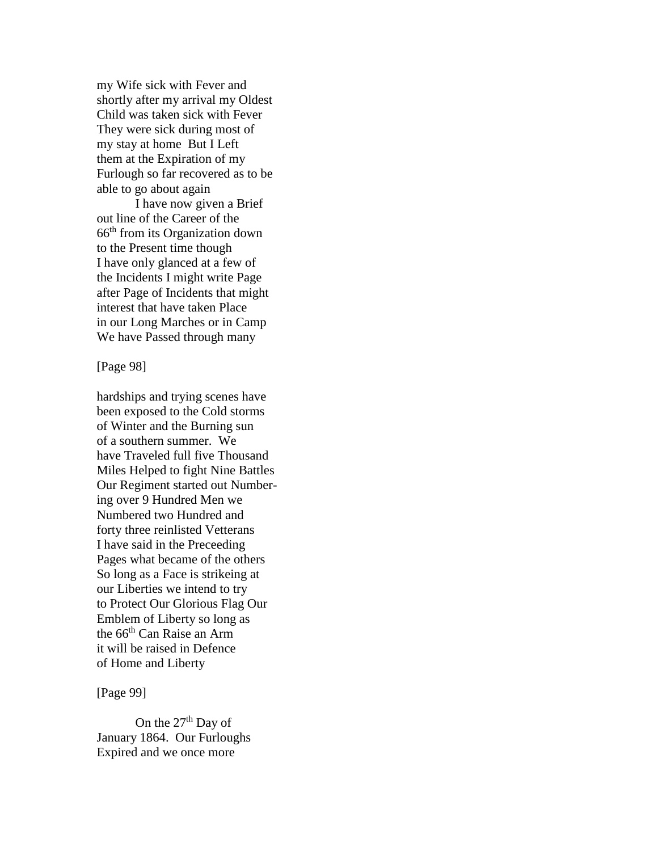my Wife sick with Fever and shortly after my arrival my Oldest Child was taken sick with Fever They were sick during most of my stay at home But I Left them at the Expiration of my Furlough so far recovered as to be able to go about again

I have now given a Brief out line of the Career of the 66th from its Organization down to the Present time though I have only glanced at a few of the Incidents I might write Page after Page of Incidents that might interest that have taken Place in our Long Marches or in Camp We have Passed through many

[Page 98]

hardships and trying scenes have been exposed to the Cold storms of Winter and the Burning sun of a southern summer. We have Traveled full five Thousand Miles Helped to fight Nine Battles Our Regiment started out Numbering over 9 Hundred Men we Numbered two Hundred and forty three reinlisted Vetterans I have said in the Preceeding Pages what became of the others So long as a Face is strikeing at our Liberties we intend to try to Protect Our Glorious Flag Our Emblem of Liberty so long as the 66th Can Raise an Arm it will be raised in Defence of Home and Liberty

[Page 99]

On the 27<sup>th</sup> Day of January 1864. Our Furloughs Expired and we once more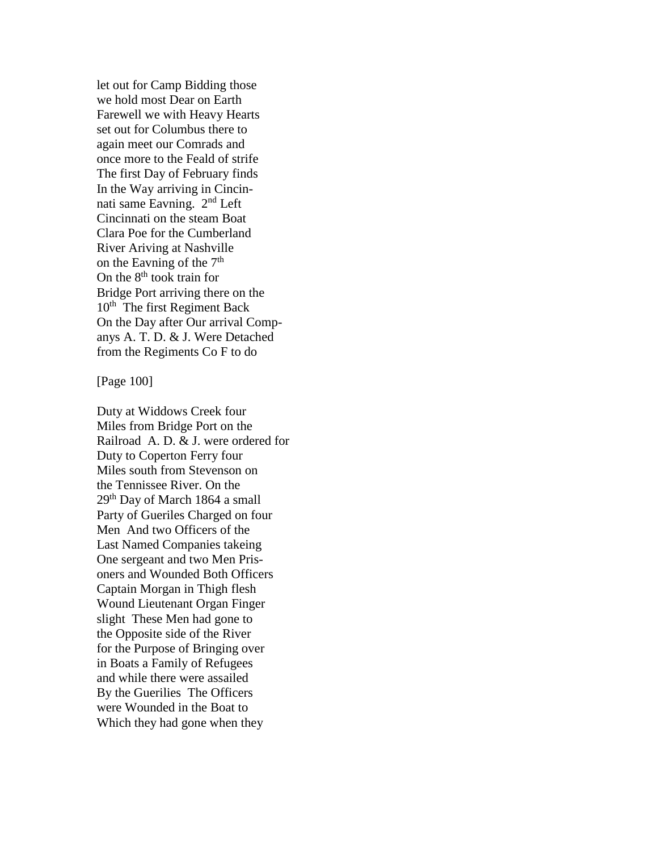let out for Camp Bidding those we hold most Dear on Earth Farewell we with Heavy Hearts set out for Columbus there to again meet our Comrads and once more to the Feald of strife The first Day of February finds In the Way arriving in Cincinnati same Eavning. 2nd Left Cincinnati on the steam Boat Clara Poe for the Cumberland River Ariving at Nashville on the Eavning of the  $7<sup>th</sup>$ On the  $8<sup>th</sup>$  took train for Bridge Port arriving there on the 10<sup>th</sup> The first Regiment Back On the Day after Our arrival Companys A. T. D. & J. Were Detached from the Regiments Co F to do

[Page 100]

Duty at Widdows Creek four Miles from Bridge Port on the Railroad A. D. & J. were ordered for Duty to Coperton Ferry four Miles south from Stevenson on the Tennissee River. On the 29th Day of March 1864 a small Party of Gueriles Charged on four Men And two Officers of the Last Named Companies takeing One sergeant and two Men Prisoners and Wounded Both Officers Captain Morgan in Thigh flesh Wound Lieutenant Organ Finger slight These Men had gone to the Opposite side of the River for the Purpose of Bringing over in Boats a Family of Refugees and while there were assailed By the Guerilies The Officers were Wounded in the Boat to Which they had gone when they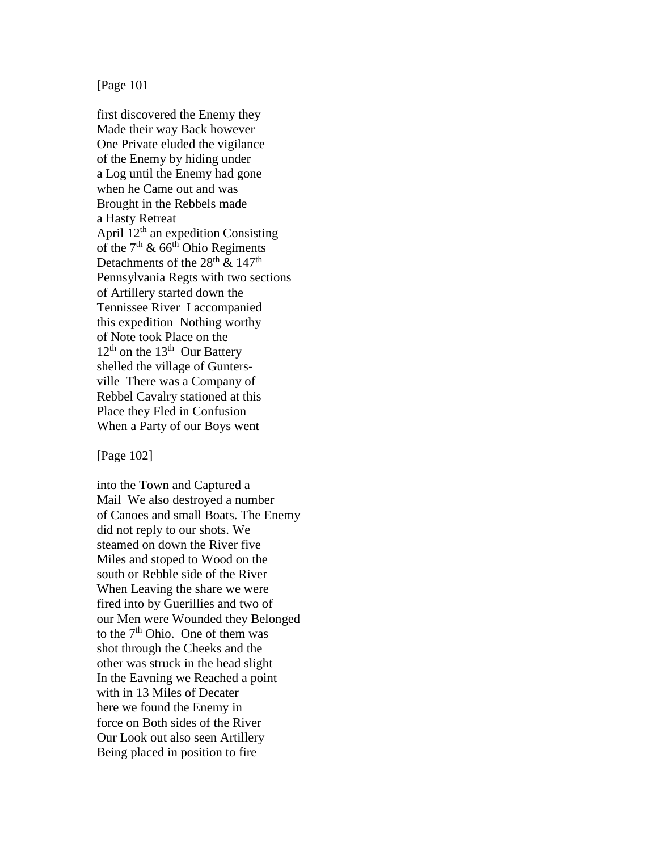## [Page 101

first discovered the Enemy they Made their way Back however One Private eluded the vigilance of the Enemy by hiding under a Log until the Enemy had gone when he Came out and was Brought in the Rebbels made a Hasty Retreat April  $12<sup>th</sup>$  an expedition Consisting of the  $7<sup>th</sup>$  & 66<sup>th</sup> Ohio Regiments Detachments of the  $28^{\text{th}}$  &  $147^{\text{th}}$ Pennsylvania Regts with two sections of Artillery started down the Tennissee River I accompanied this expedition Nothing worthy of Note took Place on the  $12<sup>th</sup>$  on the  $13<sup>th</sup>$  Our Battery shelled the village of Guntersville There was a Company of Rebbel Cavalry stationed at this Place they Fled in Confusion When a Party of our Boys went

[Page 102]

into the Town and Captured a Mail We also destroyed a number of Canoes and small Boats. The Enemy did not reply to our shots. We steamed on down the River five Miles and stoped to Wood on the south or Rebble side of the River When Leaving the share we were fired into by Guerillies and two of our Men were Wounded they Belonged to the  $7<sup>th</sup>$  Ohio. One of them was shot through the Cheeks and the other was struck in the head slight In the Eavning we Reached a point with in 13 Miles of Decater here we found the Enemy in force on Both sides of the River Our Look out also seen Artillery Being placed in position to fire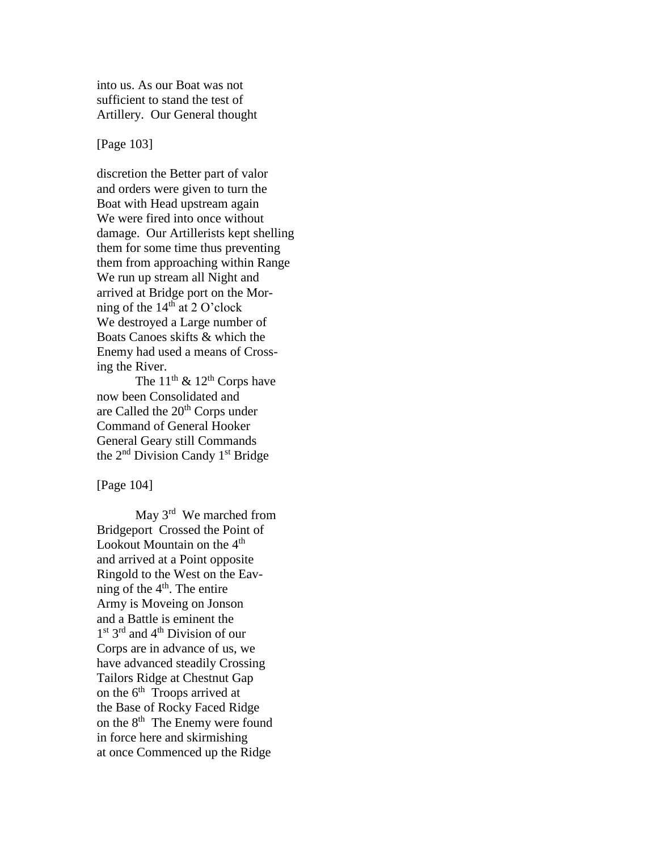into us. As our Boat was not sufficient to stand the test of Artillery. Our General thought

[Page 103]

discretion the Better part of valor and orders were given to turn the Boat with Head upstream again We were fired into once without damage. Our Artillerists kept shelling them for some time thus preventing them from approaching within Range We run up stream all Night and arrived at Bridge port on the Morning of the  $14<sup>th</sup>$  at 2 O'clock We destroyed a Large number of Boats Canoes skifts & which the Enemy had used a means of Crossing the River.

The  $11^{th}$  &  $12^{th}$  Corps have now been Consolidated and are Called the 20<sup>th</sup> Corps under Command of General Hooker General Geary still Commands the  $2<sup>nd</sup>$  Division Candy 1<sup>st</sup> Bridge

[Page 104]

May 3<sup>rd</sup> We marched from Bridgeport Crossed the Point of Lookout Mountain on the  $4<sup>th</sup>$ and arrived at a Point opposite Ringold to the West on the Eavning of the  $4<sup>th</sup>$ . The entire Army is Moveing on Jonson and a Battle is eminent the 1<sup>st</sup> 3<sup>rd</sup> and 4<sup>th</sup> Division of our Corps are in advance of us, we have advanced steadily Crossing Tailors Ridge at Chestnut Gap on the  $6<sup>th</sup>$  Troops arrived at the Base of Rocky Faced Ridge on the 8<sup>th</sup> The Enemy were found in force here and skirmishing at once Commenced up the Ridge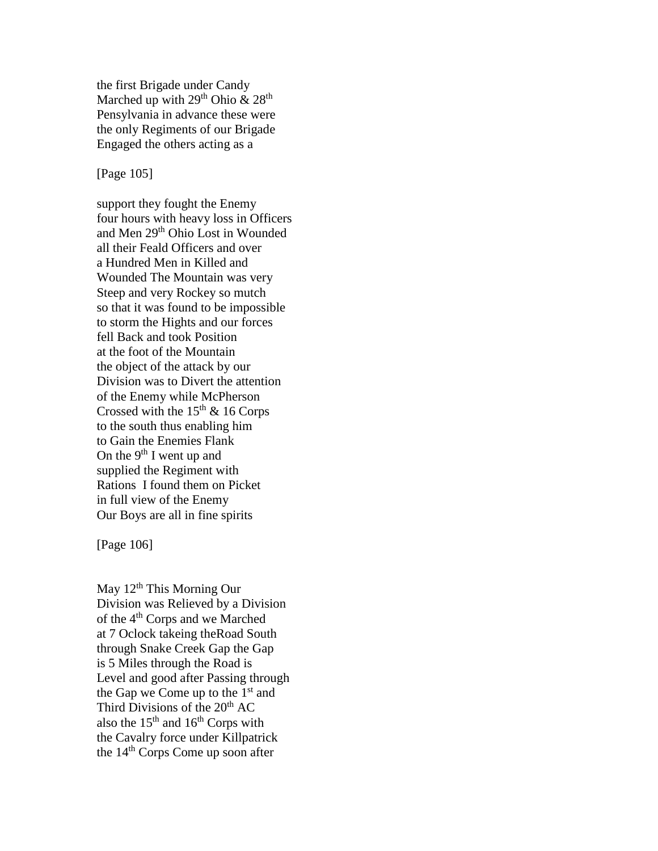the first Brigade under Candy Marched up with  $29<sup>th</sup>$  Ohio  $\&$   $28<sup>th</sup>$ Pensylvania in advance these were the only Regiments of our Brigade Engaged the others acting as a

## [Page 105]

support they fought the Enemy four hours with heavy loss in Officers and Men 29th Ohio Lost in Wounded all their Feald Officers and over a Hundred Men in Killed and Wounded The Mountain was very Steep and very Rockey so mutch so that it was found to be impossible to storm the Hights and our forces fell Back and took Position at the foot of the Mountain the object of the attack by our Division was to Divert the attention of the Enemy while McPherson Crossed with the  $15<sup>th</sup>$  & 16 Corps to the south thus enabling him to Gain the Enemies Flank On the  $9<sup>th</sup>$  I went up and supplied the Regiment with Rations I found them on Picket in full view of the Enemy Our Boys are all in fine spirits

[Page 106]

May  $12<sup>th</sup>$  This Morning Our Division was Relieved by a Division of the 4th Corps and we Marched at 7 Oclock takeing theRoad South through Snake Creek Gap the Gap is 5 Miles through the Road is Level and good after Passing through the Gap we Come up to the  $1<sup>st</sup>$  and Third Divisions of the  $20<sup>th</sup> AC$ also the  $15<sup>th</sup>$  and  $16<sup>th</sup>$  Corps with the Cavalry force under Killpatrick the 14<sup>th</sup> Corps Come up soon after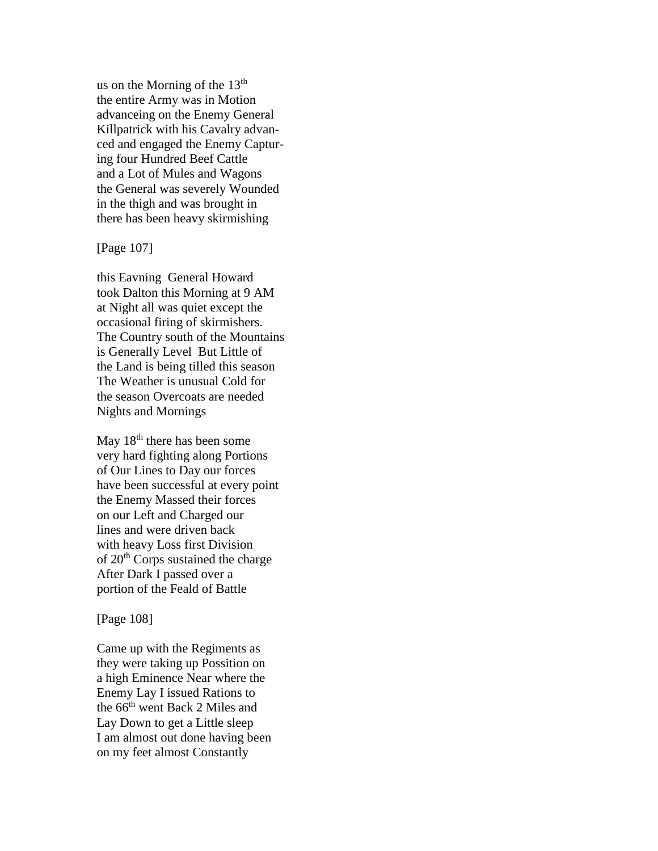us on the Morning of the  $13<sup>th</sup>$ the entire Army was in Motion advanceing on the Enemy General Killpatrick with his Cavalry advanced and engaged the Enemy Capturing four Hundred Beef Cattle and a Lot of Mules and Wagons the General was severely Wounded in the thigh and was brought in there has been heavy skirmishing

# [Page 107]

this Eavning General Howard took Dalton this Morning at 9 AM at Night all was quiet except the occasional firing of skirmishers. The Country south of the Mountains is Generally Level But Little of the Land is being tilled this season The Weather is unusual Cold for the season Overcoats are needed Nights and Mornings

May 18<sup>th</sup> there has been some very hard fighting along Portions of Our Lines to Day our forces have been successful at every point the Enemy Massed their forces on our Left and Charged our lines and were driven back with heavy Loss first Division of 20<sup>th</sup> Corps sustained the charge After Dark I passed over a portion of the Feald of Battle

#### [Page 108]

Came up with the Regiments as they were taking up Possition on a high Eminence Near where the Enemy Lay I issued Rations to the 66<sup>th</sup> went Back 2 Miles and Lay Down to get a Little sleep I am almost out done having been on my feet almost Constantly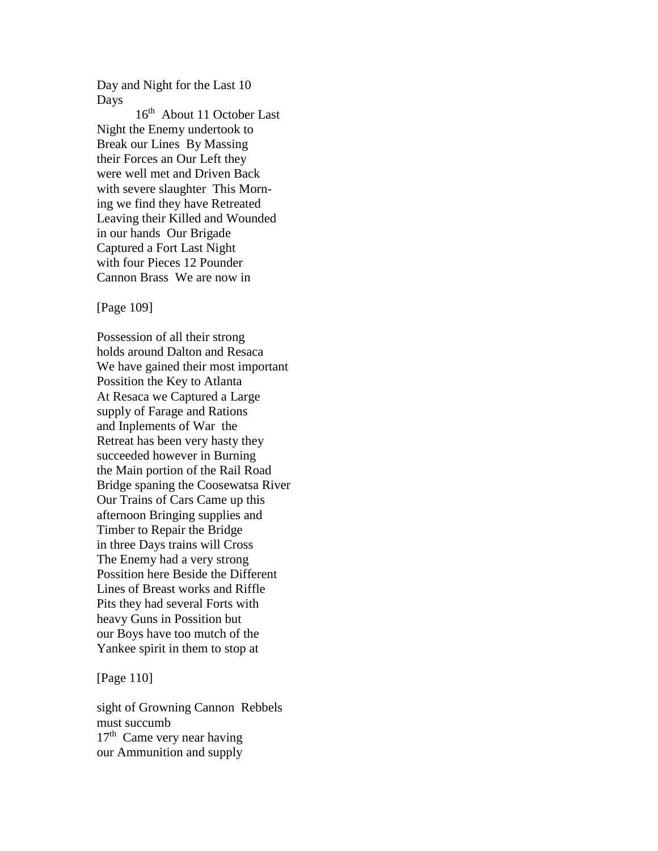Day and Night for the Last 10 Days

16<sup>th</sup> About 11 October Last Night the Enemy undertook to Break our Lines By Massing their Forces an Our Left they were well met and Driven Back with severe slaughter This Morning we find they have Retreated Leaving their Killed and Wounded in our hands Our Brigade Captured a Fort Last Night with four Pieces 12 Pounder Cannon Brass We are now in

[Page 109]

Possession of all their strong holds around Dalton and Resaca We have gained their most important Possition the Key to Atlanta At Resaca we Captured a Large supply of Farage and Rations and Inplements of War the Retreat has been very hasty they succeeded however in Burning the Main portion of the Rail Road Bridge spaning the Coosewatsa River Our Trains of Cars Came up this afternoon Bringing supplies and Timber to Repair the Bridge in three Days trains will Cross The Enemy had a very strong Possition here Beside the Different Lines of Breast works and Riffle Pits they had several Forts with heavy Guns in Possition but our Boys have too mutch of the Yankee spirit in them to stop at

[Page 110]

sight of Growning Cannon Rebbels must succumb 17<sup>th</sup> Came very near having our Ammunition and supply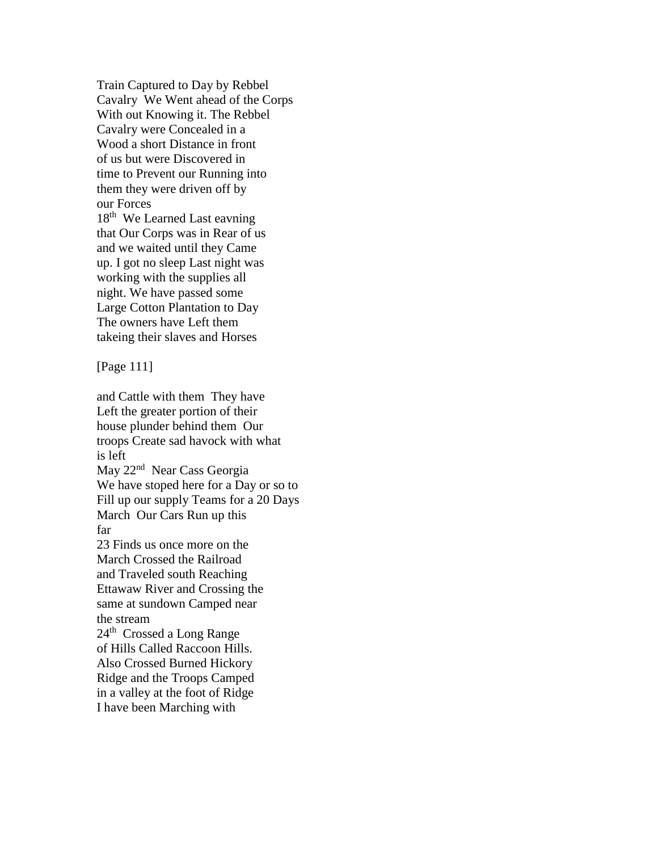Train Captured to Day by Rebbel Cavalry We Went ahead of the Corps With out Knowing it. The Rebbel Cavalry were Concealed in a Wood a short Distance in front of us but were Discovered in time to Prevent our Running into them they were driven off by our Forces 18<sup>th</sup> We Learned Last eavning that Our Corps was in Rear of us and we waited until they Came up. I got no sleep Last night was working with the supplies all night. We have passed some Large Cotton Plantation to Day The owners have Left them takeing their slaves and Horses

[Page 111]

and Cattle with them They have Left the greater portion of their house plunder behind them Our troops Create sad havock with what is left May 22<sup>nd</sup> Near Cass Georgia We have stoped here for a Day or so to Fill up our supply Teams for a 20 Days March Our Cars Run up this far 23 Finds us once more on the March Crossed the Railroad and Traveled south Reaching Ettawaw River and Crossing the same at sundown Camped near the stream 24<sup>th</sup> Crossed a Long Range of Hills Called Raccoon Hills. Also Crossed Burned Hickory Ridge and the Troops Camped in a valley at the foot of Ridge

I have been Marching with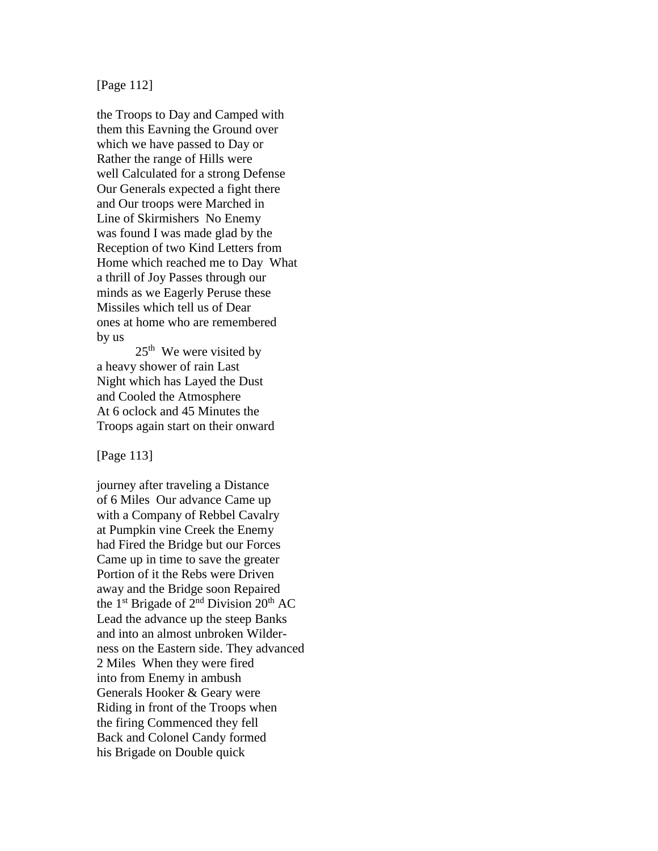# [Page 112]

the Troops to Day and Camped with them this Eavning the Ground over which we have passed to Day or Rather the range of Hills were well Calculated for a strong Defense Our Generals expected a fight there and Our troops were Marched in Line of Skirmishers No Enemy was found I was made glad by the Reception of two Kind Letters from Home which reached me to Day What a thrill of Joy Passes through our minds as we Eagerly Peruse these Missiles which tell us of Dear ones at home who are remembered by us

 $25<sup>th</sup>$  We were visited by a heavy shower of rain Last Night which has Layed the Dust and Cooled the Atmosphere At 6 oclock and 45 Minutes the Troops again start on their onward

[Page 113]

journey after traveling a Distance of 6 Miles Our advance Came up with a Company of Rebbel Cavalry at Pumpkin vine Creek the Enemy had Fired the Bridge but our Forces Came up in time to save the greater Portion of it the Rebs were Driven away and the Bridge soon Repaired the 1<sup>st</sup> Brigade of  $2<sup>nd</sup>$  Division  $20<sup>th</sup>$  AC Lead the advance up the steep Banks and into an almost unbroken Wilderness on the Eastern side. They advanced 2 Miles When they were fired into from Enemy in ambush Generals Hooker & Geary were Riding in front of the Troops when the firing Commenced they fell Back and Colonel Candy formed his Brigade on Double quick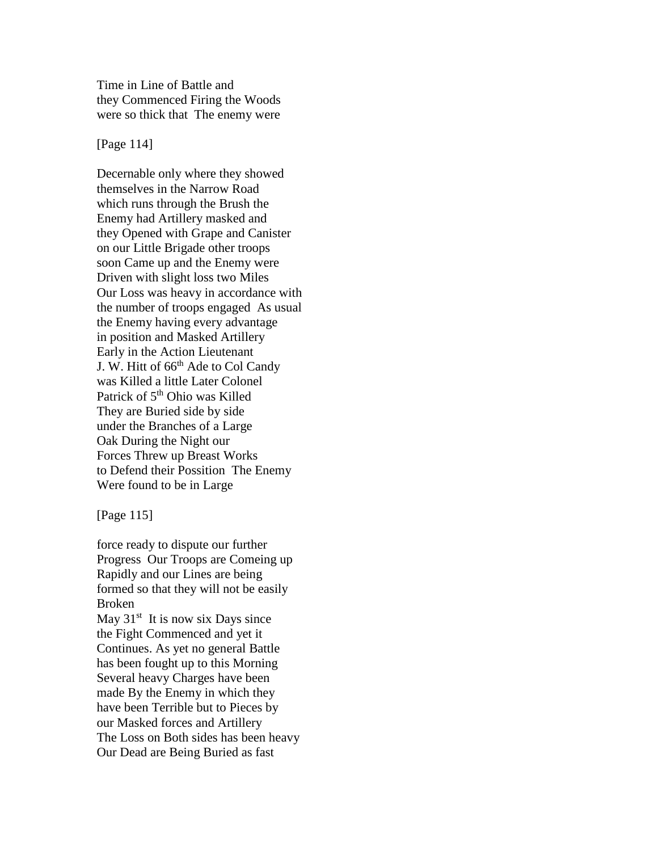Time in Line of Battle and they Commenced Firing the Woods were so thick that The enemy were

[Page 114]

Decernable only where they showed themselves in the Narrow Road which runs through the Brush the Enemy had Artillery masked and they Opened with Grape and Canister on our Little Brigade other troops soon Came up and the Enemy were Driven with slight loss two Miles Our Loss was heavy in accordance with the number of troops engaged As usual the Enemy having every advantage in position and Masked Artillery Early in the Action Lieutenant J. W. Hitt of 66<sup>th</sup> Ade to Col Candy was Killed a little Later Colonel Patrick of 5<sup>th</sup> Ohio was Killed They are Buried side by side under the Branches of a Large Oak During the Night our Forces Threw up Breast Works to Defend their Possition The Enemy Were found to be in Large

[Page 115]

force ready to dispute our further Progress Our Troops are Comeing up Rapidly and our Lines are being formed so that they will not be easily Broken May  $31<sup>st</sup>$  It is now six Days since

the Fight Commenced and yet it Continues. As yet no general Battle has been fought up to this Morning Several heavy Charges have been made By the Enemy in which they have been Terrible but to Pieces by our Masked forces and Artillery The Loss on Both sides has been heavy Our Dead are Being Buried as fast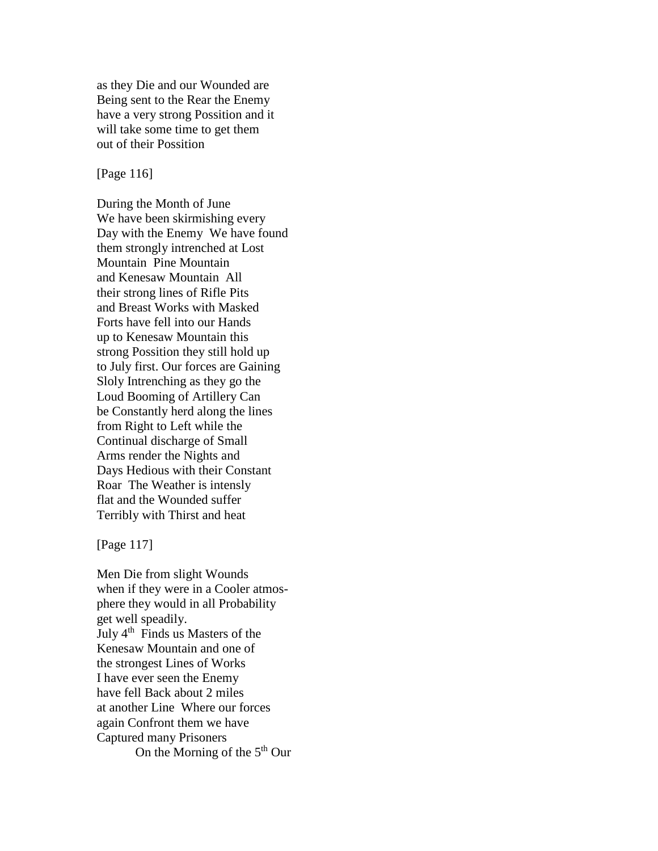as they Die and our Wounded are Being sent to the Rear the Enemy have a very strong Possition and it will take some time to get them out of their Possition

[Page 116]

During the Month of June We have been skirmishing every Day with the Enemy We have found them strongly intrenched at Lost Mountain Pine Mountain and Kenesaw Mountain All their strong lines of Rifle Pits and Breast Works with Masked Forts have fell into our Hands up to Kenesaw Mountain this strong Possition they still hold up to July first. Our forces are Gaining Sloly Intrenching as they go the Loud Booming of Artillery Can be Constantly herd along the lines from Right to Left while the Continual discharge of Small Arms render the Nights and Days Hedious with their Constant Roar The Weather is intensly flat and the Wounded suffer Terribly with Thirst and heat

[Page 117]

Men Die from slight Wounds when if they were in a Cooler atmosphere they would in all Probability get well speadily. July 4<sup>th</sup> Finds us Masters of the Kenesaw Mountain and one of the strongest Lines of Works I have ever seen the Enemy have fell Back about 2 miles at another Line Where our forces again Confront them we have Captured many Prisoners On the Morning of the 5<sup>th</sup> Our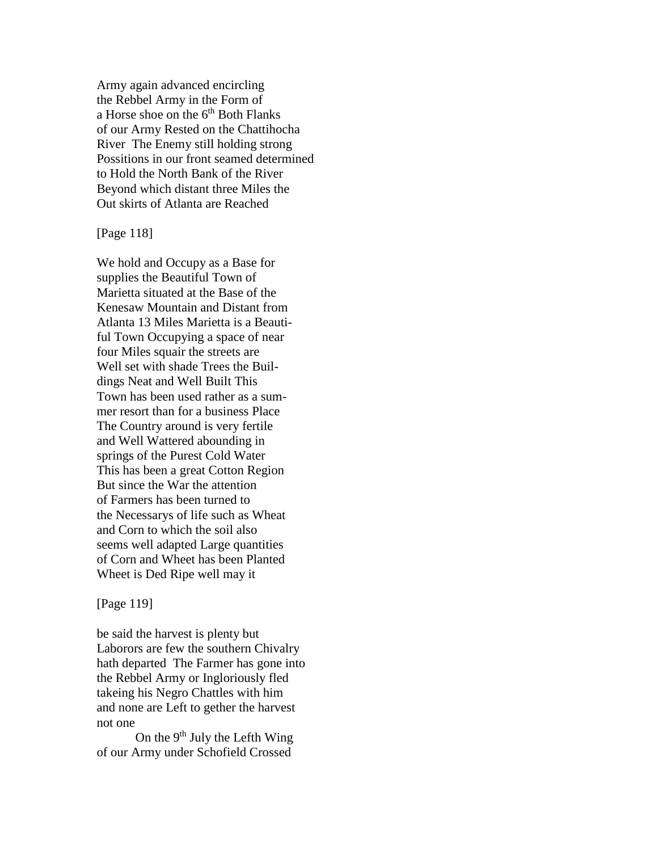Army again advanced encircling the Rebbel Army in the Form of a Horse shoe on the 6<sup>th</sup> Both Flanks of our Army Rested on the Chattihocha River The Enemy still holding strong Possitions in our front seamed determined to Hold the North Bank of the River Beyond which distant three Miles the Out skirts of Atlanta are Reached

[Page 118]

We hold and Occupy as a Base for supplies the Beautiful Town of Marietta situated at the Base of the Kenesaw Mountain and Distant from Atlanta 13 Miles Marietta is a Beautiful Town Occupying a space of near four Miles squair the streets are Well set with shade Trees the Buildings Neat and Well Built This Town has been used rather as a summer resort than for a business Place The Country around is very fertile and Well Wattered abounding in springs of the Purest Cold Water This has been a great Cotton Region But since the War the attention of Farmers has been turned to the Necessarys of life such as Wheat and Corn to which the soil also seems well adapted Large quantities of Corn and Wheet has been Planted Wheet is Ded Ripe well may it

## [Page 119]

be said the harvest is plenty but Laborors are few the southern Chivalry hath departed The Farmer has gone into the Rebbel Army or Ingloriously fled takeing his Negro Chattles with him and none are Left to gether the harvest not one

On the  $9<sup>th</sup>$  July the Lefth Wing of our Army under Schofield Crossed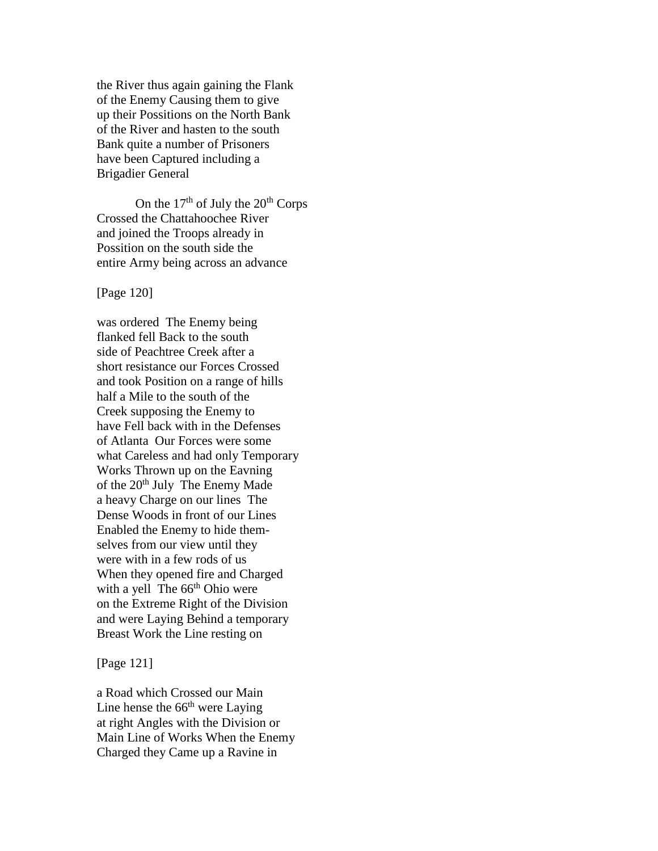the River thus again gaining the Flank of the Enemy Causing them to give up their Possitions on the North Bank of the River and hasten to the south Bank quite a number of Prisoners have been Captured including a Brigadier General

On the  $17<sup>th</sup>$  of July the  $20<sup>th</sup>$  Corps Crossed the Chattahoochee River and joined the Troops already in Possition on the south side the entire Army being across an advance

[Page 120]

was ordered The Enemy being flanked fell Back to the south side of Peachtree Creek after a short resistance our Forces Crossed and took Position on a range of hills half a Mile to the south of the Creek supposing the Enemy to have Fell back with in the Defenses of Atlanta Our Forces were some what Careless and had only Temporary Works Thrown up on the Eavning of the 20<sup>th</sup> July The Enemy Made a heavy Charge on our lines The Dense Woods in front of our Lines Enabled the Enemy to hide themselves from our view until they were with in a few rods of us When they opened fire and Charged with a yell The  $66<sup>th</sup>$  Ohio were on the Extreme Right of the Division and were Laying Behind a temporary Breast Work the Line resting on

[Page 121]

a Road which Crossed our Main Line hense the  $66<sup>th</sup>$  were Laying at right Angles with the Division or Main Line of Works When the Enemy Charged they Came up a Ravine in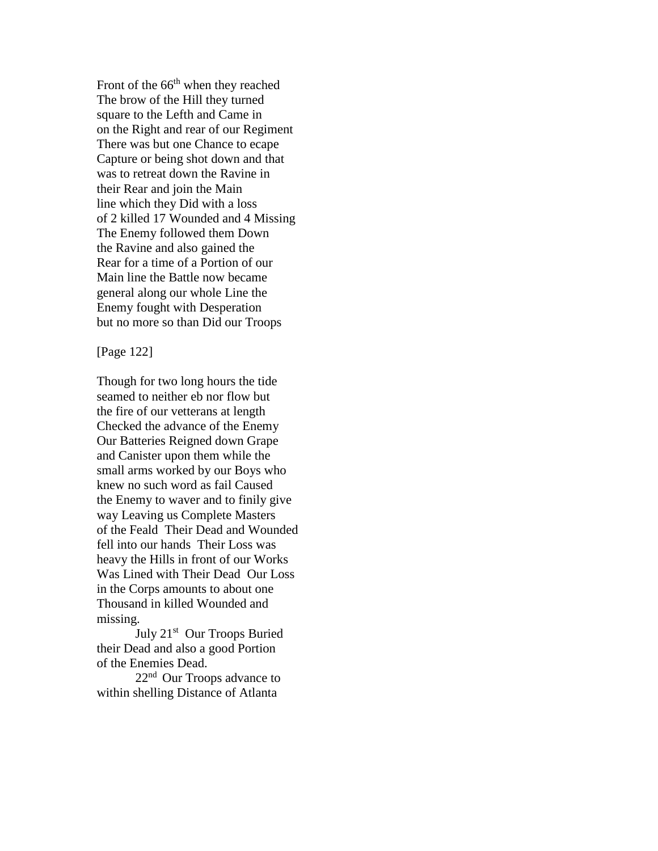Front of the  $66<sup>th</sup>$  when they reached The brow of the Hill they turned square to the Lefth and Came in on the Right and rear of our Regiment There was but one Chance to ecape Capture or being shot down and that was to retreat down the Ravine in their Rear and join the Main line which they Did with a loss of 2 killed 17 Wounded and 4 Missing The Enemy followed them Down the Ravine and also gained the Rear for a time of a Portion of our Main line the Battle now became general along our whole Line the Enemy fought with Desperation but no more so than Did our Troops

[Page 122]

Though for two long hours the tide seamed to neither eb nor flow but the fire of our vetterans at length Checked the advance of the Enemy Our Batteries Reigned down Grape and Canister upon them while the small arms worked by our Boys who knew no such word as fail Caused the Enemy to waver and to finily give way Leaving us Complete Masters of the Feald Their Dead and Wounded fell into our hands Their Loss was heavy the Hills in front of our Works Was Lined with Their Dead Our Loss in the Corps amounts to about one Thousand in killed Wounded and missing.

July 21<sup>st</sup> Our Troops Buried their Dead and also a good Portion of the Enemies Dead.

22nd Our Troops advance to within shelling Distance of Atlanta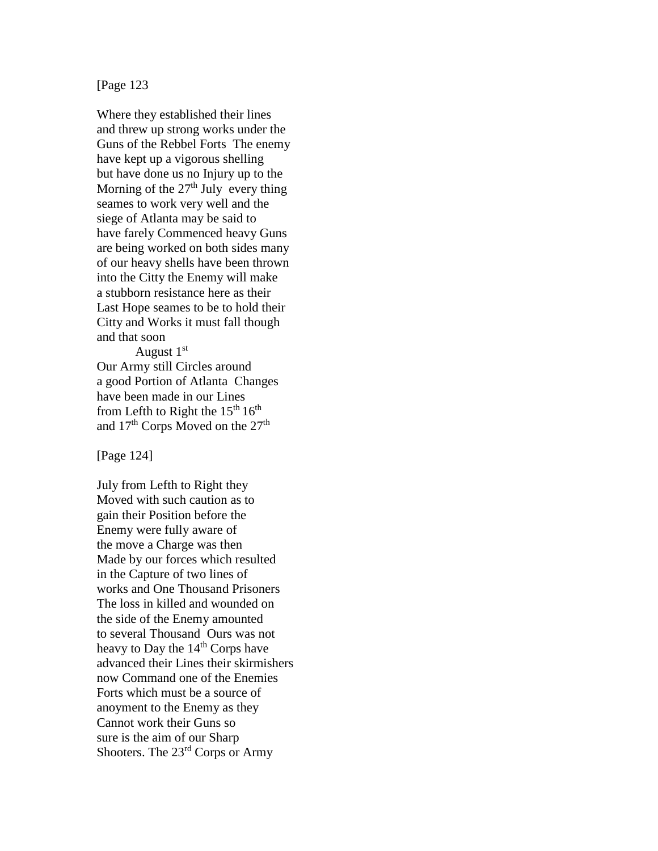[Page 123

Where they established their lines and threw up strong works under the Guns of the Rebbel Forts The enemy have kept up a vigorous shelling but have done us no Injury up to the Morning of the  $27<sup>th</sup>$  July every thing seames to work very well and the siege of Atlanta may be said to have farely Commenced heavy Guns are being worked on both sides many of our heavy shells have been thrown into the Citty the Enemy will make a stubborn resistance here as their Last Hope seames to be to hold their Citty and Works it must fall though and that soon

August  $1<sup>st</sup>$ Our Army still Circles around a good Portion of Atlanta Changes have been made in our Lines from Lefth to Right the  $15<sup>th</sup> 16<sup>th</sup>$ and 17<sup>th</sup> Corps Moved on the 27<sup>th</sup>

[Page 124]

July from Lefth to Right they Moved with such caution as to gain their Position before the Enemy were fully aware of the move a Charge was then Made by our forces which resulted in the Capture of two lines of works and One Thousand Prisoners The loss in killed and wounded on the side of the Enemy amounted to several Thousand Ours was not heavy to Day the 14<sup>th</sup> Corps have advanced their Lines their skirmishers now Command one of the Enemies Forts which must be a source of anoyment to the Enemy as they Cannot work their Guns so sure is the aim of our Sharp Shooters. The 23rd Corps or Army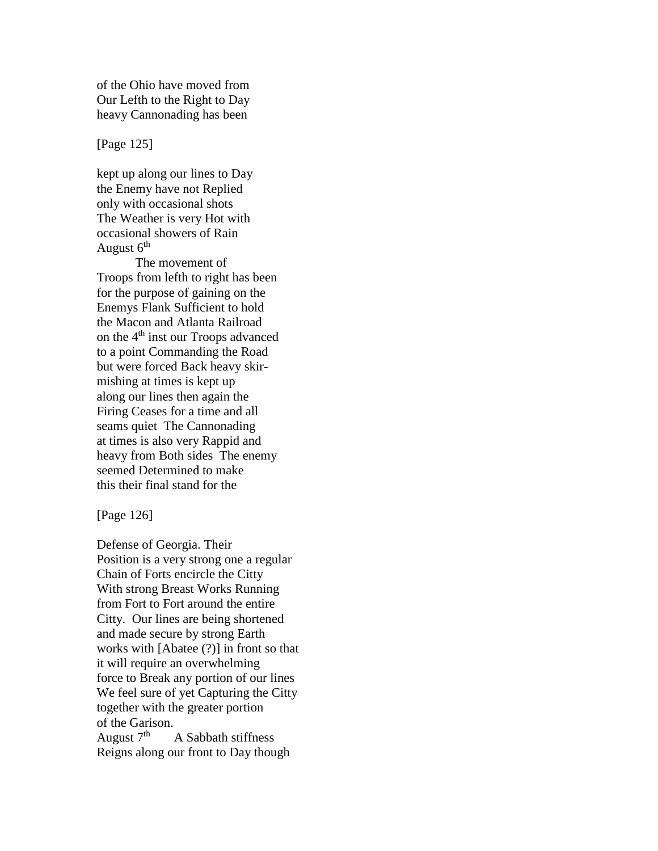of the Ohio have moved from Our Lefth to the Right to Day heavy Cannonading has been

[Page 125]

kept up along our lines to Day the Enemy have not Replied only with occasional shots The Weather is very Hot with occasional showers of Rain August  $6<sup>th</sup>$ 

The movement of Troops from lefth to right has been for the purpose of gaining on the Enemys Flank Sufficient to hold the Macon and Atlanta Railroad on the 4<sup>th</sup> inst our Troops advanced to a point Commanding the Road but were forced Back heavy skirmishing at times is kept up along our lines then again the Firing Ceases for a time and all seams quiet The Cannonading at times is also very Rappid and heavy from Both sides The enemy seemed Determined to make this their final stand for the

[Page 126]

Defense of Georgia. Their Position is a very strong one a regular Chain of Forts encircle the Citty With strong Breast Works Running from Fort to Fort around the entire Citty. Our lines are being shortened and made secure by strong Earth works with [Abatee (?)] in front so that it will require an overwhelming force to Break any portion of our lines We feel sure of yet Capturing the Citty together with the greater portion of the Garison. August  $7<sup>th</sup>$  A Sabbath stiffness Reigns along our front to Day though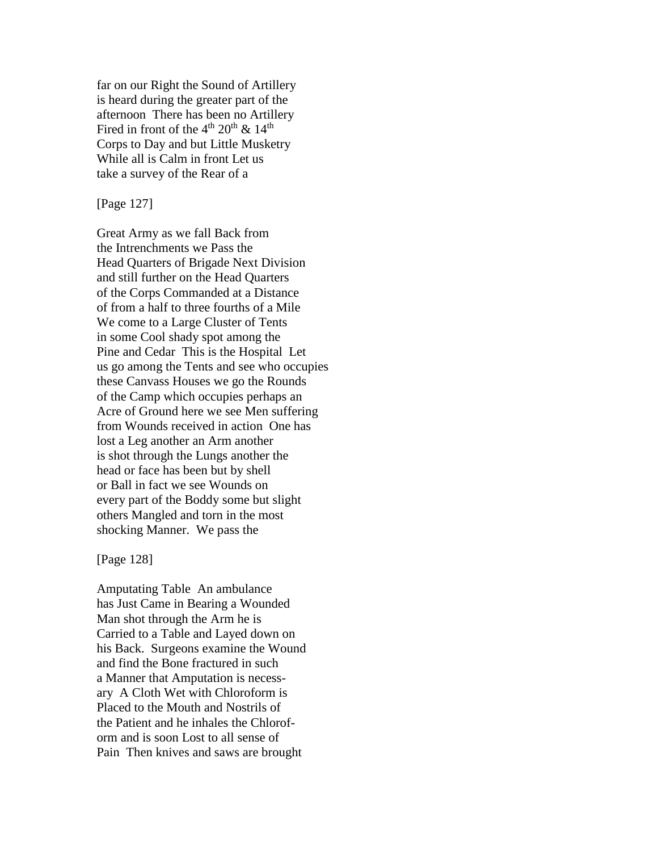far on our Right the Sound of Artillery is heard during the greater part of the afternoon There has been no Artillery Fired in front of the  $4<sup>th</sup> 20<sup>th</sup>$  &  $14<sup>th</sup>$ Corps to Day and but Little Musketry While all is Calm in front Let us take a survey of the Rear of a

[Page 127]

Great Army as we fall Back from the Intrenchments we Pass the Head Quarters of Brigade Next Division and still further on the Head Quarters of the Corps Commanded at a Distance of from a half to three fourths of a Mile We come to a Large Cluster of Tents in some Cool shady spot among the Pine and Cedar This is the Hospital Let us go among the Tents and see who occupies these Canvass Houses we go the Rounds of the Camp which occupies perhaps an Acre of Ground here we see Men suffering from Wounds received in action One has lost a Leg another an Arm another is shot through the Lungs another the head or face has been but by shell or Ball in fact we see Wounds on every part of the Boddy some but slight others Mangled and torn in the most shocking Manner. We pass the

[Page 128]

Amputating Table An ambulance has Just Came in Bearing a Wounded Man shot through the Arm he is Carried to a Table and Layed down on his Back. Surgeons examine the Wound and find the Bone fractured in such a Manner that Amputation is necessary A Cloth Wet with Chloroform is Placed to the Mouth and Nostrils of the Patient and he inhales the Chloroform and is soon Lost to all sense of Pain Then knives and saws are brought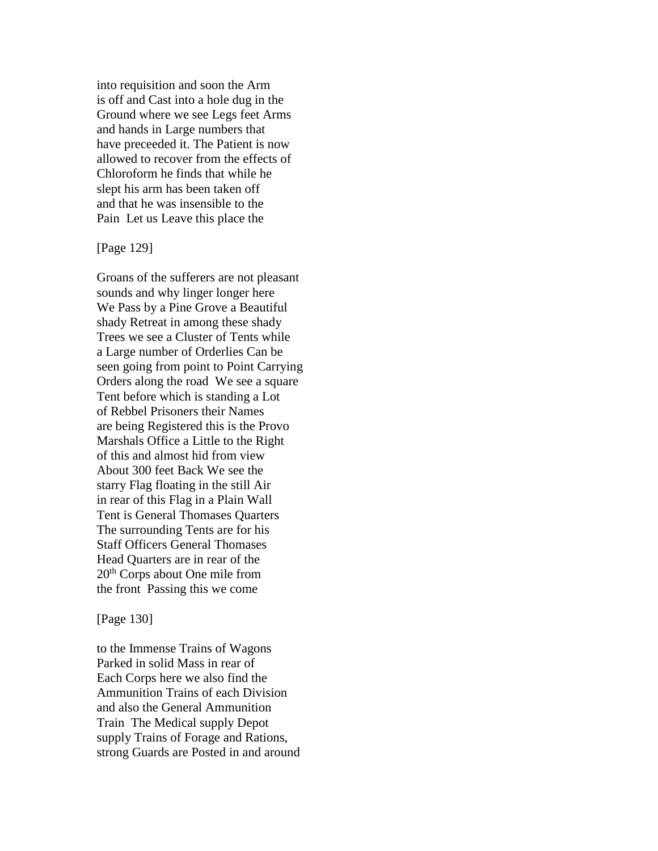into requisition and soon the Arm is off and Cast into a hole dug in the Ground where we see Legs feet Arms and hands in Large numbers that have preceeded it. The Patient is now allowed to recover from the effects of Chloroform he finds that while he slept his arm has been taken off and that he was insensible to the Pain Let us Leave this place the

[Page 129]

Groans of the sufferers are not pleasant sounds and why linger longer here We Pass by a Pine Grove a Beautiful shady Retreat in among these shady Trees we see a Cluster of Tents while a Large number of Orderlies Can be seen going from point to Point Carrying Orders along the road We see a square Tent before which is standing a Lot of Rebbel Prisoners their Names are being Registered this is the Provo Marshals Office a Little to the Right of this and almost hid from view About 300 feet Back We see the starry Flag floating in the still Air in rear of this Flag in a Plain Wall Tent is General Thomases Quarters The surrounding Tents are for his Staff Officers General Thomases Head Quarters are in rear of the 20th Corps about One mile from the front Passing this we come

#### [Page 130]

to the Immense Trains of Wagons Parked in solid Mass in rear of Each Corps here we also find the Ammunition Trains of each Division and also the General Ammunition Train The Medical supply Depot supply Trains of Forage and Rations, strong Guards are Posted in and around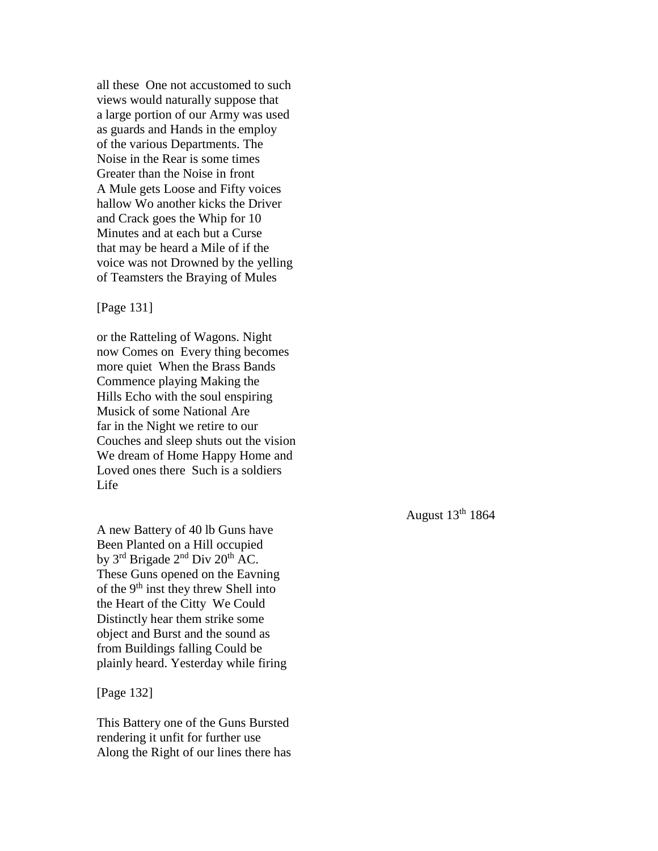all these One not accustomed to such views would naturally suppose that a large portion of our Army was used as guards and Hands in the employ of the various Departments. The Noise in the Rear is some times Greater than the Noise in front A Mule gets Loose and Fifty voices hallow Wo another kicks the Driver and Crack goes the Whip for 10 Minutes and at each but a Curse that may be heard a Mile of if the voice was not Drowned by the yelling of Teamsters the Braying of Mules

[Page 131]

or the Ratteling of Wagons. Night now Comes on Every thing becomes more quiet When the Brass Bands Commence playing Making the Hills Echo with the soul enspiring Musick of some National Are far in the Night we retire to our Couches and sleep shuts out the vision We dream of Home Happy Home and Loved ones there Such is a soldiers Life

A new Battery of 40 lb Guns have Been Planted on a Hill occupied by  $3<sup>rd</sup>$  Brigade  $2<sup>nd</sup>$  Div  $20<sup>th</sup>$  AC. These Guns opened on the Eavning of the  $9<sup>th</sup>$  inst they threw Shell into the Heart of the Citty We Could Distinctly hear them strike some object and Burst and the sound as from Buildings falling Could be plainly heard. Yesterday while firing

[Page 132]

This Battery one of the Guns Bursted rendering it unfit for further use Along the Right of our lines there has August  $13<sup>th</sup> 1864$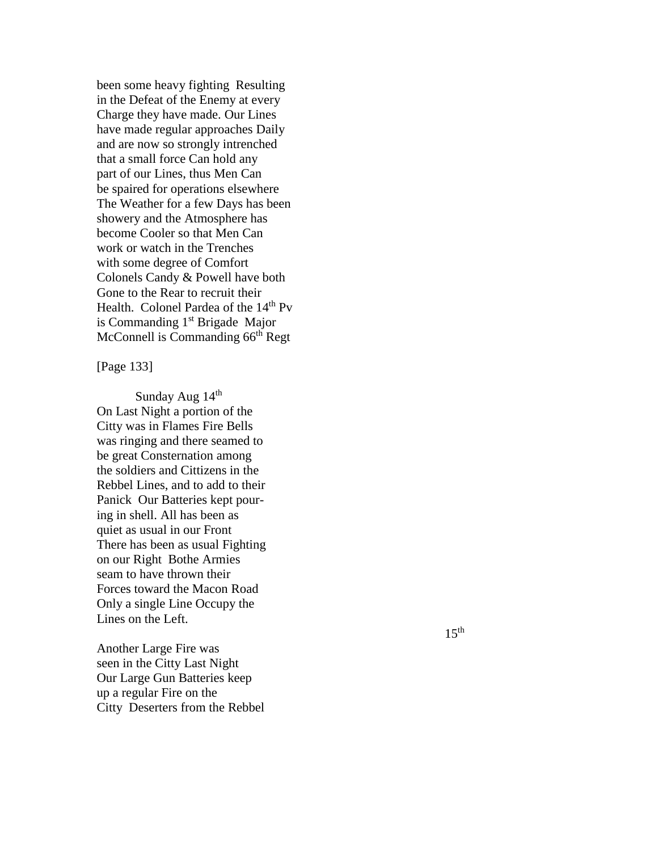been some heavy fighting Resulting in the Defeat of the Enemy at every Charge they have made. Our Line s have made regular approaches Daily and are now so strongly intrenched that a small force Can hold any part of our Lines, thus Men Can be spaired for operations elsewhere The Weather for a few Days has been showery and the Atmosphere has become Cooler so that Men Can work or watch in the Trenches with some degree of Comfort Colonels Candy & Powell have both Gone to the Rear to recruit their Health. Colonel Pardea of the 14<sup>th</sup> Pv is Commanding  $1<sup>st</sup>$  Brigade Major McConnell is Commanding 66<sup>th</sup> Regt

[Page 133 ]

Sunday Aug 14<sup>th</sup> On Last Night a portion of the Citty was in Flames Fire Bells was ringing and there seamed to be great Consternation among the soldiers and Cittizens in the Rebbel Lines, and to add to their Panick Our Batteries kept pour ing in shell. All has been as quiet as usual in our Front There has been as usual Fighting on our Right Bothe Armies seam to have thrown their Forces toward the Macon Road Only a single Line Occupy the Lines on the Left.

Another Large Fire was seen in the Citty Last Night Our Large Gun Batteries keep up a regular Fire on the Citty Deserters from the Rebbel  $15<sup>th</sup>$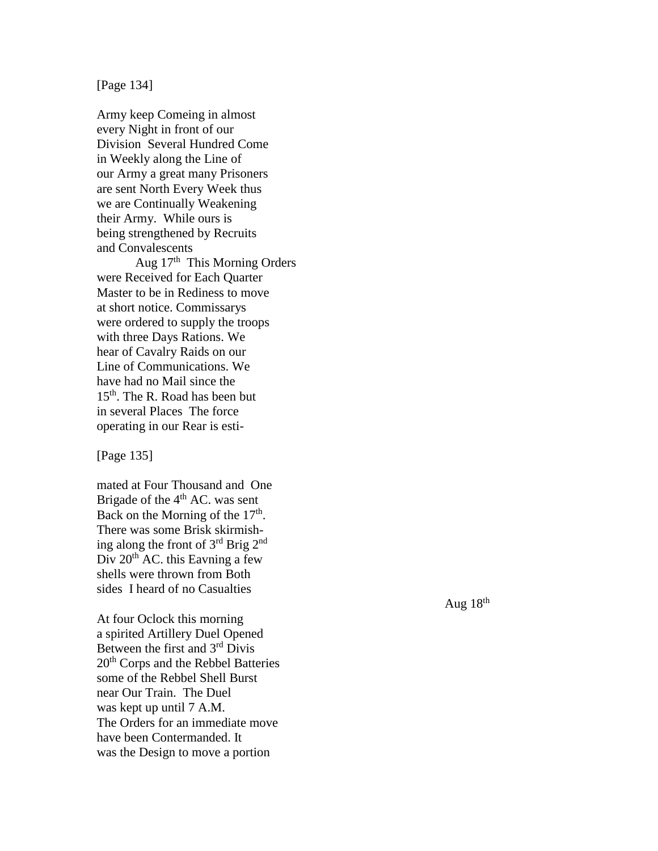# [Page 134 ]

Army keep Comeing in almost every Night in front of our Division Several Hundred Come in Weekly along the Line of our Army a great many Prisoners are sent North Every Week thus we are Continually Weakenin g their Army. While ours is being strengthened by Recruits and Convalescents

Aug 17<sup>th</sup> This Morning Orders were Received for Each Quarter Master to be in Rediness to move at short notice. Commissarys were ordered to supply the troops with three Days Rations. We hear of Cavalry Raids on our Line of Communications. We have had no Mail since the 15th. The R. Road has been but in several Places The force operating in our Rear is esti -

[Page 135 ]

mated at Four Thousand and One Brigade of the  $4<sup>th</sup>$  AC. was sent Back on the Morning of the  $17<sup>th</sup>$ . There was some Brisk skirmish ing along the front of 3rd Brig 2nd Div  $20^{th}$  AC, this Eavning a few shells were thrown from Both sides I he ard of no Casualties

At four Oclock this morning a spirited Artillery Duel Opened Between the first and 3rd Divis 20<sup>th</sup> Corps and the Rebbel Batteries some of the Rebbel Shell Burst near Our Train. The Duel was kept up until 7 A.M. The Orders for an immediate move have been Contermanded. It was the Design to move a portion

Aug  $18<sup>th</sup>$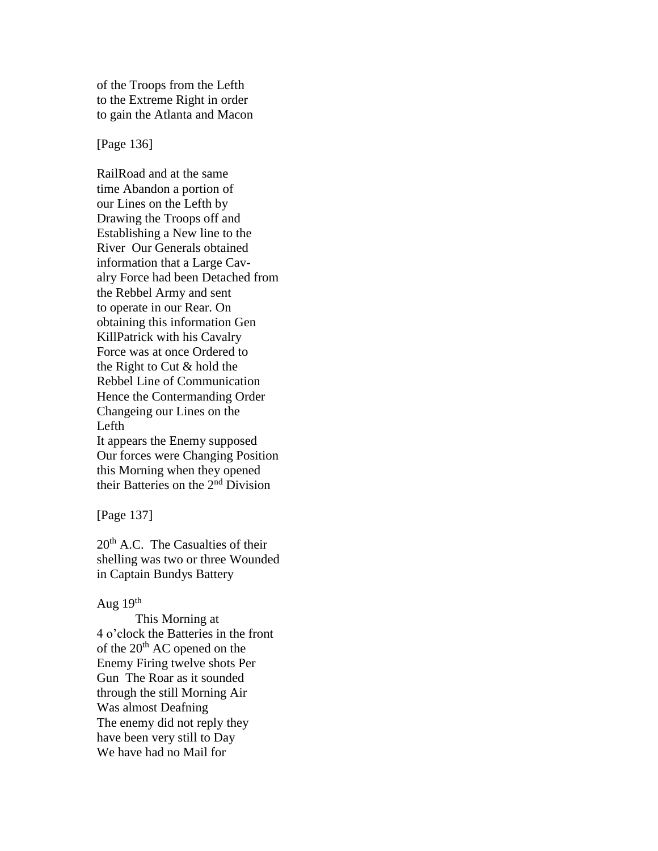of the Troops from the Lefth to the Extreme Right in order to gain the Atlanta and Macon

[Page 136]

RailRoad and at the same time Abandon a portion of our Lines on the Lefth by Drawing the Troops off and Establishing a New line to the River Our Generals obtained information that a Large Cavalry Force had been Detached from the Rebbel Army and sent to operate in our Rear. On obtaining this information Gen KillPatrick with his Cavalry Force was at once Ordered to the Right to Cut & hold the Rebbel Line of Communication Hence the Contermanding Order Changeing our Lines on the Lefth It appears the Enemy supposed Our forces were Changing Position this Morning when they opened their Batteries on the 2nd Division

[Page 137]

 $20<sup>th</sup>$  A.C. The Casualties of their shelling was two or three Wounded in Captain Bundys Battery

## Aug  $19<sup>th</sup>$

This Morning at 4 o'clock the Batteries in the front of the  $20<sup>th</sup>$  AC opened on the Enemy Firing twelve shots Per Gun The Roar as it sounded through the still Morning Air Was almost Deafning The enemy did not reply they have been very still to Day We have had no Mail for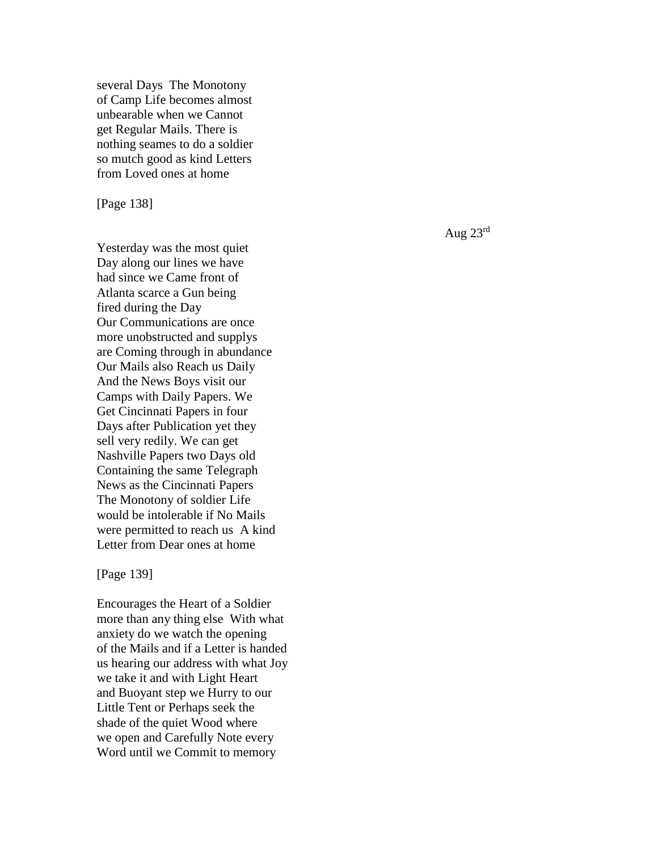sever al Days The Monotony of Camp Life becomes almost unbearable when we Cannot get Regular Mails. There is nothing seames to do a soldier so mutch good as kind Letters from Loved ones at home

[Page 138 ]

Yesterday was the most quiet Day along our lines we have had since we Came front of Atlanta scarce a Gun being fired during the Day Our Communications are once more unobstructed and supplys are Coming through in abundance Our Mails also Reach us Daily And the News Boys visit our Camps with Daily Papers. We Get Cincinnati Papers in four Days after Publication yet they sell very redily. We can get Nashville Papers two Days old Containing the same Telegraph News as the Cincinnati Papers The Monotony of soldier Life would be intolerable if No Mails were permitted to reach us A kind Letter from Dear ones at home

[Page 139 ]

Encourages the Heart of a Soldier more than any thing else With what anxiety do we watch the openin g of the Mails and if a Letter is handed us hearing our address with what Joy we take it and with Light Heart and Buoyant step we Hurry to our Little Tent or Perhaps seek the shade of the quiet Wood where we open and Carefully Note every Word until we Commit to memory

Aug 23rd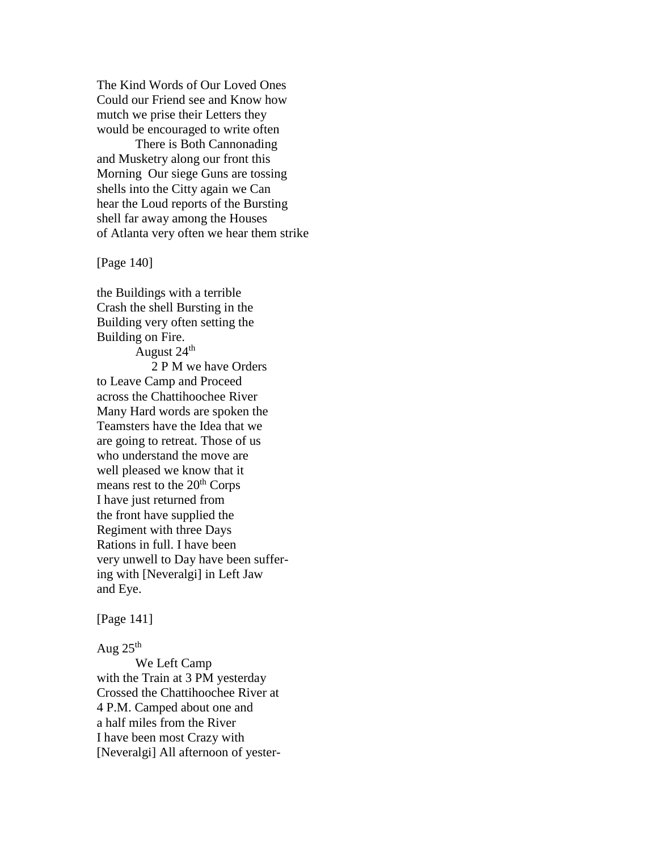The Kind Words of Our Loved Ones Could our Friend see and Know how mutch we prise their Letters they would be encouraged to write often

There is Both Cannonading and Musketry along our front this Morning Our siege Guns are tossing shells into the Citty again we Can hear the Loud reports of the Bursting shell far away among the Houses of Atlanta very often we hear them strike

[Page 140]

the Buildings with a terrible Crash the shell Bursting in the Building very often setting the Building on Fire.

August  $24<sup>th</sup>$  2 P M we have Orders to Leave Camp and Proceed across the Chattihoochee River Many Hard words are spoken the Teamsters have the Idea that we are going to retreat. Those of us who understand the move are well pleased we know that it means rest to the 20<sup>th</sup> Corps I have just returned from the front have supplied the Regiment with three Days Rations in full. I have been very unwell to Day have been suffering with [Neveralgi] in Left Jaw and Eye.

[Page 141]

Aug  $25<sup>th</sup>$ 

We Left Camp with the Train at 3 PM yesterday Crossed the Chattihoochee River at 4 P.M. Camped about one and a half miles from the River I have been most Crazy with [Neveralgi] All afternoon of yester-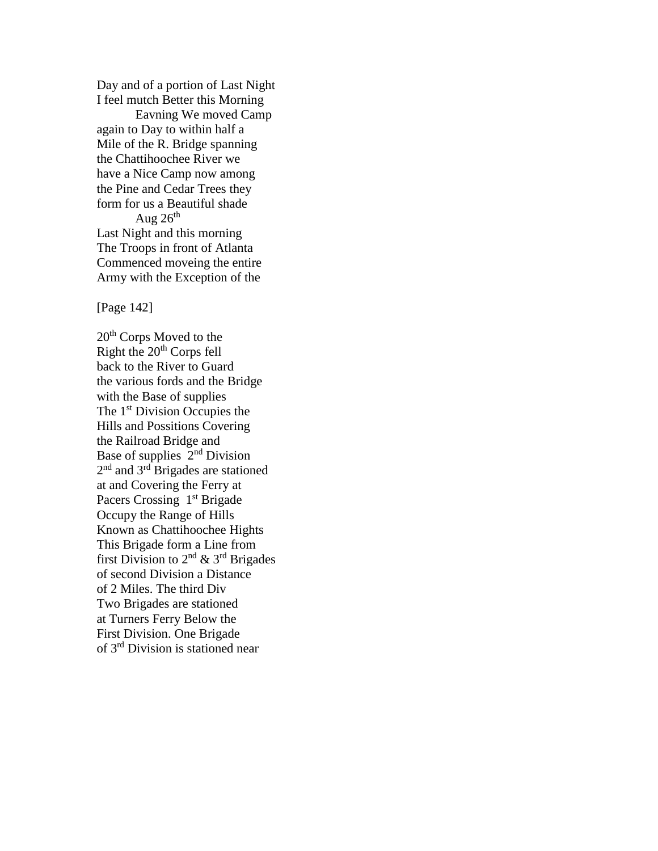Day and of a portion of Last Night I feel mutch Better this Morning

Eavning We moved Camp again to Day to within half a Mile of the R. Bridge spanning the Chattihoochee River we have a Nice Camp now among the Pine and Cedar Trees they form for us a Beautiful shade Aug  $26<sup>th</sup>$ 

Last Night and this morning The Troops in front of Atlanta Commenced moveing the entire Army with the Exception of the

[Page 142]

20<sup>th</sup> Corps Moved to the Right the  $20<sup>th</sup>$  Corps fell back to the River to Guard the various fords and the Bridge with the Base of supplies The 1<sup>st</sup> Division Occupies the Hills and Possitions Covering the Railroad Bridge and Base of supplies 2<sup>nd</sup> Division 2<sup>nd</sup> and 3<sup>rd</sup> Brigades are stationed at and Covering the Ferry at Pacers Crossing 1<sup>st</sup> Brigade Occupy the Range of Hills Known as Chattihoochee Hights This Brigade form a Line from first Division to  $2^{nd}$  &  $3^{rd}$  Brigades of second Division a Distance of 2 Miles. The third Div Two Brigades are stationed at Turners Ferry Below the First Division. One Brigade of 3rd Division is stationed near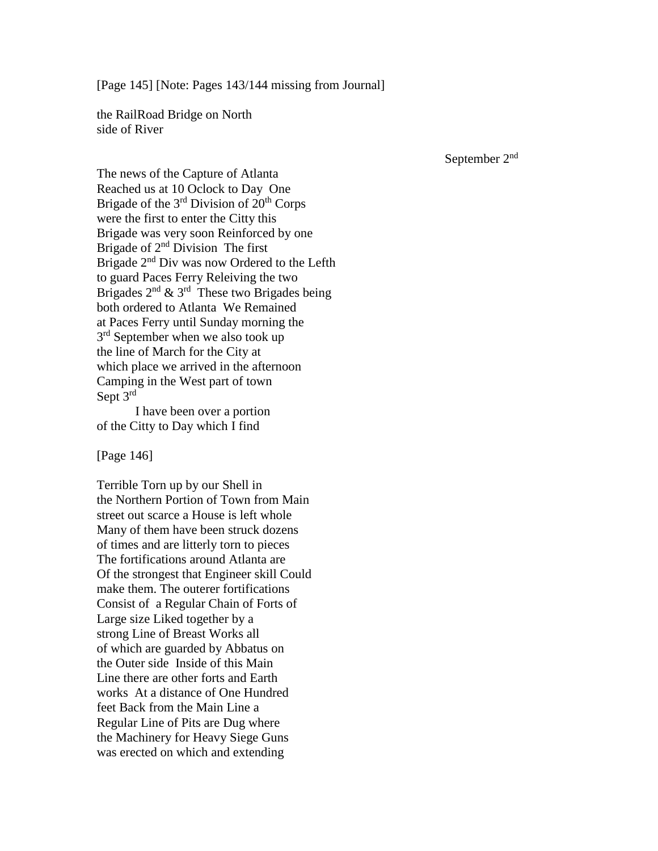[Page 145] [Note: Pages 143/144 missing from Journal]

the RailRoad Bridge on North side of River

September 2nd

The news of the Capture of Atlanta Reached us at 10 Oclock to Day One Brigade of the  $3<sup>rd</sup>$  Division of  $20<sup>th</sup>$  Corps were the first to enter the Citty this Brigade was very soon Reinforced by one Brigade of  $2<sup>nd</sup>$  Division The first Brigade 2<sup>nd</sup> Div was now Ordered to the Lefth to guard Paces Ferry Releiving the two Brigades  $2^{nd}$  &  $3^{rd}$  These two Brigades being both ordered to Atlanta We Remained at Paces Ferry until Sunday morning the 3<sup>rd</sup> September when we also took up the line of March for the City at which place we arrived in the afternoon Camping in the West part of town Sept  $3^{\text{rd}}$ 

I have been over a portion of the Citty to Day which I find

[Page 146]

Terrible Torn up by our Shell in the Northern Portion of Town from Main street out scarce a House is left whole Many of them have been struck dozens of times and are litterly torn to pieces The fortifications around Atlanta are Of the strongest that Engineer skill Could make them. The outerer fortifications Consist of a Regular Chain of Forts of Large size Liked together by a strong Line of Breast Works all of which are guarded by Abbatus on the Outer side Inside of this Main Line there are other forts and Earth works At a distance of One Hundred feet Back from the Main Line a Regular Line of Pits are Dug where the Machinery for Heavy Siege Guns was erected on which and extending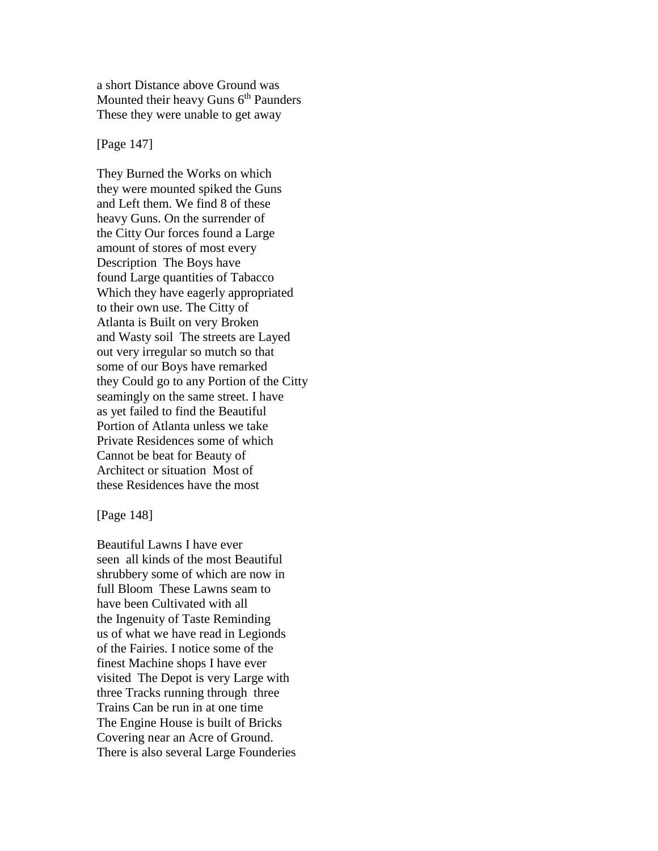a short Distance above Ground was Mounted their heavy Guns  $6<sup>th</sup>$  Paunders These they were unable to get away

[Page 147]

They Burned the Works on which they were mounted spiked the Guns and Left them. We find 8 of these heavy Guns. On the surrender of the Citty Our forces found a Large amount of stores of most every Description The Boys have found Large quantities of Tabacco Which they have eagerly appropriated to their own use. The Citty of Atlanta is Built on very Broken and Wasty soil The streets are Layed out very irregular so mutch so that some of our Boys have remarked they Could go to any Portion of the Citty seamingly on the same street. I have as yet failed to find the Beautiful Portion of Atlanta unless we take Private Residences some of which Cannot be beat for Beauty of Architect or situation Most of these Residences have the most

[Page 148]

Beautiful Lawns I have ever seen all kinds of the most Beautiful shrubbery some of which are now in full Bloom These Lawns seam to have been Cultivated with all the Ingenuity of Taste Reminding us of what we have read in Legionds of the Fairies. I notice some of the finest Machine shops I have ever visited The Depot is very Large with three Tracks running through three Trains Can be run in at one time The Engine House is built of Bricks Covering near an Acre of Ground. There is also several Large Founderies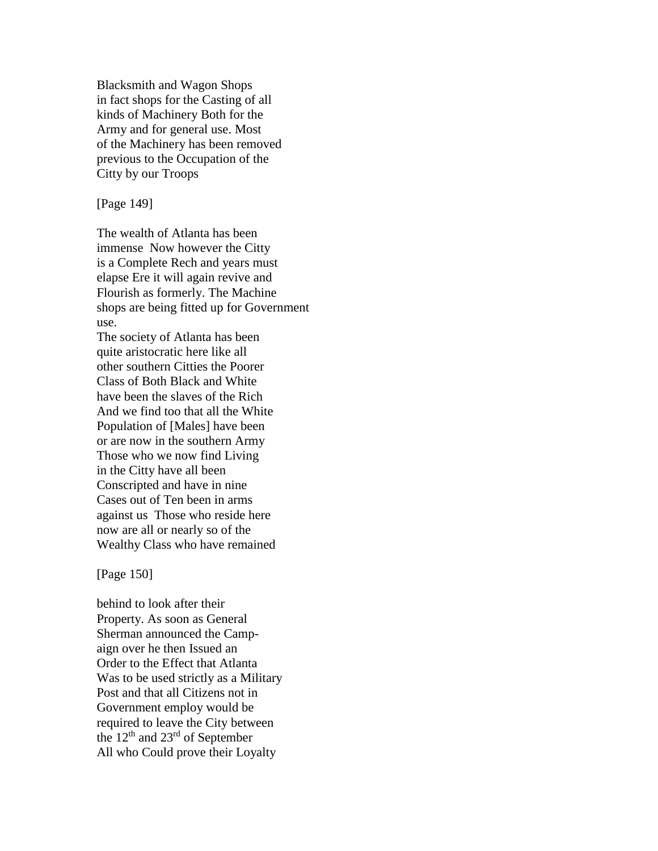Blacksmith and Wagon Shops in fact shops for the Casting of all kinds of Machinery Both for the Army and for general use. Most of the Machinery has been removed previous to the Occupation of the Citty by our Troops

[Page 149]

The wealth of Atlanta has been immense Now however the Citty is a Complete Rech and years must elapse Ere it will again revive and Flourish as formerly. The Machine shops are being fitted up for Government use.

The society of Atlanta has been quite aristocratic here like all other southern Citties the Poorer Class of Both Black and White have been the slaves of the Rich And we find too that all the White Population of [Males] have been or are now in the southern Army Those who we now find Living in the Citty have all been Conscripted and have in nine Cases out of Ten been in arms against us Those who reside here now are all or nearly so of the Wealthy Class who have remained

[Page 150]

behind to look after their Property. As soon as General Sherman announced the Campaign over he then Issued an Order to the Effect that Atlanta Was to be used strictly as a Military Post and that all Citizens not in Government employ would be required to leave the City between the 12th and 23rd of September All who Could prove their Loyalty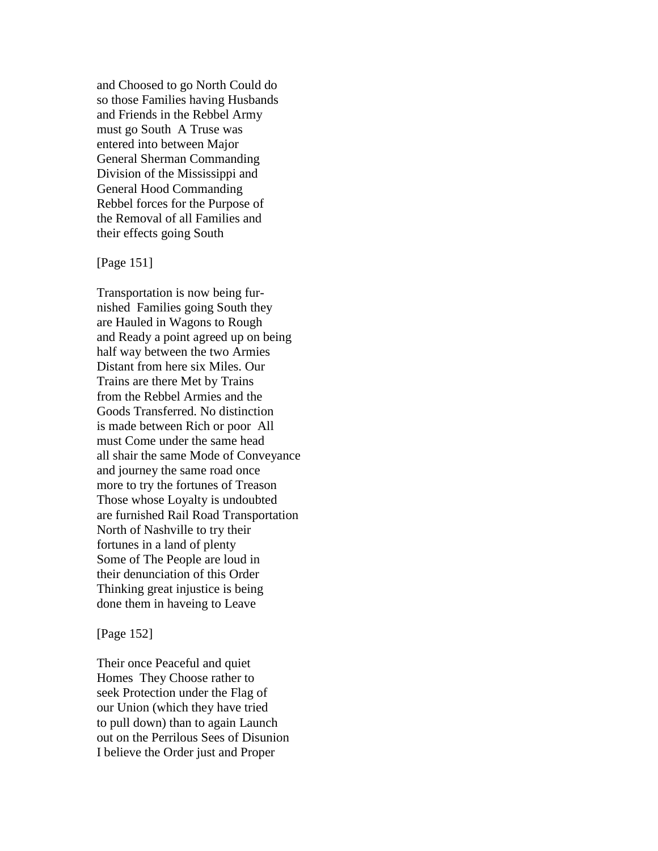and Choosed to go North Could do so those Families having Husbands and Friends in the Rebbel Army must go South A Truse was entered into between Major General Sherman Commanding Division of the Mississippi and General Hood Commanding Rebbel forces for the Purpose of the Removal of all Families and their effects going South

# [Page 151]

Transportation is now being furnished Families going South they are Hauled in Wagons to Rough and Ready a point agreed up on being half way between the two Armies Distant from here six Miles. Our Trains are there Met by Trains from the Rebbel Armies and the Goods Transferred. No distinction is made between Rich or poor All must Come under the same head all shair the same Mode of Conveyance and journey the same road once more to try the fortunes of Treason Those whose Loyalty is undoubted are furnished Rail Road Transportation North of Nashville to try their fortunes in a land of plenty Some of The People are loud in their denunciation of this Order Thinking great injustice is being done them in haveing to Leave

#### [Page 152]

Their once Peaceful and quiet Homes They Choose rather to seek Protection under the Flag of our Union (which they have tried to pull down) than to again Launch out on the Perrilous Sees of Disunion I believe the Order just and Proper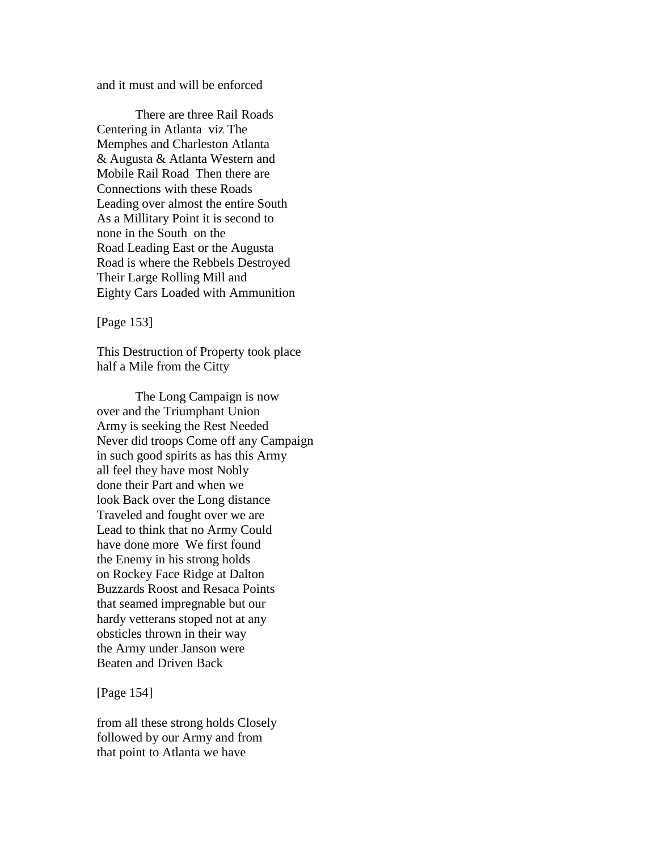and it must and will be enforced

There are three Rail Roads Centering in Atlanta viz The Memphes and Charleston Atlanta & Augusta & Atlanta Western and Mobile Rail Road Then there are Connections with these Roads Leading over almost the entire South As a Millitary Point it is second to none in the South on the Road Leading East or the Augusta Road is where the Rebbels Destroyed Their Large Rolling Mill and Eighty Cars Loaded with Ammunition

[Page 153]

This Destruction of Property took place half a Mile from the Citty

The Long Campaign is now over and the Triumphant Union Army is seeking the Rest Needed Never did troops Come off any Campaign in such good spirits as has this Army all feel they have most Nobly done their Part and when we look Back over the Long distance Traveled and fought over we are Lead to think that no Army Could have done more We first found the Enemy in his strong holds on Rockey Face Ridge at Dalton Buzzards Roost and Resaca Points that seamed impregnable but our hardy vetterans stoped not at any obsticles thrown in their way the Army under Janson were Beaten and Driven Back

[Page 154]

from all these strong holds Closely followed by our Army and from that point to Atlanta we have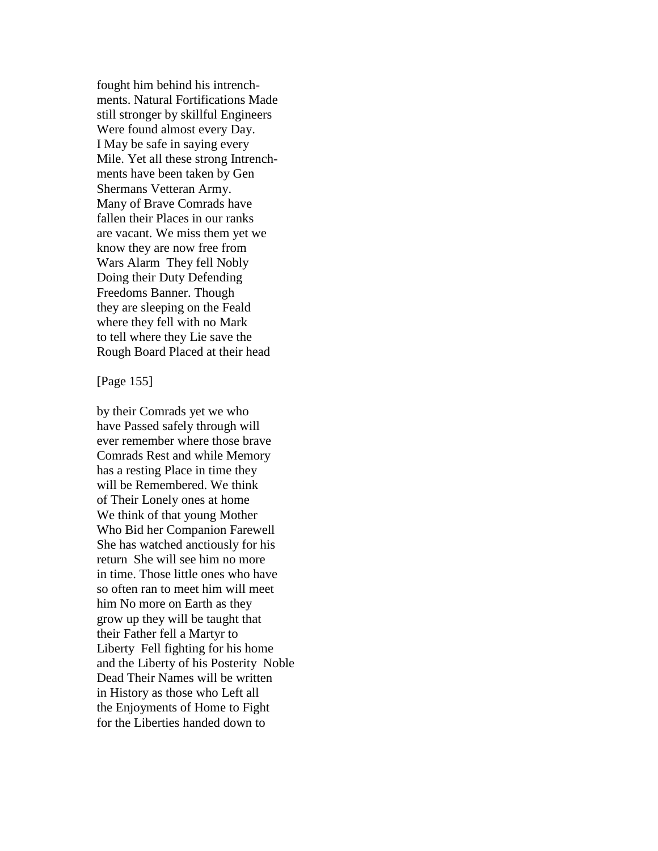fought him behind his intrenchments. Natural Fortifications Made still stronger by skillful Engineers Were found almost every Day. I May be safe in saying every Mile. Yet all these strong Intrenchments have been taken by Gen Shermans Vetteran Army. Many of Brave Comrads have fallen their Places in our ranks are vacant. We miss them yet we know they are now free from Wars Alarm They fell Nobly Doing their Duty Defending Freedoms Banner. Though they are sleeping on the Feald where they fell with no Mark to tell where they Lie save the Rough Board Placed at their head

[Page 155]

by their Comrads yet we who have Passed safely through will ever remember where those brave Comrads Rest and while Memory has a resting Place in time they will be Remembered. We think of Their Lonely ones at home We think of that young Mother Who Bid her Companion Farewell She has watched anctiously for his return She will see him no more in time. Those little ones who have so often ran to meet him will meet him No more on Earth as they grow up they will be taught that their Father fell a Martyr to Liberty Fell fighting for his home and the Liberty of his Posterity Noble Dead Their Names will be written in History as those who Left all the Enjoyments of Home to Fight for the Liberties handed down to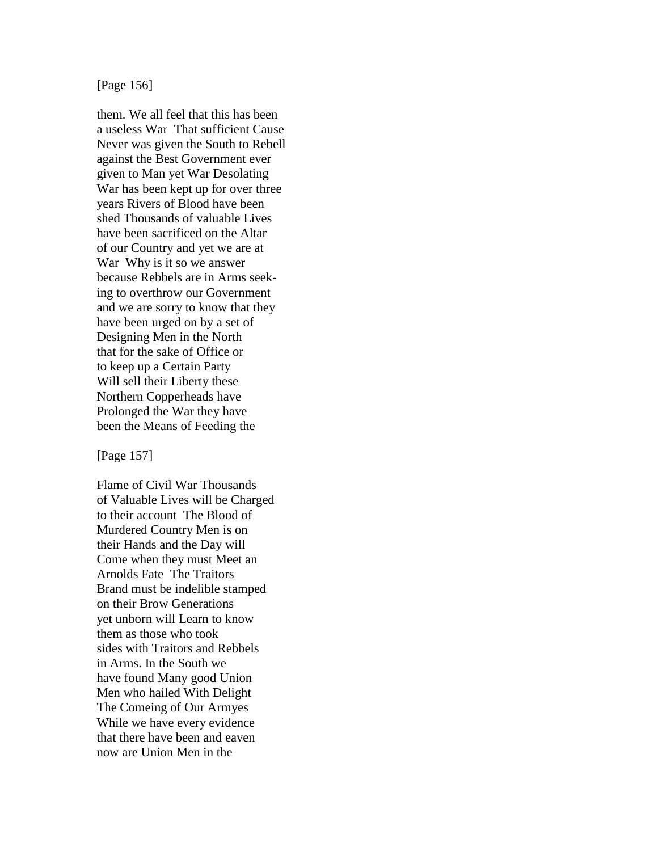[Page 156]

them. We all feel that this has been a useless War That sufficient Cause Never was given the South to Rebell against the Best Government ever given to Man yet War Desolating War has been kept up for over three years Rivers of Blood have been shed Thousands of valuable Lives have been sacrificed on the Altar of our Country and yet we are at War Why is it so we answer because Rebbels are in Arms seeking to overthrow our Government and we are sorry to know that they have been urged on by a set of Designing Men in the North that for the sake of Office or to keep up a Certain Party Will sell their Liberty these Northern Copperheads have Prolonged the War they have been the Means of Feeding the

[Page 157]

Flame of Civil War Thousands of Valuable Lives will be Charged to their account The Blood of Murdered Country Men is on their Hands and the Day will Come when they must Meet an Arnolds Fate The Traitors Brand must be indelible stamped on their Brow Generations yet unborn will Learn to know them as those who took sides with Traitors and Rebbels in Arms. In the South we have found Many good Union Men who hailed With Delight The Comeing of Our Armyes While we have every evidence that there have been and eaven now are Union Men in the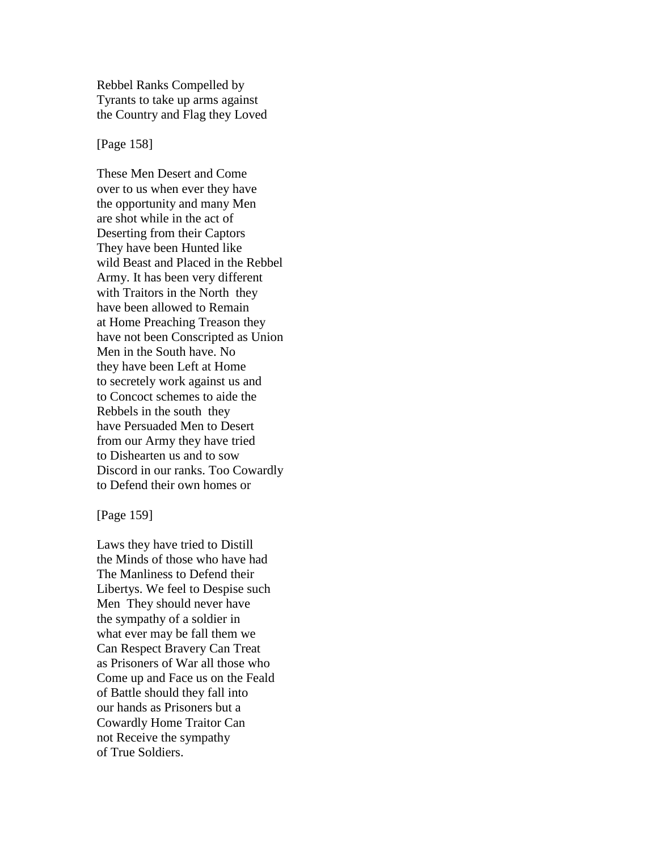Rebbel Ranks Compelled by Tyrants to take up arms against the Country and Flag they Loved

[Page 158]

These Men Desert and Come over to us when ever they have the opportunity and many Men are shot while in the act of Deserting from their Captors They have been Hunted like wild Beast and Placed in the Rebbel Army. It has been very different with Traitors in the North they have been allowed to Remain at Home Preaching Treason they have not been Conscripted as Union Men in the South have. No they have been Left at Home to secretely work against us and to Concoct schemes to aide the Rebbels in the south they have Persuaded Men to Desert from our Army they have tried to Dishearten us and to sow Discord in our ranks. Too Cowardly to Defend their own homes or

[Page 159]

Laws they have tried to Distill the Minds of those who have had The Manliness to Defend their Libertys. We feel to Despise such Men They should never have the sympathy of a soldier in what ever may be fall them we Can Respect Bravery Can Treat as Prisoners of War all those who Come up and Face us on the Feald of Battle should they fall into our hands as Prisoners but a Cowardly Home Traitor Can not Receive the sympathy of True Soldiers.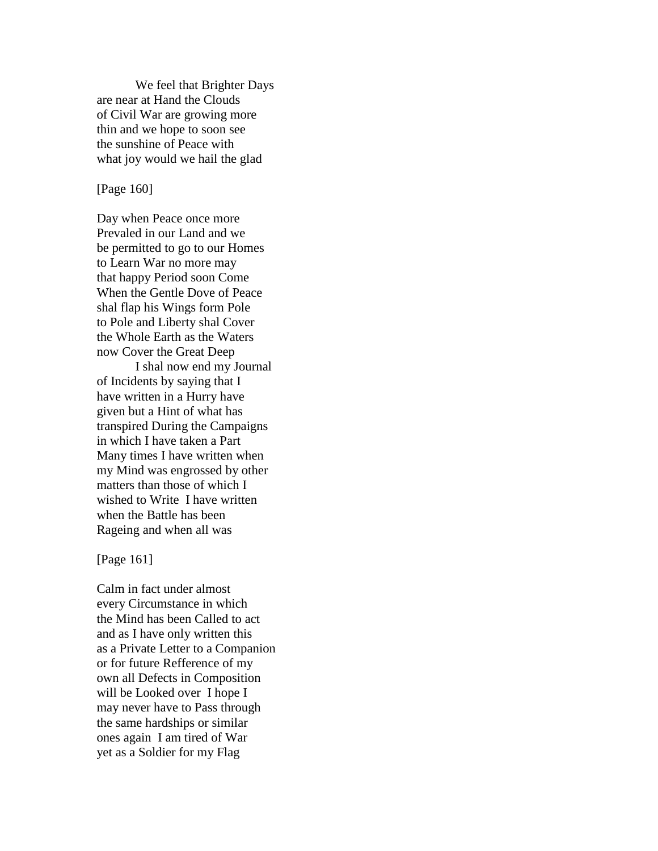We feel that Brighter Days are near at Hand the Clouds of Civil War are growing more thin and we hope to soon see the sunshine of Peace with what joy would we hail the glad

### [Page 160]

Day when Peace once more Prevaled in our Land and we be permitted to go to our Homes to Learn War no more may that happy Period soon Come When the Gentle Dove of Peace shal flap his Wings form Pole to Pole and Liberty shal Cover the Whole Earth as the Waters now Cover the Great Deep

I shal now end my Journal of Incidents by saying that I have written in a Hurry have given but a Hint of what has transpired During the Campaigns in which I have taken a Part Many times I have written when my Mind was engrossed by other matters than those of which I wished to Write I have written when the Battle has been Rageing and when all was

[Page 161]

Calm in fact under almost every Circumstance in which the Mind has been Called to act and as I have only written this as a Private Letter to a Companion or for future Refference of my own all Defects in Composition will be Looked over I hope I may never have to Pass through the same hardships or similar ones again I am tired of War yet as a Soldier for my Flag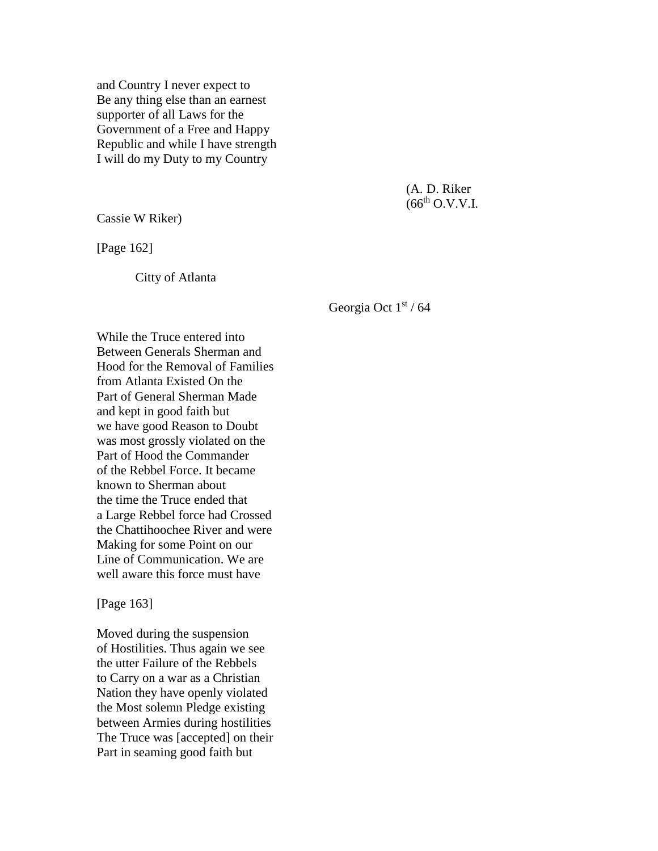and Country I never expect to Be any thing else than an earnest supporter of all Laws for the Government of a Free and Happy Republic and while I have strength I will do my Duty to my Country

> (A. D. Riker  $(66^{th}$  O.V.V.I.

Cassie W Riker)

[Page 162]

Citty of Atlanta

Georgia Oct 1st / 64

While the Truce entered into Between Generals Sherman and Hood for the Removal of Families from Atlanta Existed On the Part of General Sherman Made and kept in good faith but we have good Reason to Doubt was most grossly violated on the Part of Hood the Commander of the Rebbel Force. It became known to Sherman about the time the Truce ended that a Large Rebbel force had Crossed the Chattihoochee River and were Making for some Point on our Line of Communication. We are well aware this force must have

[Page 163]

Moved during the suspension of Hostilities. Thus again we see the utter Failure of the Rebbels to Carry on a war as a Christian Nation they have openly violated the Most solemn Pledge existing between Armies during hostilities The Truce was [accepted] on their Part in seaming good faith but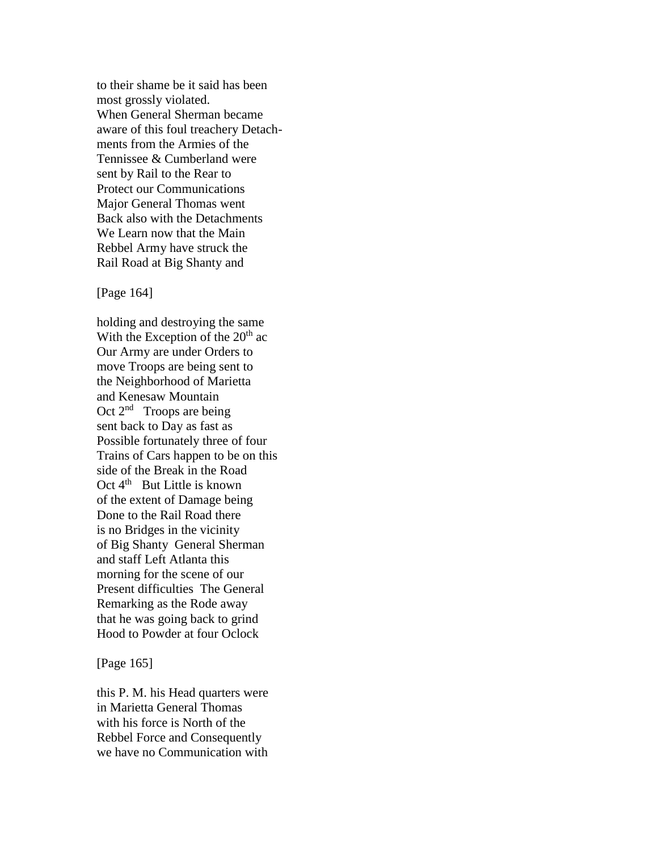to their shame be it said has been most grossly violated. When General Sherman became aware of this foul treachery Detachments from the Armies of the Tennissee & Cumberland were sent by Rail to the Rear to Protect our Communications Major General Thomas went Back also with the Detachments We Learn now that the Main Rebbel Army have struck the Rail Road at Big Shanty and

[Page 164]

holding and destroying the same With the Exception of the  $20<sup>th</sup>$  ac Our Army are under Orders to move Troops are being sent to the Neighborhood of Marietta and Kenesaw Mountain Oct  $2<sup>nd</sup>$  Troops are being sent back to Day as fast as Possible fortunately three of four Trains of Cars happen to be on this side of the Break in the Road Oct  $4<sup>th</sup>$  But Little is known of the extent of Damage being Done to the Rail Road there is no Bridges in the vicinity of Big Shanty General Sherman and staff Left Atlanta this morning for the scene of our Present difficulties The General Remarking as the Rode away that he was going back to grind Hood to Powder at four Oclock

[Page 165]

this P. M. his Head quarters were in Marietta General Thomas with his force is North of the Rebbel Force and Consequently we have no Communication with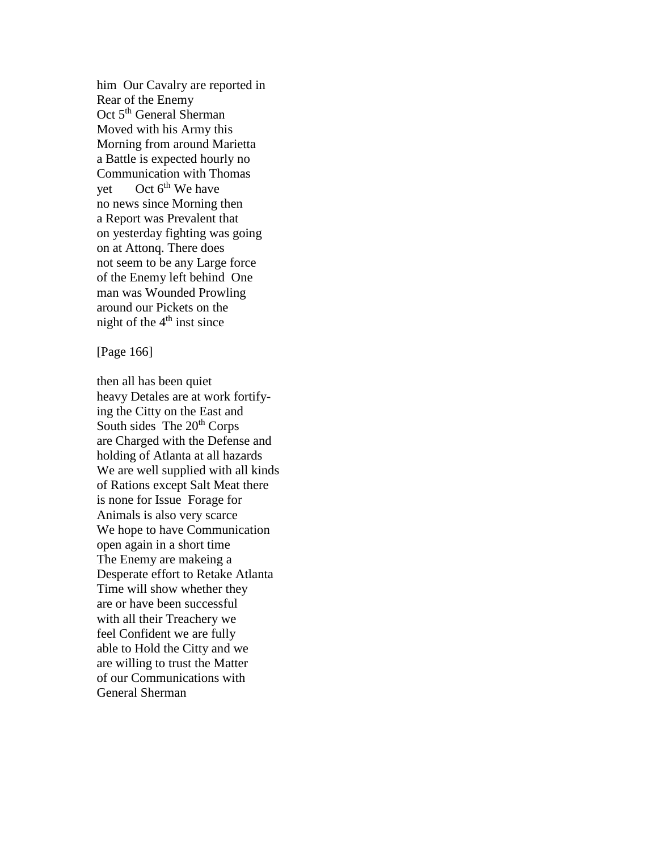him Our Cavalry are reported in Rear of the Enemy Oct 5<sup>th</sup> General Sherman Moved with his Army this Morning from around Marietta a Battle is expected hourly no Communication with Thomas yet Oct  $6<sup>th</sup>$  We have no news since Morning then a Report was Prevalent that on yesterday fighting was going on at Attonq. There does not seem to be any Large force of the Enemy left behind One man was Wounded Prowling around our Pickets on the night of the  $4<sup>th</sup>$  inst since

[Page 166]

then all has been quiet heavy Detales are at work fortifying the Citty on the East and South sides The  $20<sup>th</sup>$  Corps are Charged with the Defense and holding of Atlanta at all hazards We are well supplied with all kinds of Rations except Salt Meat there is none for Issue Forage for Animals is also very scarce We hope to have Communication open again in a short time The Enemy are makeing a Desperate effort to Retake Atlanta Time will show whether they are or have been successful with all their Treachery we feel Confident we are fully able to Hold the Citty and we are willing to trust the Matter of our Communications with General Sherman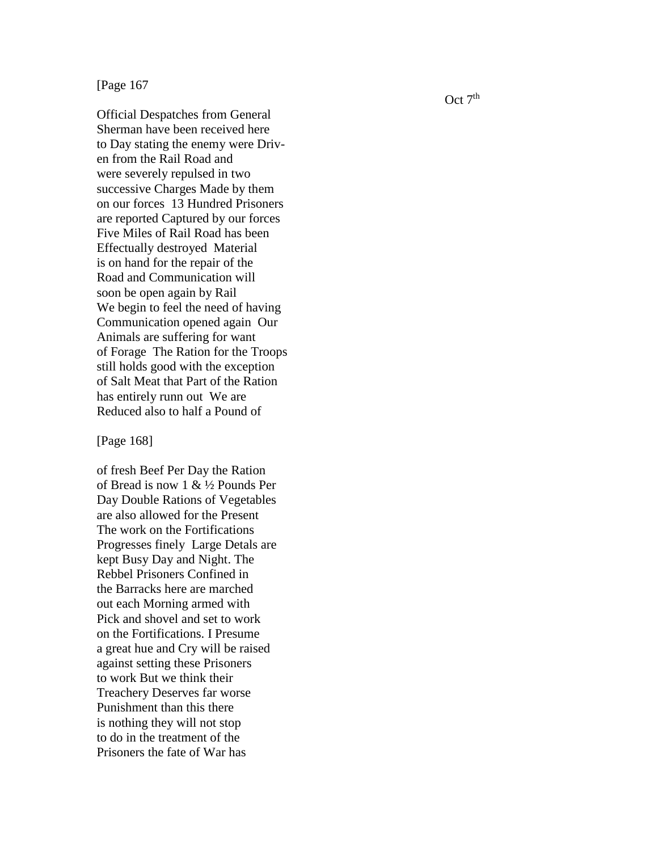# [Page 167

Official Despatches from General Sherman have been received here to Day stating the enemy were Driv en from the Rail Road and were severely repulsed in two successive Charges Made by them on our forces 13 Hundred Prisoners are reported Captured by our forces Five Miles of Rail Road has been Effectually destroyed Material is on hand for the repair of the Road and Communication will soon be open again by Rail We begin to feel the need of having Communication opened again Our Animals are suffering for want of Forage The Ration for the Troops still holds good with the exception of S alt Meat that Part of the Ration has entirely runn out We are Reduced also to half a Pound of

### [Page 168 ]

of fresh Beef Per Day the Ration of Bread is now 1 & ½ Pounds Per Day Double Rations of Vegetables are also allowed for the Present The work on the Fortifications Progresses finely Large Detals are kept Busy Day and Night. The Rebbel Prisoners Confined in the Barracks here are marched out each Morning armed with Pick and shovel and set to work on the Fortifications. I Presume a great hue and Cry will be raised against setting these Prisoners to work But we think their Treachery Deserves far worse Punishment than this there is nothing they will not stop to do in the treatment of the Prisoners the fate of War has

 $Oct 7<sup>th</sup>$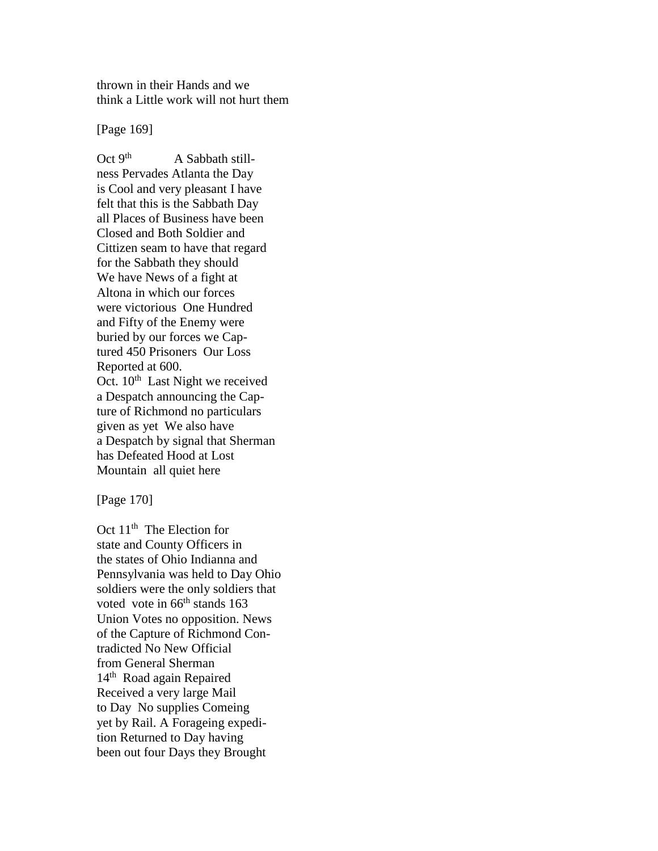thrown in their Hands and we think a Little work will not hurt them

[Page 169]

Oct  $9<sup>th</sup>$  A Sabbath stillness Pervades Atlanta the Day is Cool and very pleasant I have felt that this is the Sabbath Day all Places of Business have been Closed and Both Soldier and Cittizen seam to have that regard for the Sabbath they should We have News of a fight at Altona in which our forces were victorious One Hundred and Fifty of the Enemy were buried by our forces we Captured 450 Prisoners Our Loss Reported at 600. Oct. 10<sup>th</sup> Last Night we received a Despatch announcing the Capture of Richmond no particulars given as yet We also have a Despatch by signal that Sherman has Defeated Hood at Lost Mountain all quiet here

[Page 170]

Oct 11<sup>th</sup> The Election for state and County Officers in the states of Ohio Indianna and Pennsylvania was held to Day Ohio soldiers were the only soldiers that voted vote in 66<sup>th</sup> stands 163 Union Votes no opposition. News of the Capture of Richmond Contradicted No New Official from General Sherman 14<sup>th</sup> Road again Repaired Received a very large Mail to Day No supplies Comeing yet by Rail. A Forageing expedition Returned to Day having been out four Days they Brought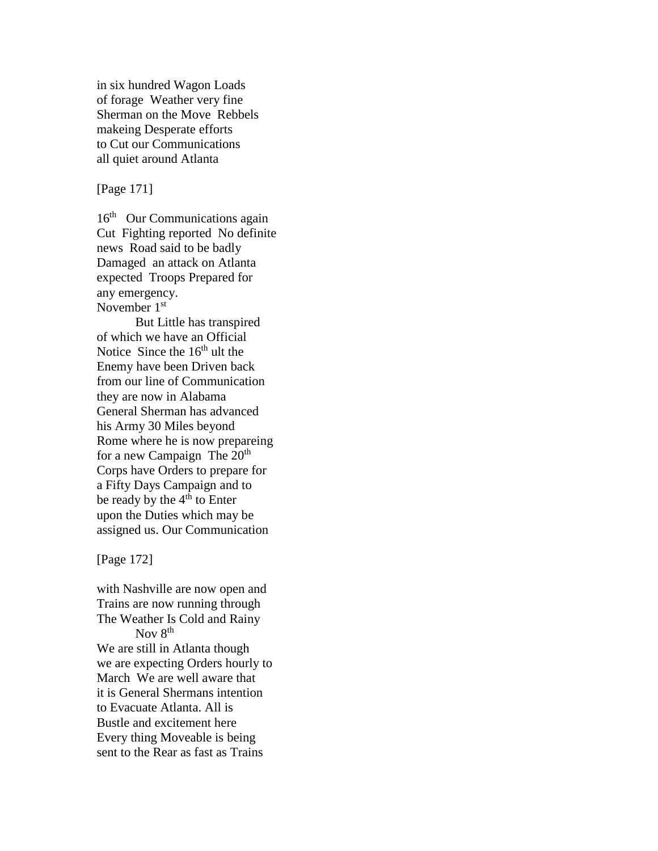in six hundred Wagon Loads of forage Weather very fine Sherman on the Move Rebbels makeing Desperate efforts to Cut our Communications all quiet around Atlanta

[Page 171]

16<sup>th</sup> Our Communications again Cut Fighting reported No definite news Road said to be badly Damaged an attack on Atlanta expected Troops Prepared for any emergency. November 1<sup>st</sup>

But Little has transpired of which we have an Official Notice Since the  $16<sup>th</sup>$  ult the Enemy have been Driven back from our line of Communication they are now in Alabama General Sherman has advanced his Army 30 Miles beyond Rome where he is now prepareing for a new Campaign The  $20<sup>th</sup>$ Corps have Orders to prepare for a Fifty Days Campaign and to be ready by the  $4<sup>th</sup>$  to Enter upon the Duties which may be assigned us. Our Communication

[Page 172]

with Nashville are now open and Trains are now running through The Weather Is Cold and Rainy Nov 8<sup>th</sup> We are still in Atlanta though we are expecting Orders hourly to March We are well aware that it is General Shermans intention to Evacuate Atlanta. All is Bustle and excitement here Every thing Moveable is being sent to the Rear as fast as Trains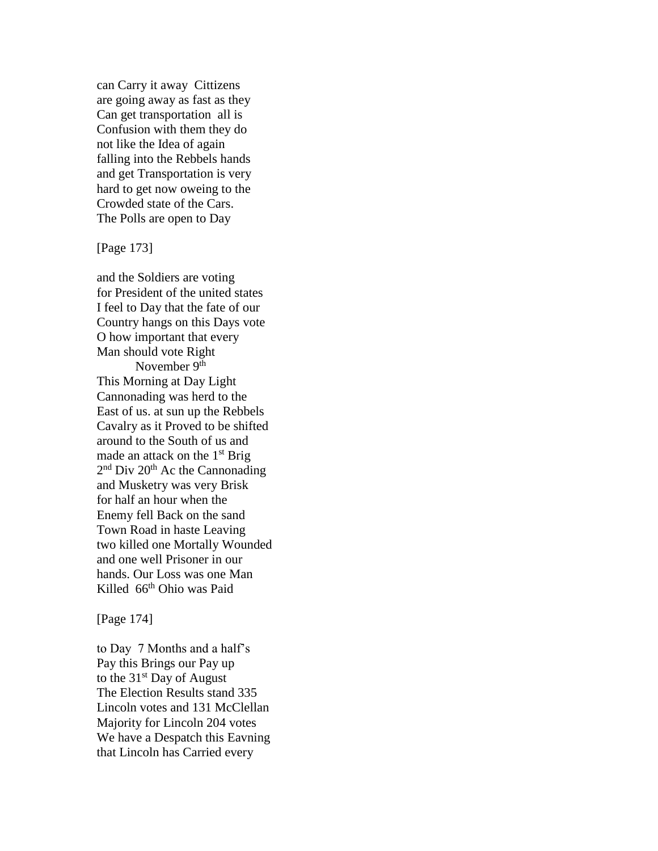can Carry it away Cittizens are going away as fast as they Can get transportation all is Confusion with them they do not like the Idea of again falling into the Rebbels hands and get Transportation is very hard to get now oweing to the Crowded state of the Cars. The Polls are open to Day

[Page 173]

and the Soldiers are voting for President of the united states I feel to Day that the fate of our Country hangs on this Days vote O how important that every Man should vote Right November  $9<sup>th</sup>$ This Morning at Day Light Cannonading was herd to the East of us. at sun up the Rebbels Cavalry as it Proved to be shifted around to the South of us and made an attack on the  $1<sup>st</sup>$  Brig 2<sup>nd</sup> Div 20<sup>th</sup> Ac the Cannonading and Musketry was very Brisk for half an hour when the Enemy fell Back on the sand Town Road in haste Leaving two killed one Mortally Wounded and one well Prisoner in our hands. Our Loss was one Man Killed 66<sup>th</sup> Ohio was Paid

[Page 174]

to Day 7 Months and a half's Pay this Brings our Pay up to the  $31<sup>st</sup>$  Day of August The Election Results stand 335 Lincoln votes and 131 McClellan Majority for Lincoln 204 votes We have a Despatch this Eavning that Lincoln has Carried every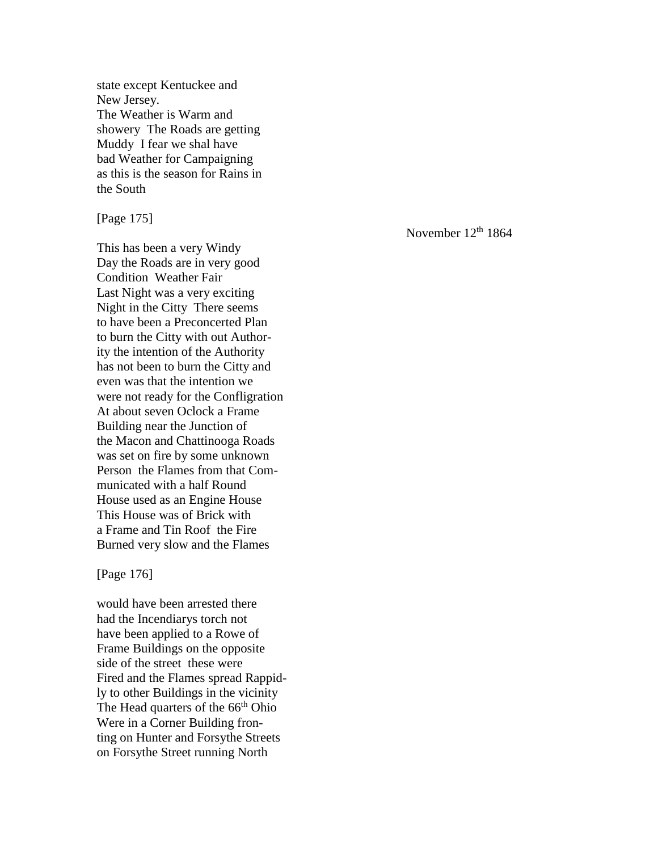state except Kentuckee and New Jersey. The Weather is Warm and showery The Roads are getting Muddy I fear we shal have bad Weather for Campaigning as this is the season for Rains in the South

[Page 175]

This has been a very Windy Day the Roads are in very good Condition Weather Fair Last Night was a very exciting Night in the Citty There seems to have been a Preconcerted Plan to burn the Citty with out Authority the intention of the Authority has not been to burn the Citty and even was that the intention we were not ready for the Confligration At about seven Oclock a Frame Building near the Junction of the Macon and Chattinooga Roads was set on fire by some unknown Person the Flames from that Communicated with a half Round House used as an Engine House This House was of Brick with a Frame and Tin Roof the Fire Burned very slow and the Flames

[Page 176]

would have been arrested there had the Incendiarys torch not have been applied to a Rowe of Frame Buildings on the opposite side of the street these were Fired and the Flames spread Rappidly to other Buildings in the vicinity The Head quarters of the 66<sup>th</sup> Ohio Were in a Corner Building fronting on Hunter and Forsythe Streets on Forsythe Street running North

November 12<sup>th</sup> 1864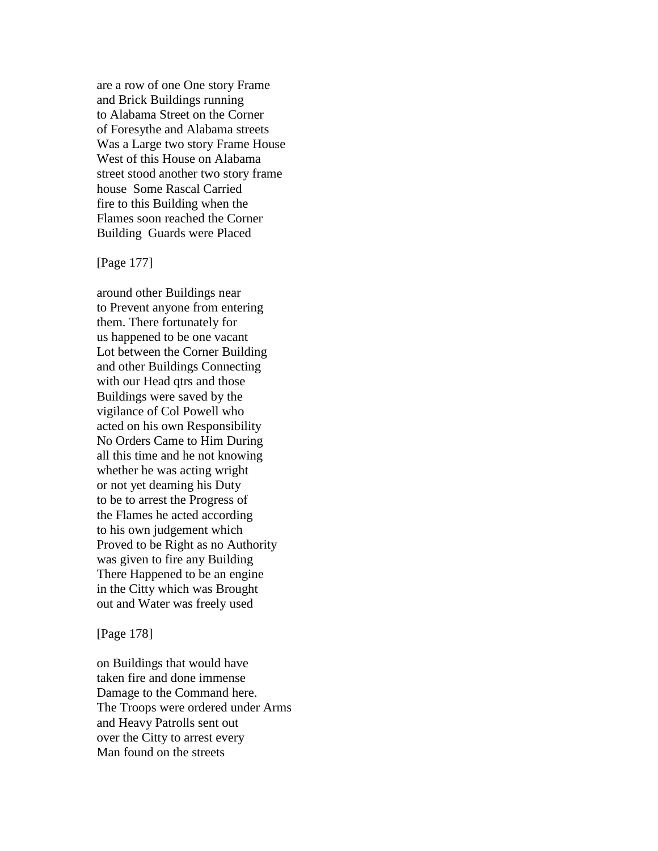are a row of one One story Frame and Brick Buildings running to Alabama Street on the Corner of Foresythe and Alabama streets Was a Large two story Frame House West of this House on Alabama street stood another two story frame house Some Rascal Carried fire to this Building when the Flames soon reached the Corner Building Guards were Placed

### [Page 177]

around other Buildings near to Prevent anyone from entering them. There fortunately for us happened to be one vacant Lot between the Corner Building and other Buildings Connecting with our Head qtrs and those Buildings were saved by the vigilance of Col Powell who acted on his own Responsibility No Orders Came to Him During all this time and he not knowing whether he was acting wright or not yet deaming his Duty to be to arrest the Progress of the Flames he acted according to his own judgement which Proved to be Right as no Authority was given to fire any Building There Happened to be an engine in the Citty which was Brought out and Water was freely used

[Page 178]

on Buildings that would have taken fire and done immense Damage to the Command here. The Troops were ordered under Arms and Heavy Patrolls sent out over the Citty to arrest every Man found on the streets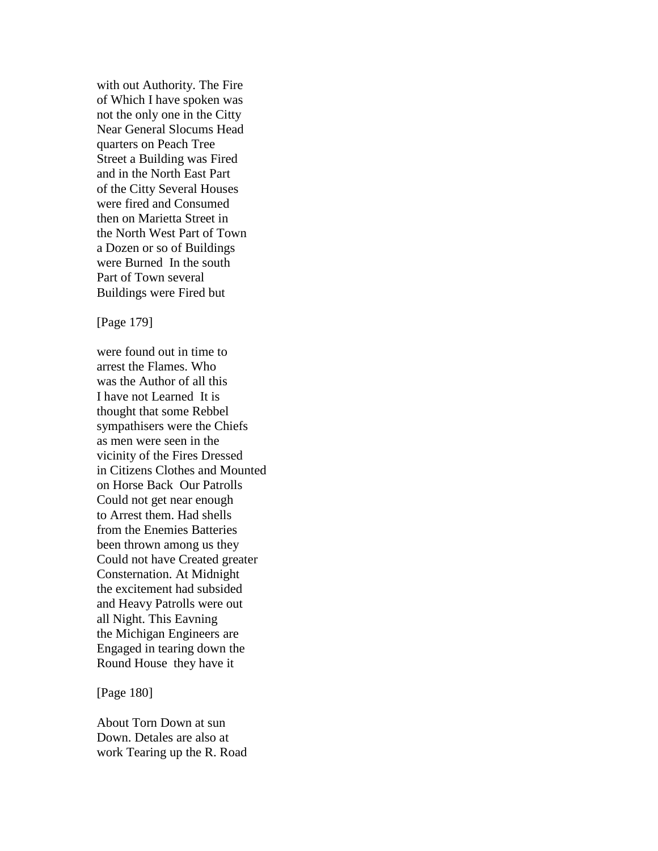with out Authority. The Fire of Which I have spoken was not the only one in the Citty Near General Slocums Head quarters on Peach Tree Street a Building was Fired and in the North East Part of the Citty Several Houses were fired and Consumed then on Marietta Street in the North West Part of Town a Dozen or so of Buildings were Burned In the south Part of Town several Buildings were Fired but

[Page 179]

were found out in time to arrest the Flames. Who was the Author of all this I have not Learned It is thought that some Rebbel sympathisers were the Chiefs as men were seen in the vicinity of the Fires Dressed in Citizens Clothes and Mounted on Horse Back Our Patrolls Could not get near enough to Arrest them. Had shells from the Enemies Batteries been thrown among us they Could not have Created greater Consternation. At Midnight the excitement had subsided and Heavy Patrolls were out all Night. This Eavning the Michigan Engineers are Engaged in tearing down the Round House they have it

[Page 180]

About Torn Down at sun Down. Detales are also at work Tearing up the R. Road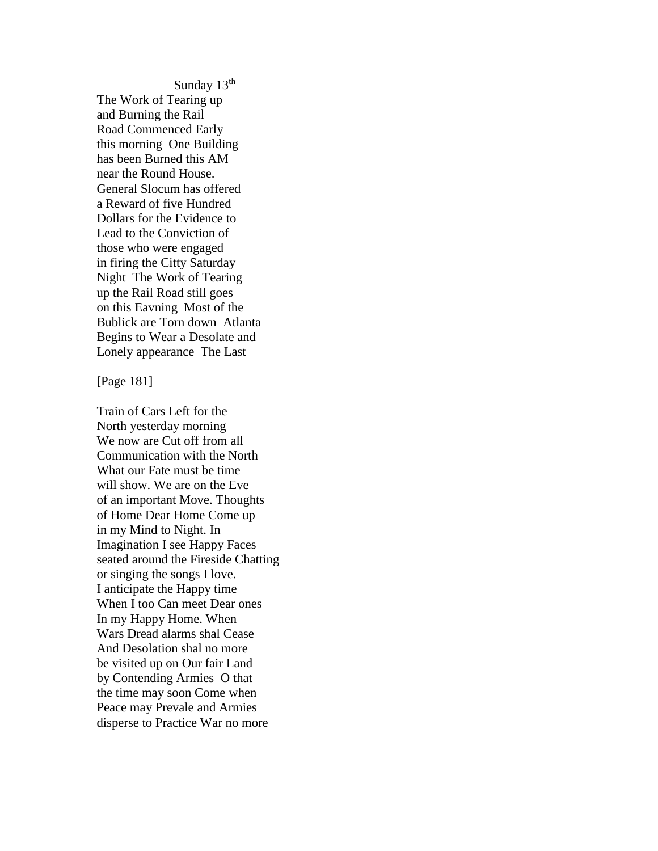Sunday 13<sup>th</sup> The Work of Tearing up and Burning the Rail Road Commenced Early this morning One Building has been Burned this AM near the Round House. General Slocum has offered a Reward of five Hundred Dollars for the Evidence to Lead to the Conviction of those who were engaged in firing the Citty Saturday Night The Work of Tearing up the Rail Road still goes on this Eavning Most of the Bublick are Torn down Atlanta Begins to Wear a Desolate and Lonely appearance The Last

[Page 181]

Train of Cars Left for the North yesterday morning We now are Cut off from all Communication with the North What our Fate must be time will show. We are on the Eve of an important Move. Thoughts of Home Dear Home Come up in my Mind to Night. In Imagination I see Happy Faces seated around the Fireside Chatting or singing the songs I love. I anticipate the Happy time When I too Can meet Dear ones In my Happy Home. When Wars Dread alarms shal Cease And Desolation shal no more be visited up on Our fair Land by Contending Armies O that the time may soon Come when Peace may Prevale and Armies disperse to Practice War no more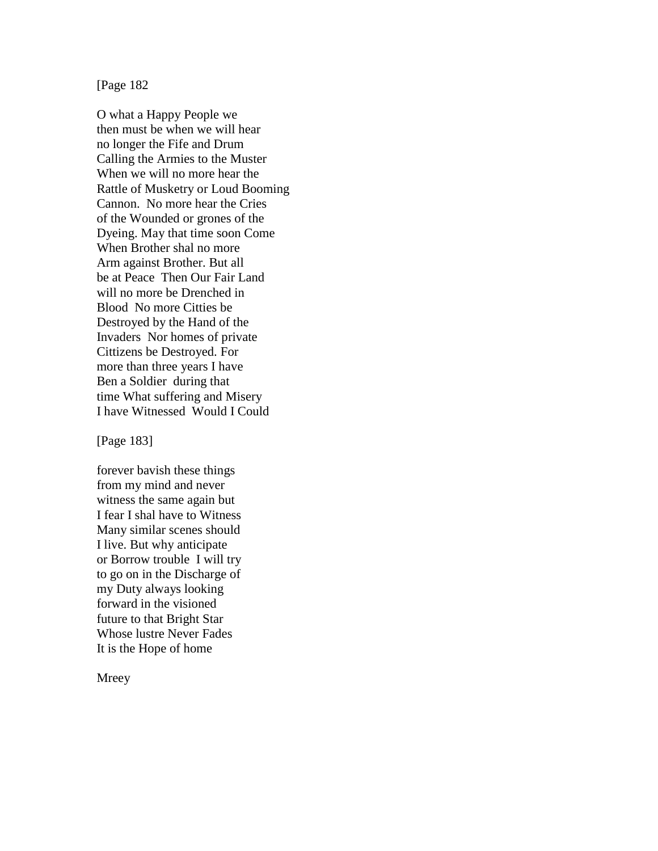[Page 182

O what a Happy People we then must be when we will hear no longer the Fife and Drum Calling the Armies to the Muster When we will no more hear the Rattle of Musketry or Loud Booming Cannon. No more hear the Cries of the Wounded or grones of the Dyeing. May that time soon Come When Brother shal no more Arm against Brother. But all be at Peace Then Our Fair Land will no more be Drenched in Blood No more Citties be Destroyed by the Hand of the Invaders Nor homes of private Cittizens be Destroyed. For more than three years I have Ben a Soldier during that time What suffering and Misery I have Witnessed Would I Could

[Page 183]

forever bavish these things from my mind and never witness the same again but I fear I shal have to Witness Many similar scenes should I live. But why anticipate or Borrow trouble I will try to go on in the Discharge of my Duty always looking forward in the visioned future to that Bright Star Whose lustre Never Fades It is the Hope of home

Mreey